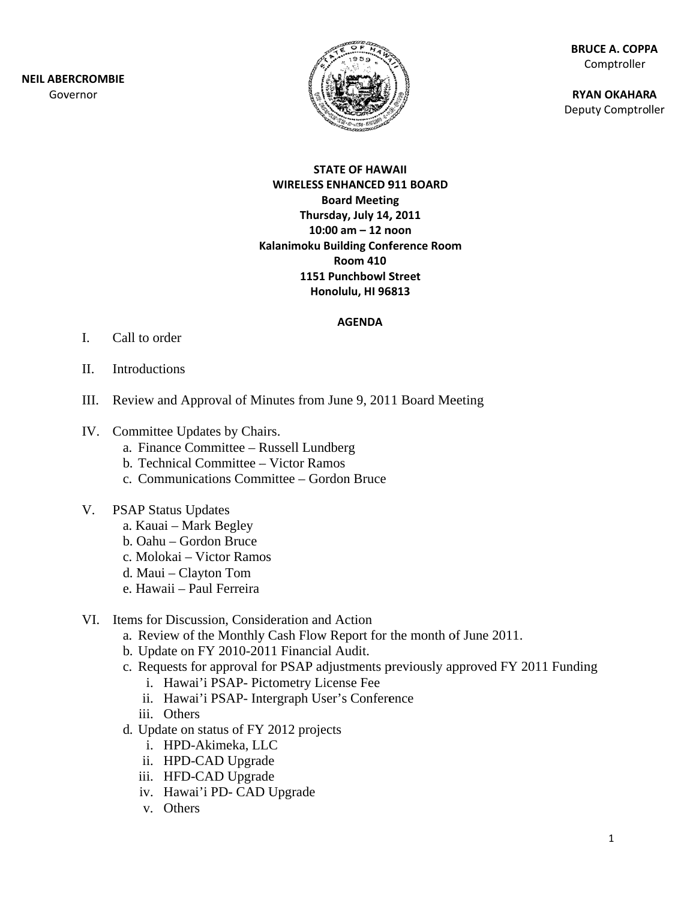**NEIL ABE RCROMBIE** Gov ernor



**BR RUCE A. COPP PA** Comptroller

**RY YAN OKAHAR A** Deputy Comptroller

### **ST TATE OF HAW WAII WIRELESS ENHANCED 9 911 BOARD B Board Meetin ng Thurs sday, July 14, , 2011 10: 00 am – 12 n noon Kalanimoku Building Conference Room 1151 Punchbowl S Street Ho nolulu, HI 96 6813 Room 410**

### **AGENDA**

- I. Call to order
- II. Introductions
- III. Review and Approval of Minutes from June 9, 2011 Board Meeting
- IV. Committee Updates by Chairs.
	- a. Finance Committee Russell Lundberg
	- b. Technical Committee Victor Ramos
	- c. Communications Committee Gordon Bruce
- V. PSAP Status Updates
	- a. Kauai Mark Begley
	- b. Oahu Gordon Bruce
	- c. Molokai Victor Ramos
	- d. Maui Clayton Tom
	- e. . Hawaii P Paul Ferreira
- VI. Items for Discussion, Consideration and Action
	- a. Review of the Monthly Cash Flow Report for the month of June 2011.
	- b. Update on FY 2010-2011 Financial Audit.
	- c. Requests for approval for PSAP adjustments previously approved FY 2011 Funding
		- i. Hawai'i PSAP- Pictometry License Fee
		- ii. Hawai'i PSAP- Intergraph User's Conference
		- iii. Other s
	- d. Update on status of FY 2012 projects
		- i. HPD-Akimeka, L LLC
		- ii. HPD-CAD Upgrade
		- iii. HFD-CAD Upgrade
		- iv. Hawai'i PD- CAD Upgrade
		- v. Other s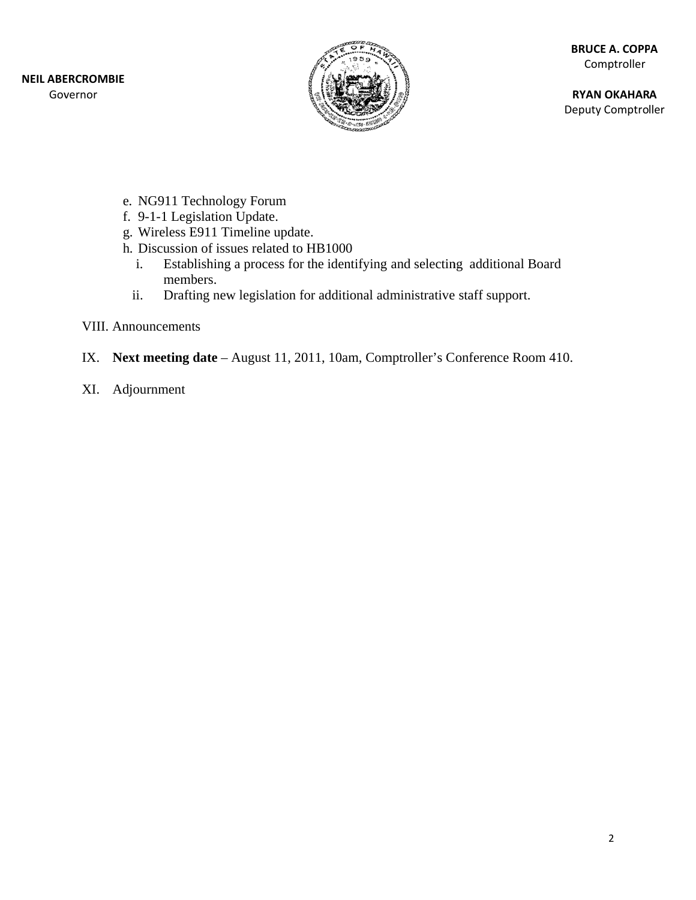

**RY YAN OKAHAR A** Deputy Comptroller

- e. NG911 Technology Forum
- f. 9-1-1 Legislation Update.
- g. Wireless E911 Timeline update.
- h. Discussion of issues related to HB1000
	- i. Establishing a process for the identifying and selecting additional Board memb bers.
	- ii. Drafting new legislation for additional administrative staff support.
- VIII. Announcements
- IX. Next meeting date August 11, 2011, 10am, Comptroller's Conference Room 410.
- XI. Adj journment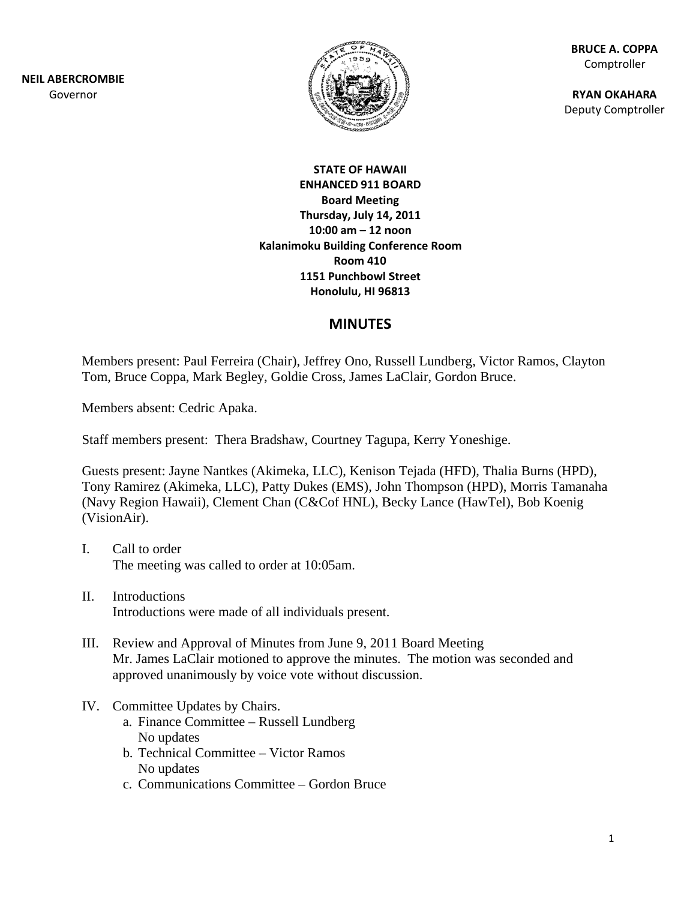**NEIL ABE RCROMBIE** Gov ernor



**BR RUCE A. COPP PA** Comptroller

**RY YAN OKAHAR A** Deputy Comptroller

## **ST TATE OF HAW WAII ENHA ANCED 911 B OARD B Board Meetin ng Thurs sday, July 14, , 2011 10: 00 am – 12 n noon Kalanimoku Building Conference Room 1151 Punchbowl S Street Ho nolulu, HI 96 6813 Room 410**

# **MINUTES S**

Members present: Paul Ferreira (Chair), Jeffrey Ono, Russell Lundberg, Victor Ramos, Clayton Tom, Bruce Coppa, Mark Begley, Goldie Cross, James LaClair, Gordon Bruce.

Members absent: Cedric Apaka.

Staff members present: Thera Bradshaw, Courtney Tagupa, Kerry Yoneshige.

Guests present: Jayne Nantkes (Akimeka, LLC), Kenison Tejada (HFD), Thalia Burns (HPD), Tony Ramirez (Akimeka, LLC), Patty Dukes (EMS), John Thompson (HPD), Morris Tamanaha (Navy Region Hawaii), Clement Chan (C&Cof HNL), Becky Lance (HawTel), Bob Koenig (VisionA Air).

- I. Call to order The meeting was called to order at 10:05am.
- II. Introductions Introductions were made of all individuals present.
- III. Review and Approval of Minutes from June 9, 2011 Board Meeting Mr. James LaClair motioned to approve the minutes. The motion was seconded and approved unanimously by voice vote without discussion.
- IV. Committee Updates by Chairs.
	- a. Finance Committee Russell Lundberg No update s
	- b. Technical Committee Victor Ramos No update s
	- c. Communications Committee Gordon Bruce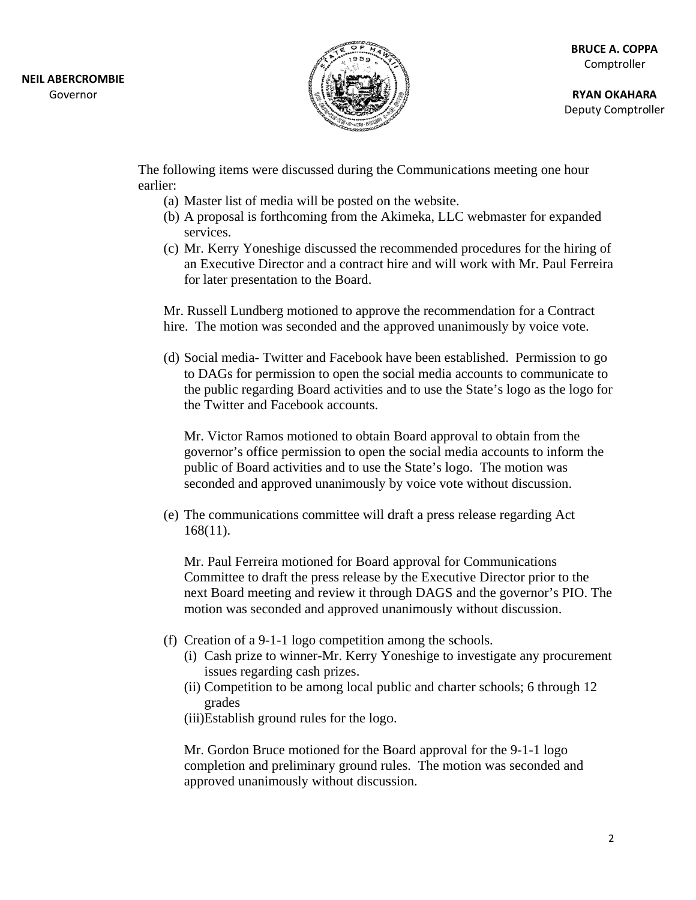

**RY YAN OKAHAR A** Deputy Comptroller

The following items were discussed during the Communications meeting one hour earlier:

- (a) Master list of media will be posted on the website.
- (b) A proposal is forthcoming from the Akimeka, LLC webmaster for expanded se rvices.
- (c) Mr. Kerry Yoneshige discussed the recommended procedures for the hiring of an Executive Director and a contract hire and will work with Mr. Paul Ferreira for later presentation to the Board.

Mr. Russell Lundberg motioned to approve the recommendation for a Contract hire. The motion was seconded and the approved unanimously by voice vote.

(d) Social media- Twitter and Facebook have been established. Permission to go to DAGs for permission to open the social media accounts to communicate to the public regarding Board activities and to use the State's logo as the logo for the Twitter and Facebook accounts.

Mr. Victor Ramos motioned to obtain Board approval to obtain from the governor's office permission to open the social media accounts to inform the public of Board activities and to use the State's logo. The motion was seconded and approved unanimously by voice vote without discussion.

(e) The communications committee will draft a press release regarding Act 16 68(11).

Mr. Paul Ferreira motioned for Board approval for Communications Committee to draft the press release by the Executive Director prior to the Committee to draft the press release by the Executive Director prior to the next Board meeting and review it through DAGS and the governor's PIO. The motion was seconded and approved unanimously without discussion.

- (f) Creation of a 9-1-1 logo competition among the schools.
	- (i) Cash prize to winner-Mr. Kerry Yoneshige to investigate any procurement issues regarding cash prizes.
	- (ii) Competition to be among local public and charter schools; 6 through 12 grades
	- (iii)Establish ground rules for the logo.

Mr. Gordon Bruce motioned for the Board approval for the 9-1-1 logo completion and preliminary ground rules. The motion was seconded and approved unanimously without discussion.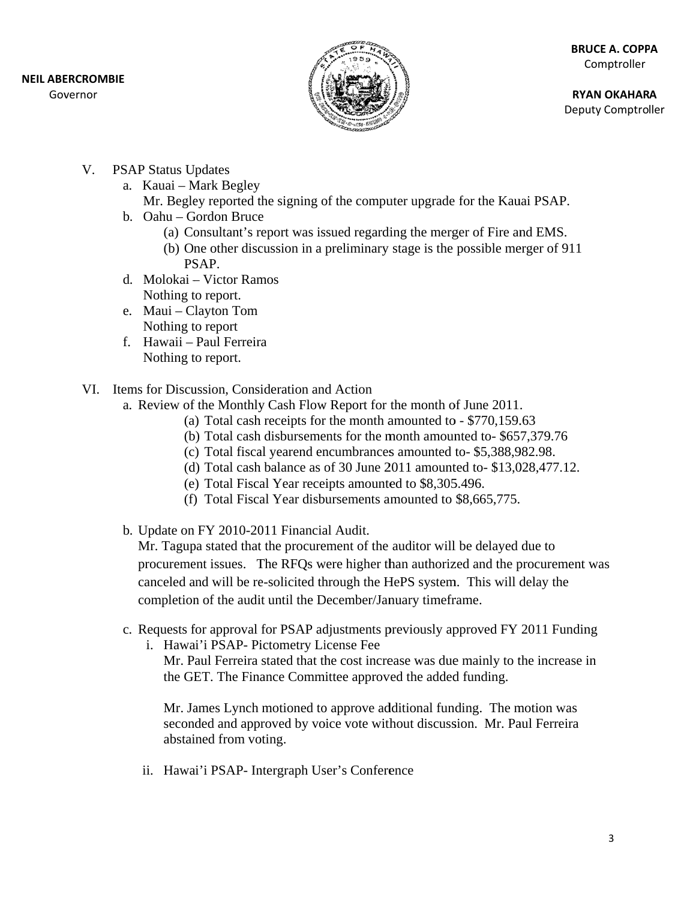### **NEIL ABE RCROMBIE**

Gov ernor



**RY YAN OKAHAR A** Deputy Comptroller

- V. PSAP Status Updates
	- a. . Kauai M Mark Begley
		- Mr. Begley reported the signing of the computer upgrade for the Kauai PSAP.
	- b . Oahu G Gordon Bruce
		- (a) Co onsultant's r ereport was is ssued regardi ing the merg ger of Fire an nd EMS.
		- (b) One other discussion in a preliminary stage is the possible merger of 911 PS SAP.
	- d. Molokai Victor Ramos Nothing to report.
	- e. . Maui C layton Tom Nothing to report
	- f. Hawaii Paul Ferreira Nothing to report.
- VI. Items for Discussion, Consideration and Action
	- a. Review of the Monthly Cash Flow Report for the month of June 2011.
		- (a) Total cash receipts for the month amounted to  $-$  \$770,159.63
		- (b) Total cash disbursements for the month amounted to- \$657,379.76
		- (c) Total fiscal yearend encumbrances amounted to-\$5,388,982.98.
		- (d) Total cash balance as of 30 June  $2011$  amounted to-\$13,028,477.12.
		- (e) Total Fiscal Year receipts amounted to \$8,305.496.
		- (f) Total Fiscal Year disbursements amounted to \$8,665,775.
	- b. Update on FY 2010-2011 Financial Audit.

Mr. Tagupa stated that the procurement of the auditor will be delayed due to procurement issues. The RFQs were higher than authorized and the procurement was canceled and will be re-solicited through the HePS system. This will delay the completion of the audit until the December/January timeframe.

- c. Requests for approval for PSAP adjustments previously approved FY 2011 Funding
	- i. Hawai'i PSAP- Pictometry License Fee

Mr. Paul Ferreira stated that the cost increase was due mainly to the increase in the GET. The Finance Committee approved the added funding.

Mr. James Lynch motioned to approve additional funding. The motion was seconded and approved by voice vote without discussion. Mr. Paul Ferreira abstained from voting.

ii. Hawai'i PSAP- Intergraph User's Conference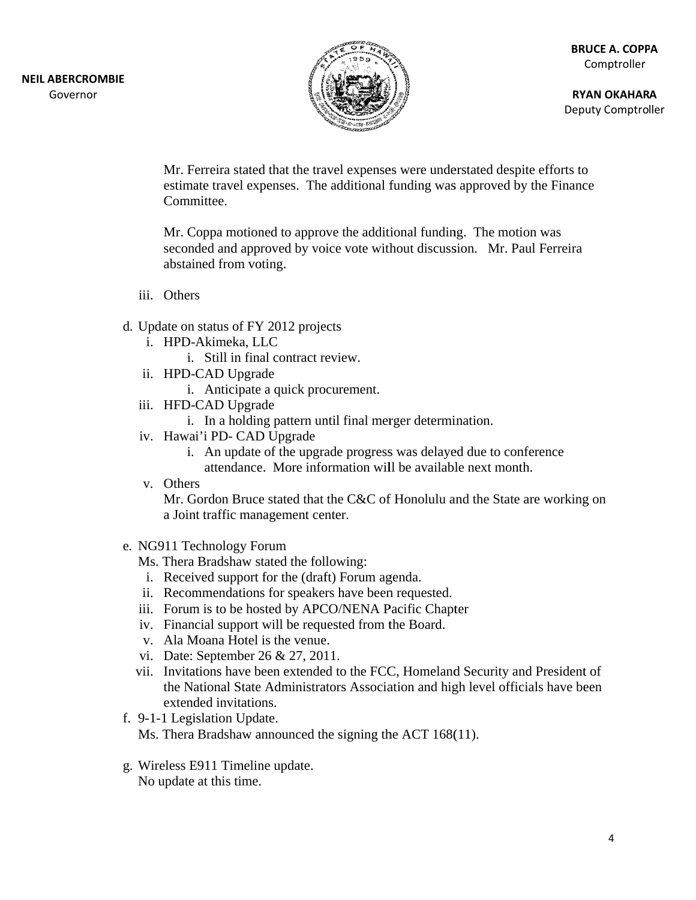

**RY YAN OKAHAR A** Deputy Comptroller

Mr. Ferreira stated that the travel expenses were understated despite efforts to Mr. Ferreira stated that the travel expenses were understated despite efforts to estimate travel expenses. The additional funding was approved by the Finance Committee.

Mr. Coppa motioned to approve the additional funding. The motion was seconded and approved by voice vote without discussion. Mr. Paul Ferreira abstained from voting. d that the travel expense<br>penses. The additional i<br>ned to approve the addit<br>proved by voice vote witl<br>bing.<br>Y 2012 projects<br>LC<br>al contract review.<br>ade<br>e a quick procurement.<br>ade<br>parade a quick procurement.<br>ade<br>of the upgra

- iii. Other s
- d. Update on status of FY 2012 projects
	- i. HPD-Akimeka, L LLC
		- i. Still in fin al contract r eview.
	- ii. HPD-CAD Upgrade
		- i. Anticipate a quick procurement.
	- iii. HFD-CAD Upgrade
		- i. In a holding pattern until final merger determination.
	- iv. Hawai'i PD- CAD Upgrade
		- i. An update of the upgrade progress was delayed due to conference
		- attendance. More information will be available next month.
	- v. Other s

Mr. Gordon Bruce stated that the C&C of Honolulu and the State are working on a Joint traffic management center.

- e. NG911 Technology Forum
	- Ms. Thera Bradshaw stated the following:
	- i. Received support for the (draft) Forum agenda.
	- ii. Recommendations for speakers have been requested.
	- iii. Forum is to be hosted by APCO/NENA Pacific Chapter
	- iv. Financial support will be requested from the Board.
	- v. Ala Moana Hotel is the venue.
	- vi. Date: September 26 & 27, 2011.
	- vii. Invitations have been extended to the FCC, Homeland Security and President of the National State Administrators Association and high level officials have been extended invitations.
- f. 9-1-1 Legislation Update.

Ms. Thera Bradshaw announced the signing the ACT 168(11).

g. Wireless E911 Timeline update. No update at this time.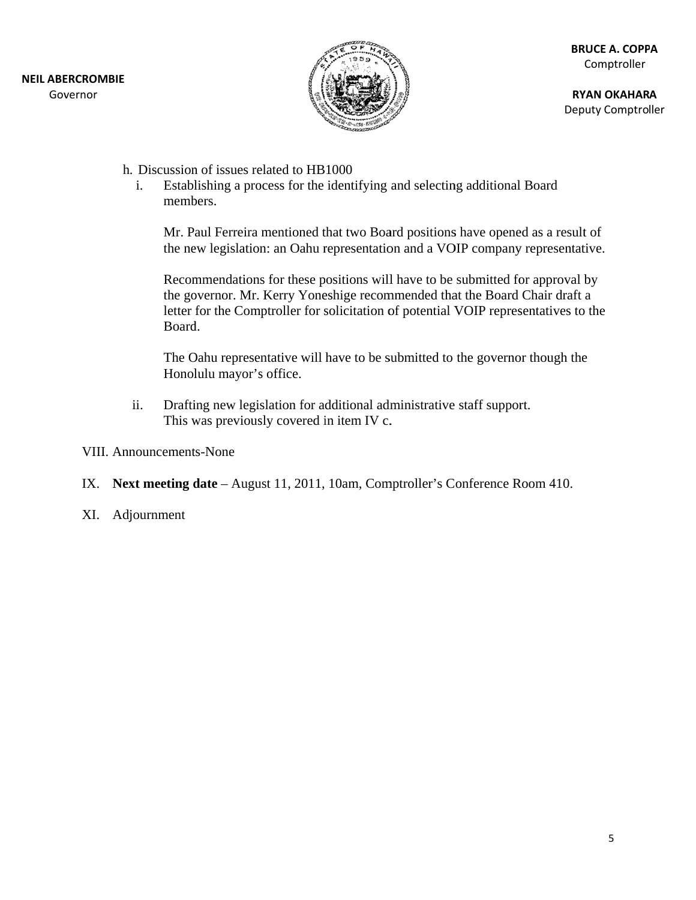

**RY YAN OKAHAR A** Deputy Comptroller RUCE A. COPPA<br>Comptroller<br>YAN OKAHARA<br><sub>Duty</sub> Comptrolle<br>It of<br>itive.<br>by<br>a<br>D the

- h. Discussion of issues related to HB1000
	- i. Establishing a process for the identifying and selecting additional Board memb bers.

Mr. Paul Ferreira mentioned that two Board positions have opened as a result of the new legislation: an Oahu representation and a VOIP company representative.

Recommendations for these positions will have to be submitted for approval by the governor. Mr. Kerry Yoneshige recommended that the Board Chair draft a letter for the Comptroller for solicitation of potential VOIP representatives to the Board.

The Oahu representative will have to be submitted to the governor though the Honolulu mayor's office.

- ii. Drafting new legislation for additional administrative staff support. This was previously covered in item IV c.
- VIII. Announcements-None
- IX. Next meeting date August 11, 2011, 10am, Comptroller's Conference Room 410.
- XI. Adj journment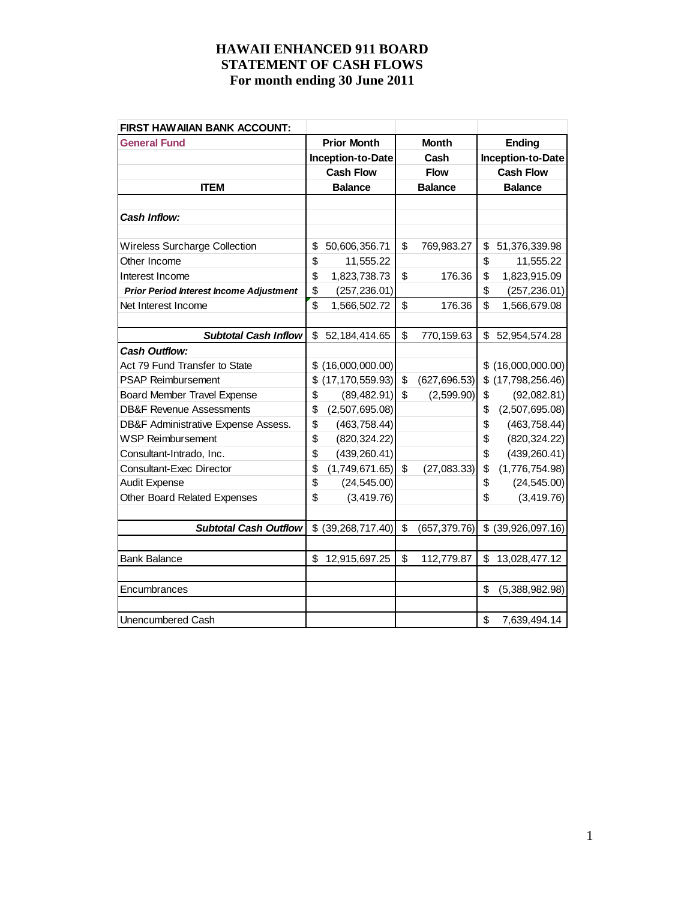| <b>FIRST HAWAIIAN BANK ACCOUNT:</b>            |                         |                     |                |                     |
|------------------------------------------------|-------------------------|---------------------|----------------|---------------------|
| <b>General Fund</b>                            | <b>Prior Month</b>      | <b>Month</b>        |                | <b>Ending</b>       |
|                                                | Inception-to-Date       | Cash                |                | Inception-to-Date   |
|                                                | <b>Cash Flow</b>        | <b>Flow</b>         |                | <b>Cash Flow</b>    |
| <b>ITEM</b>                                    | <b>Balance</b>          | <b>Balance</b>      | <b>Balance</b> |                     |
|                                                |                         |                     |                |                     |
| <b>Cash Inflow:</b>                            |                         |                     |                |                     |
|                                                |                         |                     |                |                     |
| <b>Wireless Surcharge Collection</b>           | \$<br>50,606,356.71     | \$<br>769,983.27    | \$             | 51,376,339.98       |
| Other Income                                   | \$<br>11,555.22         |                     | \$             | 11,555.22           |
| Interest Income                                | \$<br>1,823,738.73      | \$<br>176.36        | \$             | 1,823,915.09        |
| <b>Prior Period Interest Income Adjustment</b> | \$<br>(257, 236.01)     |                     | \$             | (257, 236.01)       |
| Net Interest Income                            | \$<br>1,566,502.72      | \$<br>176.36        | \$             | 1,566,679.08        |
|                                                |                         |                     |                |                     |
| <b>Subtotal Cash Inflow</b>                    | \$<br>52, 184, 414. 65  | \$<br>770,159.63    | \$             | 52,954,574.28       |
| <b>Cash Outflow:</b>                           |                         |                     |                |                     |
| Act 79 Fund Transfer to State                  | \$<br>(16,000,000.00)   |                     |                | \$ (16,000,000.00)  |
| <b>PSAP Reimbursement</b>                      | \$<br>(17, 170, 559.93) | \$<br>(627, 696.53) |                | $$$ (17,798,256.46) |
| <b>Board Member Travel Expense</b>             | \$<br>(89, 482.91)      | \$<br>(2,599.90)    | \$             | (92,082.81)         |
| <b>DB&amp;F Revenue Assessments</b>            | \$<br>(2,507,695.08)    |                     | \$             | (2,507,695.08)      |
| DB&F Administrative Expense Assess.            | \$<br>(463, 758.44)     |                     | \$             | (463, 758.44)       |
| <b>WSP Reimbursement</b>                       | \$<br>(820, 324.22)     |                     | \$             | (820, 324.22)       |
| Consultant-Intrado, Inc.                       | \$<br>(439, 260.41)     |                     | \$             | (439, 260.41)       |
| <b>Consultant-Exec Director</b>                | \$<br>(1,749,671.65)    | \$<br>(27,083.33)   | \$             | (1,776,754.98)      |
| <b>Audit Expense</b>                           | \$<br>(24, 545.00)      |                     | \$             | (24, 545.00)        |
| Other Board Related Expenses                   | \$<br>(3, 419.76)       |                     | \$             | (3,419.76)          |
|                                                |                         |                     |                |                     |
| <b>Subtotal Cash Outflow</b>                   | \$ (39, 268, 717.40)    | \$<br>(657, 379.76) |                | \$ (39,926,097.16)  |
|                                                |                         |                     |                |                     |
| <b>Bank Balance</b>                            | \$<br>12,915,697.25     | \$<br>112,779.87    | \$             | 13,028,477.12       |
|                                                |                         |                     |                |                     |
| Encumbrances                                   |                         |                     | \$             | (5,388,982.98)      |
|                                                |                         |                     |                |                     |
| Unencumbered Cash                              |                         |                     | \$             | 7,639,494.14        |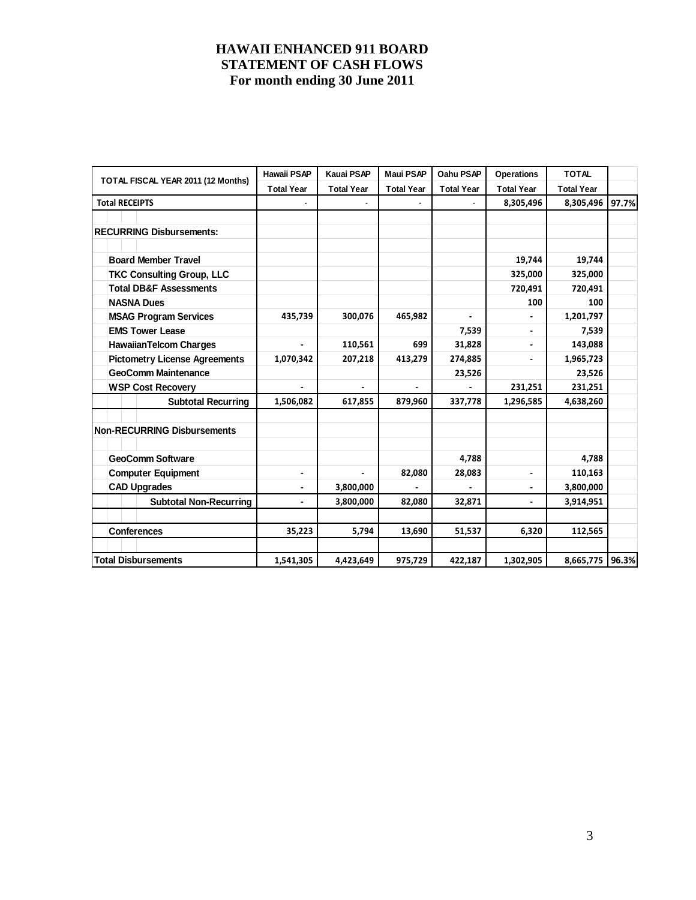| TOTAL FISCAL YEAR 2011 (12 Months)   | <b>Hawaii PSAP</b> | <b>Kauai PSAP</b> | <b>Maui PSAP</b>  | Oahu PSAP         | <b>Operations</b> | <b>TOTAL</b>      |       |
|--------------------------------------|--------------------|-------------------|-------------------|-------------------|-------------------|-------------------|-------|
|                                      | <b>Total Year</b>  | <b>Total Year</b> | <b>Total Year</b> | <b>Total Year</b> | <b>Total Year</b> | <b>Total Year</b> |       |
| <b>Total RECEIPTS</b>                |                    |                   |                   |                   | 8,305,496         | 8,305,496         | 97.7% |
|                                      |                    |                   |                   |                   |                   |                   |       |
| <b>RECURRING Disbursements:</b>      |                    |                   |                   |                   |                   |                   |       |
|                                      |                    |                   |                   |                   |                   |                   |       |
| <b>Board Member Travel</b>           |                    |                   |                   |                   | 19,744            | 19,744            |       |
| <b>TKC Consulting Group, LLC</b>     |                    |                   |                   |                   | 325,000           | 325,000           |       |
| <b>Total DB&amp;F Assessments</b>    |                    |                   |                   |                   | 720,491           | 720,491           |       |
| <b>NASNA Dues</b>                    |                    |                   |                   |                   | 100               | 100               |       |
| <b>MSAG Program Services</b>         | 435,739            | 300,076           | 465,982           |                   |                   | 1,201,797         |       |
| <b>EMS Tower Lease</b>               |                    |                   |                   | 7,539             |                   | 7,539             |       |
| <b>HawaiianTelcom Charges</b>        |                    | 110,561           | 699               | 31,828            |                   | 143,088           |       |
| <b>Pictometry License Agreements</b> | 1,070,342          | 207,218           | 413,279           | 274,885           |                   | 1,965,723         |       |
| <b>GeoComm Maintenance</b>           |                    | 23,526            |                   | 23,526            |                   |                   |       |
| <b>WSP Cost Recovery</b>             |                    |                   |                   |                   | 231,251           | 231,251           |       |
| <b>Subtotal Recurring</b>            | 1,506,082          | 617,855           | 879,960           | 337,778           | 1,296,585         | 4,638,260         |       |
|                                      |                    |                   |                   |                   |                   |                   |       |
| <b>Non-RECURRING Disbursements</b>   |                    |                   |                   |                   |                   |                   |       |
|                                      |                    |                   |                   |                   |                   |                   |       |
| <b>GeoComm Software</b>              |                    |                   |                   | 4,788             |                   | 4,788             |       |
| <b>Computer Equipment</b>            |                    |                   | 82,080            | 28,083            | -                 | 110,163           |       |
| <b>CAD Upgrades</b>                  |                    | 3,800,000         |                   |                   |                   | 3,800,000         |       |
| <b>Subtotal Non-Recurring</b>        |                    | 3,800,000         | 82,080            | 32,871            | ٠                 | 3,914,951         |       |
|                                      |                    |                   |                   |                   |                   |                   |       |
| <b>Conferences</b>                   | 35,223             | 5,794             | 13,690            | 51,537            | 6,320             | 112,565           |       |
|                                      |                    |                   |                   |                   |                   |                   |       |
| <b>Total Disbursements</b>           | 1,541,305          | 4,423,649         | 975,729           | 422,187           | 1,302,905         | 8,665,775 96.3%   |       |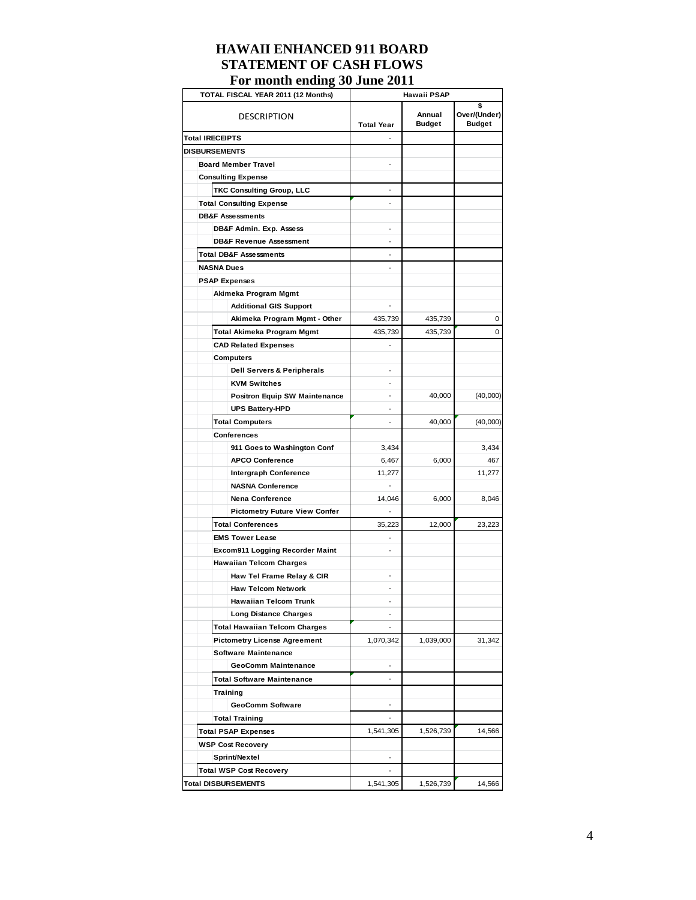# **HAWAII ENHANCED 911 BOARD STATEMENT OF CASH FLOWS**

**For month ending 30 June 2011** 

| TOTAL FISCAL YEAR 2011 (12 Months)    |                   | Hawaii PSAP             |                                     |
|---------------------------------------|-------------------|-------------------------|-------------------------------------|
| DESCRIPTION                           | <b>Total Year</b> | Annual<br><b>Budget</b> | \$<br>Over/(Under)<br><b>Budget</b> |
| <b>Total IRECEIPTS</b>                |                   |                         |                                     |
| <b>DISBURSEMENTS</b>                  |                   |                         |                                     |
| <b>Board Member Travel</b>            |                   |                         |                                     |
| <b>Consulting Expense</b>             |                   |                         |                                     |
| <b>TKC Consulting Group, LLC</b>      | -                 |                         |                                     |
| <b>Total Consulting Expense</b>       |                   |                         |                                     |
| <b>DB&amp;F Assessments</b>           |                   |                         |                                     |
| DB&F Admin. Exp. Assess               |                   |                         |                                     |
| <b>DB&amp;F Revenue Assessment</b>    |                   |                         |                                     |
| <b>Total DB&amp;F Assessments</b>     |                   |                         |                                     |
| <b>NASNA Dues</b>                     |                   |                         |                                     |
|                                       |                   |                         |                                     |
| <b>PSAP Expenses</b>                  |                   |                         |                                     |
| Akimeka Program Mgmt                  |                   |                         |                                     |
| <b>Additional GIS Support</b>         |                   |                         |                                     |
| Akimeka Program Mgmt - Other          | 435,739           | 435,739                 | 0                                   |
| Total Akimeka Program Mgmt            | 435,739           | 435,739                 | 0                                   |
| <b>CAD Related Expenses</b>           |                   |                         |                                     |
| <b>Computers</b>                      |                   |                         |                                     |
| <b>Dell Servers &amp; Peripherals</b> |                   |                         |                                     |
| <b>KVM Switches</b>                   |                   |                         |                                     |
| <b>Positron Equip SW Maintenance</b>  |                   | 40,000                  | (40,000)                            |
| <b>UPS Battery-HPD</b>                |                   |                         |                                     |
| <b>Total Computers</b>                | -                 | 40,000                  | (40,000)                            |
| Conferences                           |                   |                         |                                     |
| 911 Goes to Washington Conf           | 3,434             |                         | 3,434                               |
| <b>APCO Conference</b>                | 6,467             | 6,000                   | 467                                 |
| <b>Intergraph Conference</b>          | 11,277            |                         | 11,277                              |
| <b>NASNA Conference</b>               |                   |                         |                                     |
| <b>Nena Conference</b>                | 14,046            | 6,000                   | 8,046                               |
| <b>Pictometry Future View Confer</b>  | $\overline{a}$    |                         |                                     |
| <b>Total Conferences</b>              | 35,223            | 12,000                  | 23,223                              |
| <b>EMS Tower Lease</b>                | -                 |                         |                                     |
| Excom911 Logging Recorder Maint       |                   |                         |                                     |
| <b>Hawaiian Telcom Charges</b>        |                   |                         |                                     |
| Haw Tel Frame Relay & CIR             |                   |                         |                                     |
| <b>Haw Telcom Network</b>             |                   |                         |                                     |
| <b>Hawaiian Telcom Trunk</b>          |                   |                         |                                     |
| <b>Long Distance Charges</b>          | $\overline{a}$    |                         |                                     |
| <b>Total Hawaiian Telcom Charges</b>  | $\frac{1}{2}$     |                         |                                     |
| <b>Pictometry License Agreement</b>   | 1,070,342         | 1,039,000               | 31,342                              |
| <b>Software Maintenance</b>           |                   |                         |                                     |
| <b>GeoComm Maintenance</b>            |                   |                         |                                     |
| <b>Total Software Maintenance</b>     | $\overline{a}$    |                         |                                     |
| <b>Training</b>                       |                   |                         |                                     |
| <b>GeoComm Software</b>               |                   |                         |                                     |
| <b>Total Training</b>                 |                   |                         |                                     |
| <b>Total PSAP Expenses</b>            | 1,541,305         | 1,526,739               | 14,566                              |
| <b>WSP Cost Recovery</b>              |                   |                         |                                     |
| Sprint/Nextel                         |                   |                         |                                     |
| <b>Total WSP Cost Recovery</b>        | $\frac{1}{2}$     |                         |                                     |
|                                       |                   |                         |                                     |
| <b>Total DISBURSEMENTS</b>            | 1,541,305         | 1,526,739               | 14,566                              |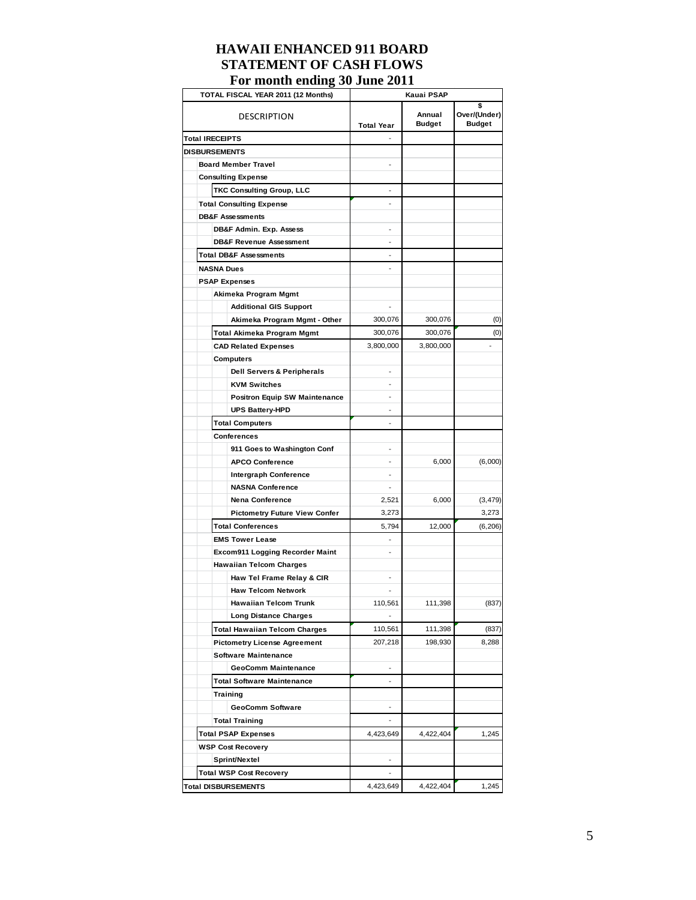| 1 of month chaing co cane <i>i</i>   | .                        |                         |                                    |
|--------------------------------------|--------------------------|-------------------------|------------------------------------|
| TOTAL FISCAL YEAR 2011 (12 Months)   |                          | Kauai PSAP              |                                    |
| DESCRIPTION                          | <b>Total Year</b>        | Annual<br><b>Budget</b> | s<br>Over/(Under)<br><b>Budget</b> |
| <b>Total IRECEIPTS</b>               |                          |                         |                                    |
| <b>DISBURSEMENTS</b>                 |                          |                         |                                    |
| <b>Board Member Travel</b>           |                          |                         |                                    |
| <b>Consulting Expense</b>            |                          |                         |                                    |
| TKC Consulting Group, LLC            |                          |                         |                                    |
| <b>Total Consulting Expense</b>      |                          |                         |                                    |
| <b>DB&amp;F Assessments</b>          |                          |                         |                                    |
| DB&F Admin. Exp. Assess              |                          |                         |                                    |
| <b>DB&amp;F Revenue Assessment</b>   |                          |                         |                                    |
| <b>Total DB&amp;F Assessments</b>    |                          |                         |                                    |
| <b>NASNA Dues</b>                    |                          |                         |                                    |
| <b>PSAP Expenses</b>                 |                          |                         |                                    |
| Akimeka Program Mgmt                 |                          |                         |                                    |
| <b>Additional GIS Support</b>        |                          |                         |                                    |
| Akimeka Program Mgmt - Other         | 300,076                  | 300,076                 | (0)                                |
| Total Akimeka Program Mgmt           | 300,076                  | 300,076                 | (0)                                |
| <b>CAD Related Expenses</b>          | 3,800,000                | 3,800,000               |                                    |
|                                      |                          |                         |                                    |
| Computers                            |                          |                         |                                    |
| Dell Servers & Peripherals           |                          |                         |                                    |
| <b>KVM Switches</b>                  |                          |                         |                                    |
| <b>Positron Equip SW Maintenance</b> |                          |                         |                                    |
| <b>UPS Battery-HPD</b>               |                          |                         |                                    |
| <b>Total Computers</b>               |                          |                         |                                    |
| <b>Conferences</b>                   |                          |                         |                                    |
| 911 Goes to Washington Conf          |                          |                         |                                    |
| <b>APCO Conference</b>               |                          | 6,000                   | (6,000)                            |
| Intergraph Conference                |                          |                         |                                    |
| <b>NASNA Conference</b>              |                          |                         |                                    |
| Nena Conference                      | 2,521                    | 6,000                   | (3, 479)                           |
| <b>Pictometry Future View Confer</b> | 3,273                    |                         | 3,273                              |
| <b>Total Conferences</b>             | 5.794                    | 12,000                  | (6, 206)                           |
| <b>EMS Tower Lease</b>               |                          |                         |                                    |
| Excom911 Logging Recorder Maint      |                          |                         |                                    |
| <b>Hawaiian Telcom Charges</b>       |                          |                         |                                    |
| Haw Tel Frame Relay & CIR            |                          |                         |                                    |
| <b>Haw Telcom Network</b>            |                          |                         |                                    |
| <b>Hawaiian Telcom Trunk</b>         | 110,561                  | 111,398                 | (837)                              |
| <b>Long Distance Charges</b>         |                          |                         |                                    |
| <b>Total Hawaiian Telcom Charges</b> | 110,561                  | 111,398                 | (837)                              |
| <b>Pictometry License Agreement</b>  | 207,218                  | 198,930                 | 8,288                              |
| <b>Software Maintenance</b>          |                          |                         |                                    |
| GeoComm Maintenance                  | $\overline{a}$           |                         |                                    |
| <b>Total Software Maintenance</b>    | $\overline{\phantom{0}}$ |                         |                                    |
| Training                             |                          |                         |                                    |
| GeoComm Software                     | -                        |                         |                                    |
| <b>Total Training</b>                | -                        |                         |                                    |
| <b>Total PSAP Expenses</b>           | 4,423,649                | 4,422,404               | 1,245                              |
| <b>WSP Cost Recovery</b>             |                          |                         |                                    |
|                                      |                          |                         |                                    |
| Sprint/Nextel                        |                          |                         |                                    |
| <b>Total WSP Cost Recovery</b>       |                          |                         |                                    |
| <b>Total DISBURSEMENTS</b>           | 4,423,649                | 4,422,404               | 1,245                              |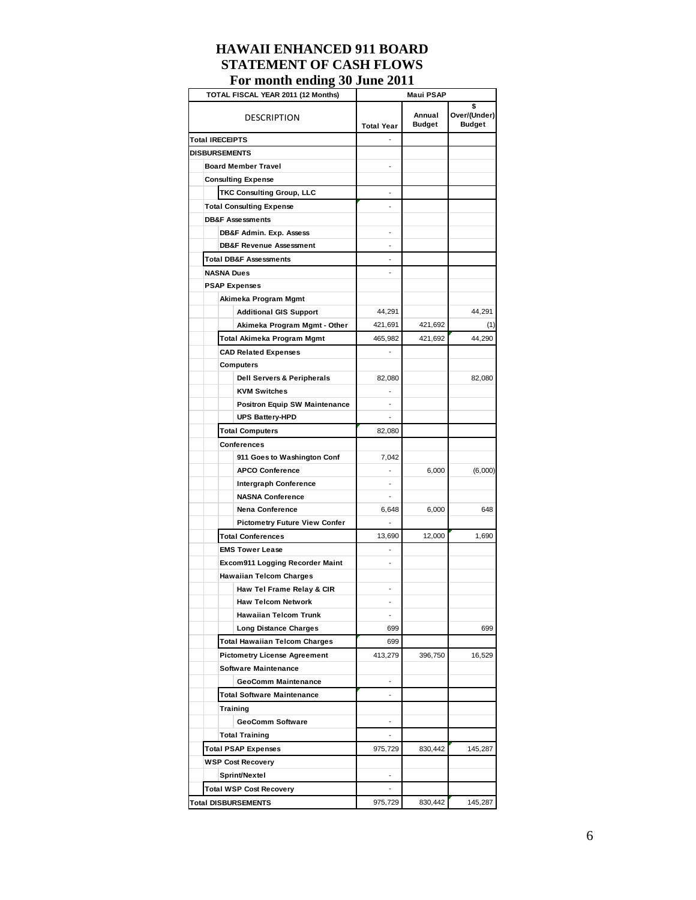| TOTAL FISCAL YEAR 2011 (12 Months)     | <b>Maui PSAP</b>         |                         |                                     |  |  |  |
|----------------------------------------|--------------------------|-------------------------|-------------------------------------|--|--|--|
| <b>DESCRIPTION</b>                     | <b>Total Year</b>        | Annual<br><b>Budget</b> | \$<br>Over/(Under)<br><b>Budget</b> |  |  |  |
| <b>Total IRECEIPTS</b>                 |                          |                         |                                     |  |  |  |
| <b>DISBURSEMENTS</b>                   |                          |                         |                                     |  |  |  |
| <b>Board Member Travel</b>             |                          |                         |                                     |  |  |  |
| <b>Consulting Expense</b>              |                          |                         |                                     |  |  |  |
| <b>TKC Consulting Group, LLC</b>       |                          |                         |                                     |  |  |  |
| <b>Total Consulting Expense</b>        |                          |                         |                                     |  |  |  |
| <b>DB&amp;F Assessments</b>            |                          |                         |                                     |  |  |  |
| DB&F Admin. Exp. Assess                |                          |                         |                                     |  |  |  |
| <b>DB&amp;F Revenue Assessment</b>     | $\overline{a}$           |                         |                                     |  |  |  |
| <b>Total DB&amp;F Assessments</b>      | ÷,                       |                         |                                     |  |  |  |
| <b>NASNA Dues</b>                      | $\overline{a}$           |                         |                                     |  |  |  |
| <b>PSAP Expenses</b>                   |                          |                         |                                     |  |  |  |
| Akimeka Program Mgmt                   |                          |                         |                                     |  |  |  |
| <b>Additional GIS Support</b>          | 44,291                   |                         | 44,291                              |  |  |  |
| Akimeka Program Mgmt - Other           | 421,691                  | 421,692                 | (1)                                 |  |  |  |
| Total Akimeka Program Mgmt             | 465,982                  | 421,692                 | 44,290                              |  |  |  |
| <b>CAD Related Expenses</b>            | $\overline{a}$           |                         |                                     |  |  |  |
| Computers                              |                          |                         |                                     |  |  |  |
| <b>Dell Servers &amp; Peripherals</b>  | 82,080                   |                         | 82,080                              |  |  |  |
| <b>KVM Switches</b>                    |                          |                         |                                     |  |  |  |
| <b>Positron Equip SW Maintenance</b>   |                          |                         |                                     |  |  |  |
| <b>UPS Battery-HPD</b>                 |                          |                         |                                     |  |  |  |
| <b>Total Computers</b>                 | 82,080                   |                         |                                     |  |  |  |
| Conferences                            |                          |                         |                                     |  |  |  |
| 911 Goes to Washington Conf            | 7,042                    |                         |                                     |  |  |  |
| <b>APCO Conference</b>                 | ÷,                       | 6,000                   | (6,000)                             |  |  |  |
| <b>Intergraph Conference</b>           | $\overline{\phantom{a}}$ |                         |                                     |  |  |  |
| <b>NASNA Conference</b>                | $\overline{a}$           |                         |                                     |  |  |  |
| <b>Nena Conference</b>                 | 6,648                    | 6,000                   | 648                                 |  |  |  |
| <b>Pictometry Future View Confer</b>   | $\overline{a}$           |                         |                                     |  |  |  |
| <b>Total Conferences</b>               | 13,690                   | 12,000                  | 1,690                               |  |  |  |
| <b>EMS Tower Lease</b>                 | $\overline{a}$           |                         |                                     |  |  |  |
| <b>Excom911 Logging Recorder Maint</b> | $\overline{a}$           |                         |                                     |  |  |  |
| <b>Hawaiian Telcom Charges</b>         |                          |                         |                                     |  |  |  |
| Haw Tel Frame Relay & CIR              |                          |                         |                                     |  |  |  |
| <b>Haw Telcom Network</b>              |                          |                         |                                     |  |  |  |
| <b>Hawaiian Telcom Trunk</b>           | $\overline{a}$           |                         |                                     |  |  |  |
| <b>Long Distance Charges</b>           | 699                      |                         | 699                                 |  |  |  |
| <b>Total Hawaiian Telcom Charges</b>   | 699                      |                         |                                     |  |  |  |
| <b>Pictometry License Agreement</b>    | 413,279                  | 396,750                 | 16,529                              |  |  |  |
| <b>Software Maintenance</b>            |                          |                         |                                     |  |  |  |
| GeoComm Maintenance                    | ۰                        |                         |                                     |  |  |  |
| <b>Total Software Maintenance</b>      | $\overline{\phantom{a}}$ |                         |                                     |  |  |  |
| Training                               |                          |                         |                                     |  |  |  |
| GeoComm Software                       | $\overline{\phantom{a}}$ |                         |                                     |  |  |  |
| <b>Total Training</b>                  | $\overline{\phantom{a}}$ |                         |                                     |  |  |  |
| <b>Total PSAP Expenses</b>             | 975,729                  | 830,442                 | 145,287                             |  |  |  |
| <b>WSP Cost Recovery</b>               |                          |                         |                                     |  |  |  |
| Sprint/Nextel                          |                          |                         |                                     |  |  |  |
|                                        |                          |                         |                                     |  |  |  |
| <b>Total WSP Cost Recovery</b>         | 975,729                  | 830,442                 | 145,287                             |  |  |  |
| Total DISBURSEMENTS                    |                          |                         |                                     |  |  |  |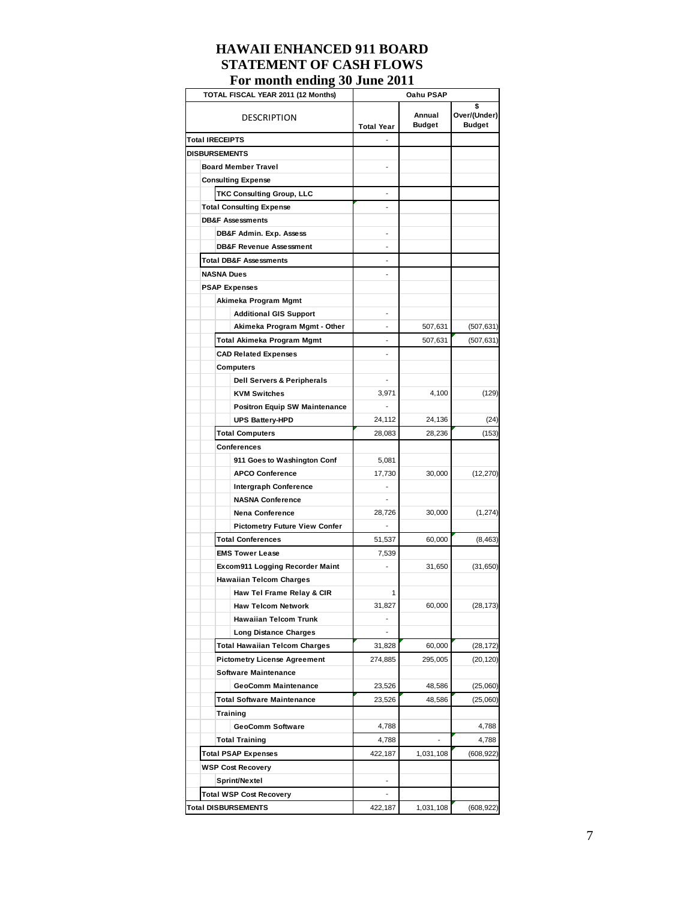| r or mionium chiuma<br>$\ddot{\phantom{0}}$<br>TOTAL FISCAL YEAR 2011 (12 Months) | Oahu PSAP                |                         |                                     |  |  |  |  |
|-----------------------------------------------------------------------------------|--------------------------|-------------------------|-------------------------------------|--|--|--|--|
| <b>DESCRIPTION</b>                                                                | <b>Total Year</b>        | Annual<br><b>Budget</b> | \$<br>Over/(Under)<br><b>Budget</b> |  |  |  |  |
| <b>Total IRECEIPTS</b>                                                            |                          |                         |                                     |  |  |  |  |
| <b>DISBURSEMENTS</b>                                                              |                          |                         |                                     |  |  |  |  |
| <b>Board Member Travel</b>                                                        |                          |                         |                                     |  |  |  |  |
| <b>Consulting Expense</b>                                                         |                          |                         |                                     |  |  |  |  |
| <b>TKC Consulting Group, LLC</b>                                                  |                          |                         |                                     |  |  |  |  |
| <b>Total Consulting Expense</b>                                                   |                          |                         |                                     |  |  |  |  |
| <b>DB&amp;F Assessments</b>                                                       |                          |                         |                                     |  |  |  |  |
| DB&F Admin. Exp. Assess                                                           |                          |                         |                                     |  |  |  |  |
| <b>DB&amp;F Revenue Assessment</b>                                                |                          |                         |                                     |  |  |  |  |
| <b>Total DB&amp;F Assessments</b>                                                 |                          |                         |                                     |  |  |  |  |
| <b>NASNA Dues</b>                                                                 |                          |                         |                                     |  |  |  |  |
| <b>PSAP Expenses</b>                                                              |                          |                         |                                     |  |  |  |  |
| Akimeka Program Mgmt                                                              |                          |                         |                                     |  |  |  |  |
| <b>Additional GIS Support</b>                                                     |                          |                         |                                     |  |  |  |  |
| Akimeka Program Mgmt - Other                                                      |                          | 507,631                 | (507, 631)                          |  |  |  |  |
| <b>Total Akimeka Program Mgmt</b>                                                 | $\overline{\phantom{a}}$ | 507,631                 | (507, 631)                          |  |  |  |  |
| <b>CAD Related Expenses</b>                                                       | $\overline{a}$           |                         |                                     |  |  |  |  |
| Computers                                                                         |                          |                         |                                     |  |  |  |  |
| <b>Dell Servers &amp; Peripherals</b>                                             |                          |                         |                                     |  |  |  |  |
| <b>KVM Switches</b>                                                               | 3,971                    | 4,100                   | (129)                               |  |  |  |  |
| <b>Positron Equip SW Maintenance</b>                                              |                          |                         |                                     |  |  |  |  |
| <b>UPS Battery-HPD</b>                                                            | 24,112                   | 24,136                  | (24)                                |  |  |  |  |
| <b>Total Computers</b>                                                            |                          | 28,236                  | (153)                               |  |  |  |  |
| Conferences                                                                       |                          |                         |                                     |  |  |  |  |
| 911 Goes to Washington Conf                                                       | 5,081                    |                         |                                     |  |  |  |  |
| <b>APCO Conference</b>                                                            | 17,730                   | 30,000                  | (12, 270)                           |  |  |  |  |
| <b>Intergraph Conference</b>                                                      |                          |                         |                                     |  |  |  |  |
| <b>NASNA Conference</b>                                                           |                          |                         |                                     |  |  |  |  |
| <b>Nena Conference</b>                                                            | 28,726                   | 30,000                  | (1, 274)                            |  |  |  |  |
| <b>Pictometry Future View Confer</b>                                              |                          |                         |                                     |  |  |  |  |
| <b>Total Conferences</b>                                                          | 51,537                   | 60,000                  | (8, 463)                            |  |  |  |  |
| <b>EMS Tower Lease</b>                                                            | 7,539                    |                         |                                     |  |  |  |  |
| Excom911 Logging Recorder Maint                                                   |                          | 31,650                  | (31, 650)                           |  |  |  |  |
| <b>Hawaiian Telcom Charges</b>                                                    |                          |                         |                                     |  |  |  |  |
| Haw Tel Frame Relay & CIR                                                         | 1                        |                         |                                     |  |  |  |  |
| <b>Haw Telcom Network</b>                                                         | 31,827                   | 60,000                  | (28, 173)                           |  |  |  |  |
| <b>Hawaiian Telcom Trunk</b>                                                      |                          |                         |                                     |  |  |  |  |
| <b>Long Distance Charges</b>                                                      |                          |                         |                                     |  |  |  |  |
| <b>Total Hawaiian Telcom Charges</b>                                              | 31,828                   | 60,000                  | (28, 172)                           |  |  |  |  |
| <b>Pictometry License Agreement</b>                                               | 274,885                  | 295,005                 | (20, 120)                           |  |  |  |  |
| <b>Software Maintenance</b>                                                       |                          |                         |                                     |  |  |  |  |
| <b>GeoComm Maintenance</b>                                                        | 23,526                   | 48,586                  | (25,060)                            |  |  |  |  |
| <b>Total Software Maintenance</b>                                                 | 23,526                   | 48,586                  | (25,060)                            |  |  |  |  |
| Training                                                                          |                          |                         |                                     |  |  |  |  |
| <b>GeoComm Software</b>                                                           | 4,788                    |                         | 4,788                               |  |  |  |  |
| <b>Total Training</b>                                                             | 4,788                    |                         | 4,788                               |  |  |  |  |
| Total PSAP Expenses                                                               | 422,187                  | 1,031,108               | (608, 922)                          |  |  |  |  |
| <b>WSP Cost Recovery</b>                                                          |                          |                         |                                     |  |  |  |  |
| Sprint/Nextel                                                                     |                          |                         |                                     |  |  |  |  |
| <b>Total WSP Cost Recovery</b>                                                    |                          |                         |                                     |  |  |  |  |
| <b>Total DISBURSEMENTS</b>                                                        | 422,187                  | 1,031,108               | (608, 922)                          |  |  |  |  |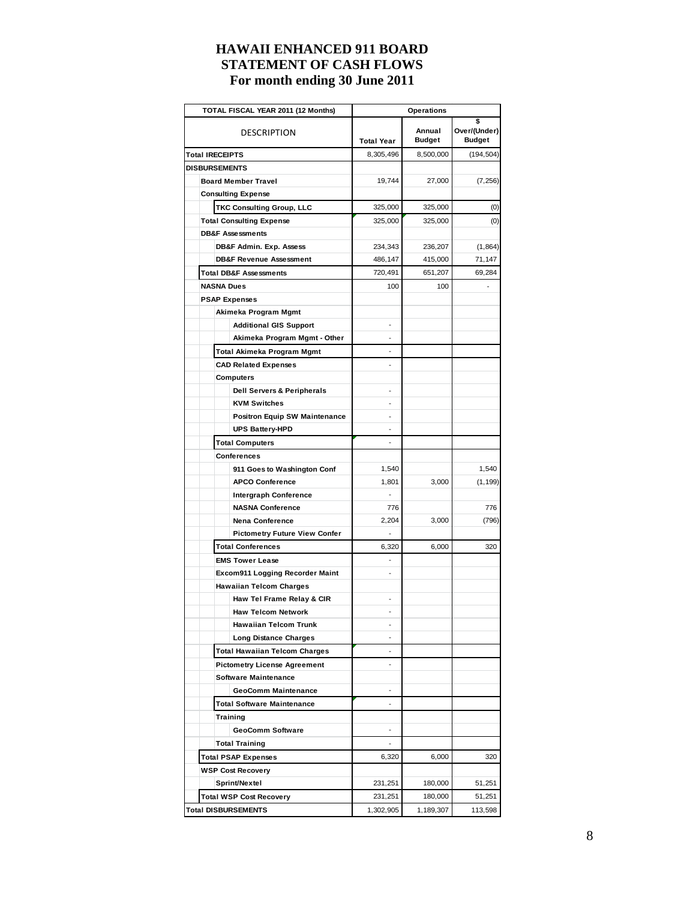| TOTAL FISCAL YEAR 2011 (12 Months)   | Operations               |                         |                                     |  |  |  |
|--------------------------------------|--------------------------|-------------------------|-------------------------------------|--|--|--|
| DESCRIPTION                          | <b>Total Year</b>        | Annual<br><b>Budget</b> | \$<br>Over/(Under)<br><b>Budget</b> |  |  |  |
| <b>Total IRECEIPTS</b>               | 8,305,496                | 8,500,000               | (194, 504)                          |  |  |  |
| <b>DISBURSEMENTS</b>                 |                          |                         |                                     |  |  |  |
| <b>Board Member Travel</b>           | 19,744                   | 27,000                  | (7, 256)                            |  |  |  |
| <b>Consulting Expense</b>            |                          |                         |                                     |  |  |  |
| <b>TKC Consulting Group, LLC</b>     | 325,000                  | 325,000                 | (0)                                 |  |  |  |
| <b>Total Consulting Expense</b>      | 325,000                  | 325,000                 | (0)                                 |  |  |  |
| <b>DB&amp;F Assessments</b>          |                          |                         |                                     |  |  |  |
| DB&F Admin. Exp. Assess              | 234,343                  | 236,207                 | (1,864)                             |  |  |  |
| <b>DB&amp;F Revenue Assessment</b>   | 486,147                  | 415,000                 | 71,147                              |  |  |  |
| <b>Total DB&amp;F Assessments</b>    | 720,491                  | 651,207                 | 69,284                              |  |  |  |
| <b>NASNA Dues</b>                    | 100                      | 100                     |                                     |  |  |  |
| <b>PSAP Expenses</b>                 |                          |                         |                                     |  |  |  |
| Akimeka Program Mgmt                 |                          |                         |                                     |  |  |  |
| <b>Additional GIS Support</b>        |                          |                         |                                     |  |  |  |
| Akimeka Program Mgmt - Other         |                          |                         |                                     |  |  |  |
| Total Akimeka Program Mgmt           |                          |                         |                                     |  |  |  |
| <b>CAD Related Expenses</b>          |                          |                         |                                     |  |  |  |
| Computers                            |                          |                         |                                     |  |  |  |
| Dell Servers & Peripherals           | $\overline{a}$           |                         |                                     |  |  |  |
| <b>KVM Switches</b>                  |                          |                         |                                     |  |  |  |
| <b>Positron Equip SW Maintenance</b> |                          |                         |                                     |  |  |  |
| <b>UPS Battery-HPD</b>               |                          |                         |                                     |  |  |  |
| <b>Total Computers</b>               |                          |                         |                                     |  |  |  |
| Conferences                          |                          |                         |                                     |  |  |  |
| 911 Goes to Washington Conf          | 1,540                    |                         | 1,540                               |  |  |  |
| <b>APCO Conference</b>               | 1,801                    | 3,000                   | (1, 199)                            |  |  |  |
| <b>Intergraph Conference</b>         |                          |                         |                                     |  |  |  |
| <b>NASNA Conference</b>              | 776                      |                         | 776                                 |  |  |  |
| <b>Nena Conference</b>               | 2,204                    | 3,000                   | (796)                               |  |  |  |
| <b>Pictometry Future View Confer</b> | $\overline{\phantom{a}}$ |                         |                                     |  |  |  |
| <b>Total Conferences</b>             | 6,320                    | 6,000                   | 320                                 |  |  |  |
| <b>EMS Tower Lease</b>               | -                        |                         |                                     |  |  |  |
| Excom911 Logging Recorder Maint      | $\overline{a}$           |                         |                                     |  |  |  |
| <b>Hawaiian Telcom Charges</b>       |                          |                         |                                     |  |  |  |
| Haw Tel Frame Relay & CIR            |                          |                         |                                     |  |  |  |
| Haw Telcom Network                   |                          |                         |                                     |  |  |  |
| <b>Hawaiian Telcom Trunk</b>         |                          |                         |                                     |  |  |  |
| <b>Long Distance Charges</b>         |                          |                         |                                     |  |  |  |
| <b>Total Hawaiian Telcom Charges</b> |                          |                         |                                     |  |  |  |
| <b>Pictometry License Agreement</b>  | $\overline{a}$           |                         |                                     |  |  |  |
| <b>Software Maintenance</b>          |                          |                         |                                     |  |  |  |
| GeoComm Maintenance                  | $\overline{a}$           |                         |                                     |  |  |  |
| <b>Total Software Maintenance</b>    | $\overline{\phantom{a}}$ |                         |                                     |  |  |  |
| Training                             |                          |                         |                                     |  |  |  |
| <b>GeoComm Software</b>              |                          |                         |                                     |  |  |  |
| <b>Total Training</b>                |                          |                         |                                     |  |  |  |
| <b>Total PSAP Expenses</b>           | 6,320                    | 6,000                   | 320                                 |  |  |  |
| <b>WSP Cost Recovery</b>             |                          |                         |                                     |  |  |  |
| Sprint/Nextel                        | 231,251                  | 180,000                 | 51,251                              |  |  |  |
| <b>Total WSP Cost Recovery</b>       | 231,251                  | 180,000                 | 51,251                              |  |  |  |
| <b>Total DISBURSEMENTS</b>           | 1,302,905                | 1,189,307               | 113,598                             |  |  |  |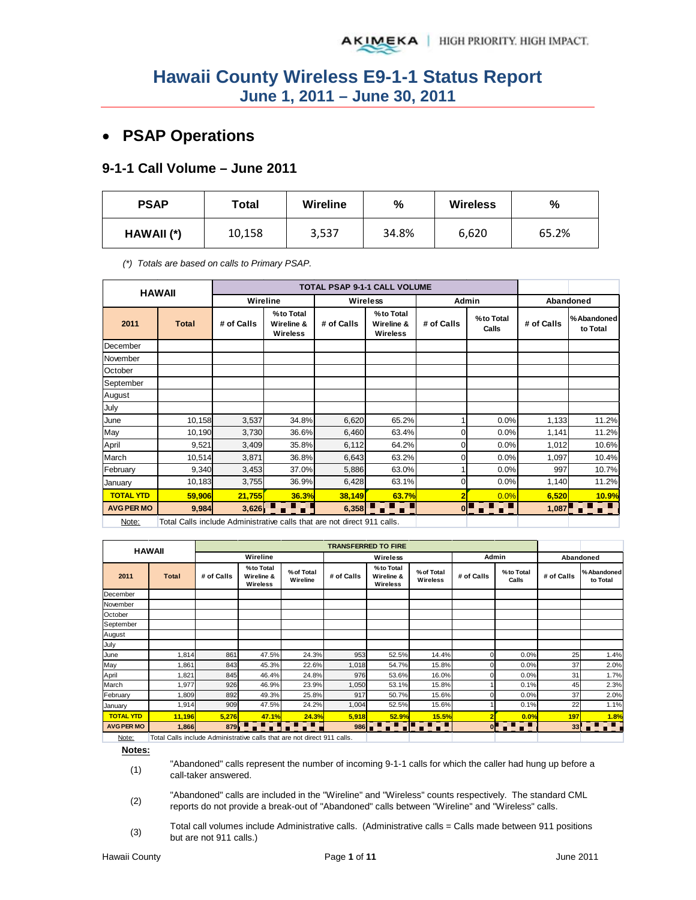# • **PSAP Operations**

### **9-1-1 Call Volume – June 2011**

| <b>PSAP</b> | Total  | <b>Wireline</b> | %     | <b>Wireless</b> | %     |
|-------------|--------|-----------------|-------|-----------------|-------|
| HAWAII (*)  | 10,158 | 3,537           | 34.8% | 6,620           | 65.2% |

*(\*) Totals are based on calls to Primary PSAP.* 

|                   | <b>HAWAII</b>                                                           |            |                                            |            | TOTAL PSAP 9-1-1 CALL VOLUME         |                |                    |            |                        |
|-------------------|-------------------------------------------------------------------------|------------|--------------------------------------------|------------|--------------------------------------|----------------|--------------------|------------|------------------------|
|                   |                                                                         | Wireline   |                                            |            | Wireless                             |                | Admin              |            | Abandoned              |
| 2011              | <b>Total</b>                                                            | # of Calls | %to Total<br>Wireline &<br><b>Wireless</b> | # of Calls | % to Total<br>Wireline &<br>Wireless | # of Calls     | %to Total<br>Calls | # of Calls | %Abandoned<br>to Total |
| December          |                                                                         |            |                                            |            |                                      |                |                    |            |                        |
| November          |                                                                         |            |                                            |            |                                      |                |                    |            |                        |
| October           |                                                                         |            |                                            |            |                                      |                |                    |            |                        |
| September         |                                                                         |            |                                            |            |                                      |                |                    |            |                        |
| August            |                                                                         |            |                                            |            |                                      |                |                    |            |                        |
| July              |                                                                         |            |                                            |            |                                      |                |                    |            |                        |
| June              | 10,158                                                                  | 3,537      | 34.8%                                      | 6,620      | 65.2%                                |                | 0.0%               | 1,133      | 11.2%                  |
| May               | 10,190                                                                  | 3,730      | 36.6%                                      | 6,460      | 63.4%                                | $\Omega$       | 0.0%               | 1,141      | 11.2%                  |
| April             | 9,521                                                                   | 3,409      | 35.8%                                      | 6,112      | 64.2%                                | $\overline{0}$ | 0.0%               | 1,012      | 10.6%                  |
| March             | 10,514                                                                  | 3,871      | 36.8%                                      | 6,643      | 63.2%                                | $\overline{0}$ | 0.0%               | 1,097      | 10.4%                  |
| February          | 9,340                                                                   | 3,453      | 37.0%                                      | 5,886      | 63.0%                                |                | 0.0%               | 997        | 10.7%                  |
| January           | 10,183                                                                  | 3,755      | 36.9%                                      | 6,428      | 63.1%                                | $\Omega$       | 0.0%               | 1,140      | 11.2%                  |
| <b>TOTAL YTD</b>  | 59,906                                                                  | 21,755     | 36.3%                                      | 38,149     | 63.7%                                | 2              | 0.0%               | 6,520      | 10.9%                  |
| <b>AVG PER MO</b> | 9,984                                                                   | 3,626      | .                                          | 6,358      | e Elect                              | $\mathbf{0}$   | n F<br>n T         | 1,087      | <b>ATAT</b>            |
| Note:             | Total Calls include Administrative calls that are not direct 911 calls. |            |                                            |            |                                      |                |                    |            |                        |

Note: | Total Calls include Administrative calls that are not direct 911 calls.

|                   | <b>HAWAII</b>                                                          |            |                                     |                        |            | <b>TRANSFERRED TO FIRE</b>                         |                        |            |                                       |            |                         |
|-------------------|------------------------------------------------------------------------|------------|-------------------------------------|------------------------|------------|----------------------------------------------------|------------------------|------------|---------------------------------------|------------|-------------------------|
|                   |                                                                        |            | Wireline                            |                        |            | Wireless                                           |                        | Admin      |                                       | Abandoned  |                         |
| 2011              | <b>Total</b>                                                           | # of Calls | %to Total<br>Wireline &<br>Wireless | % of Total<br>Wireline | # of Calls | %to Total<br>Wireline &<br>Wireless                | % of Total<br>Wireless | # of Calls | %to Total<br>Calls                    | # of Calls | % Abandoned<br>to Total |
| December          |                                                                        |            |                                     |                        |            |                                                    |                        |            |                                       |            |                         |
| November          |                                                                        |            |                                     |                        |            |                                                    |                        |            |                                       |            |                         |
| October           |                                                                        |            |                                     |                        |            |                                                    |                        |            |                                       |            |                         |
| September         |                                                                        |            |                                     |                        |            |                                                    |                        |            |                                       |            |                         |
| August            |                                                                        |            |                                     |                        |            |                                                    |                        |            |                                       |            |                         |
| July              |                                                                        |            |                                     |                        |            |                                                    |                        |            |                                       |            |                         |
| June              | 1,814                                                                  | 861        | 47.5%                               | 24.3%                  | 953        | 52.5%                                              | 14.4%                  |            | 0.0%                                  | 25         | 1.4%                    |
| May               | 1,861                                                                  | 843        | 45.3%                               | 22.6%                  | 1,018      | 54.7%                                              | 15.8%                  |            | 0.0%                                  | 37         | 2.0%                    |
| April             | 1,821                                                                  | 845        | 46.4%                               | 24.8%                  | 976        | 53.6%                                              | 16.0%                  |            | 0.0%                                  | 31         | 1.7%                    |
| March             | 1,977                                                                  | 926        | 46.9%                               | 23.9%                  | 1,050      | 53.1%                                              | 15.8%                  |            | 0.1%                                  | 45         | 2.3%                    |
| February          | 1,809                                                                  | 892        | 49.3%                               | 25.8%                  | 917        | 50.7%                                              | 15.6%                  |            | 0.0%                                  | 37         | 2.0%                    |
| January           | 1,914                                                                  | 909        | 47.5%                               | 24.2%                  | 1,004      | 52.5%                                              | 15.6%                  |            | 0.1%                                  | 22         | 1.1%                    |
| <b>TOTAL YTD</b>  | 11,196                                                                 | 5,276      | 47.1%                               | 24.3%                  | 5,918      | 52.9%                                              | 15.5%                  |            | 0.0%                                  | 197        | 1.8%                    |
| <b>AVG PER MO</b> | 1,866                                                                  | 879        |                                     | 7. T.                  |            | $986$ $\blacksquare$ $\blacksquare$ $\blacksquare$ | .                      |            | $\circ$ $\bullet$ $\bullet$ $\bullet$ | 33         | .                       |
| $N = +$           | Total Calle include Administrative salle that are not direct 011 calle |            |                                     |                        |            |                                                    |                        |            |                                       |            |                         |

Note: Total Calls include Administrative calls that are not direct 911 calls.

**Notes:** (1)

"Abandoned" calls represent the number of incoming 9-1-1 calls for which the caller had hung up before a call-taker answered.

(2) "Abandoned" calls are included in the "Wireline" and "Wireless" counts respectively. The standard CML reports do not provide a break-out of "Abandoned" calls between "Wireline" and "Wireless" calls.

(3) Total call volumes include Administrative calls. (Administrative calls = Calls made between 911 positions but are not 911 calls.)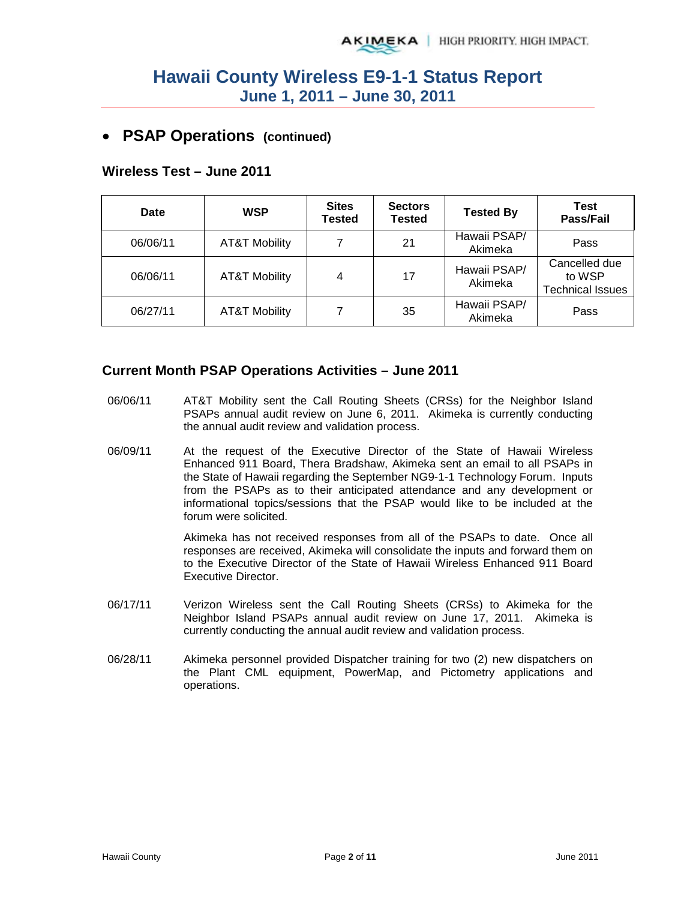## • **PSAP Operations (continued)**

### **Wireless Test – June 2011**

| Date     | <b>WSP</b>               | <b>Sites</b><br>Tested | <b>Sectors</b><br><b>Tested</b> | <b>Tested By</b>        | Test<br>Pass/Fail                                  |
|----------|--------------------------|------------------------|---------------------------------|-------------------------|----------------------------------------------------|
| 06/06/11 | <b>AT&amp;T Mobility</b> |                        | 21                              | Hawaii PSAP/<br>Akimeka | Pass                                               |
| 06/06/11 | <b>AT&amp;T Mobility</b> | 4                      | 17                              | Hawaii PSAP/<br>Akimeka | Cancelled due<br>to WSP<br><b>Technical Issues</b> |
| 06/27/11 | <b>AT&amp;T Mobility</b> |                        | 35                              | Hawaii PSAP/<br>Akimeka | Pass                                               |

### **Current Month PSAP Operations Activities – June 2011**

- 06/06/11 AT&T Mobility sent the Call Routing Sheets (CRSs) for the Neighbor Island PSAPs annual audit review on June 6, 2011. Akimeka is currently conducting the annual audit review and validation process.
- 06/09/11 At the request of the Executive Director of the State of Hawaii Wireless Enhanced 911 Board, Thera Bradshaw, Akimeka sent an email to all PSAPs in the State of Hawaii regarding the September NG9-1-1 Technology Forum. Inputs from the PSAPs as to their anticipated attendance and any development or informational topics/sessions that the PSAP would like to be included at the forum were solicited.

Akimeka has not received responses from all of the PSAPs to date. Once all responses are received, Akimeka will consolidate the inputs and forward them on to the Executive Director of the State of Hawaii Wireless Enhanced 911 Board Executive Director.

- 06/17/11 Verizon Wireless sent the Call Routing Sheets (CRSs) to Akimeka for the Neighbor Island PSAPs annual audit review on June 17, 2011. Akimeka is currently conducting the annual audit review and validation process.
- 06/28/11 Akimeka personnel provided Dispatcher training for two (2) new dispatchers on the Plant CML equipment, PowerMap, and Pictometry applications and operations.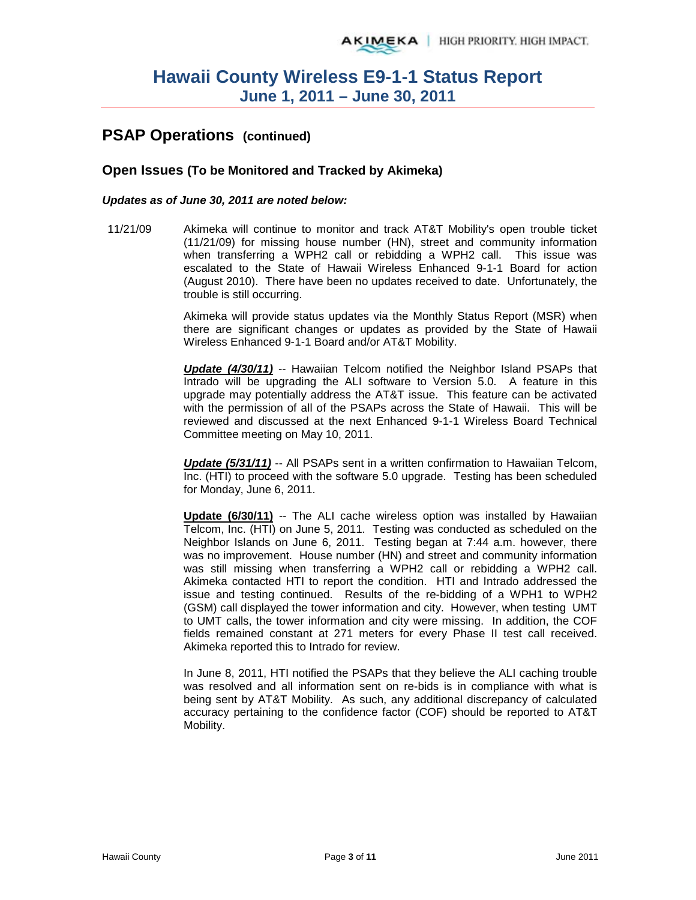# **PSAP Operations (continued)**

### **Open Issues (To be Monitored and Tracked by Akimeka)**

### *Updates as of June 30, 2011 are noted below:*

11/21/09 Akimeka will continue to monitor and track AT&T Mobility's open trouble ticket (11/21/09) for missing house number (HN), street and community information when transferring a WPH2 call or rebidding a WPH2 call. This issue was escalated to the State of Hawaii Wireless Enhanced 9-1-1 Board for action (August 2010). There have been no updates received to date. Unfortunately, the trouble is still occurring.

> Akimeka will provide status updates via the Monthly Status Report (MSR) when there are significant changes or updates as provided by the State of Hawaii Wireless Enhanced 9-1-1 Board and/or AT&T Mobility.

> *Update (4/30/11)* -- Hawaiian Telcom notified the Neighbor Island PSAPs that Intrado will be upgrading the ALI software to Version 5.0. A feature in this upgrade may potentially address the AT&T issue. This feature can be activated with the permission of all of the PSAPs across the State of Hawaii. This will be reviewed and discussed at the next Enhanced 9-1-1 Wireless Board Technical Committee meeting on May 10, 2011.

> *Update (5/31/11)* -- All PSAPs sent in a written confirmation to Hawaiian Telcom, Inc. (HTI) to proceed with the software 5.0 upgrade. Testing has been scheduled for Monday, June 6, 2011.

> **Update (6/30/11)** -- The ALI cache wireless option was installed by Hawaiian Telcom, Inc. (HTI) on June 5, 2011. Testing was conducted as scheduled on the Neighbor Islands on June 6, 2011. Testing began at 7:44 a.m. however, there was no improvement. House number (HN) and street and community information was still missing when transferring a WPH2 call or rebidding a WPH2 call. Akimeka contacted HTI to report the condition. HTI and Intrado addressed the issue and testing continued. Results of the re-bidding of a WPH1 to WPH2 (GSM) call displayed the tower information and city. However, when testing UMT to UMT calls, the tower information and city were missing. In addition, the COF fields remained constant at 271 meters for every Phase II test call received. Akimeka reported this to Intrado for review.

> In June 8, 2011, HTI notified the PSAPs that they believe the ALI caching trouble was resolved and all information sent on re-bids is in compliance with what is being sent by AT&T Mobility. As such, any additional discrepancy of calculated accuracy pertaining to the confidence factor (COF) should be reported to AT&T Mobility.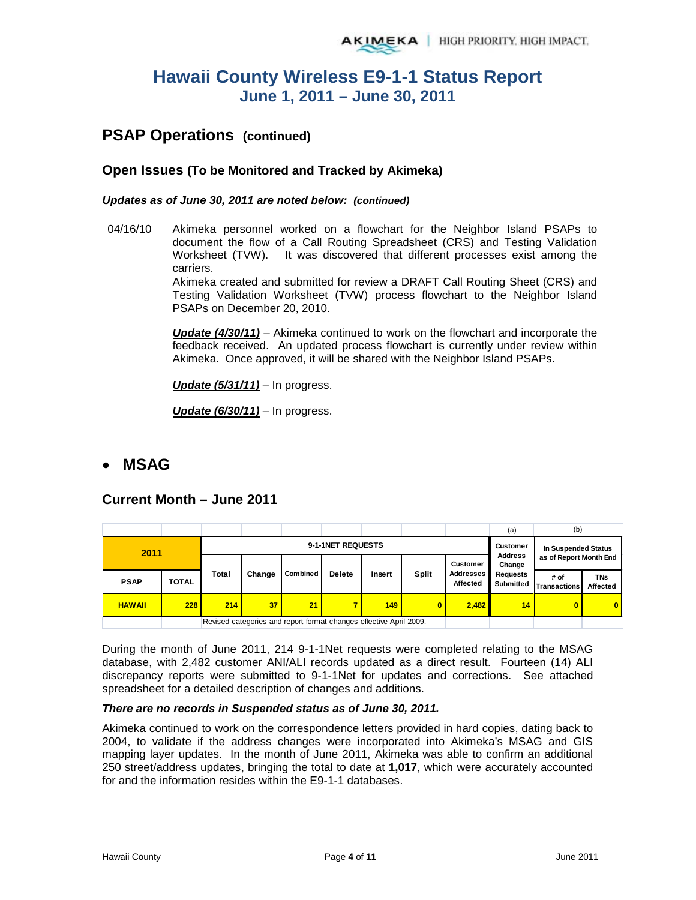# **PSAP Operations (continued)**

### **Open Issues (To be Monitored and Tracked by Akimeka)**

*Updates as of June 30, 2011 are noted below: (continued)*

04/16/10 Akimeka personnel worked on a flowchart for the Neighbor Island PSAPs to document the flow of a Call Routing Spreadsheet (CRS) and Testing Validation Worksheet (TVW). It was discovered that different processes exist among the carriers.

> Akimeka created and submitted for review a DRAFT Call Routing Sheet (CRS) and Testing Validation Worksheet (TVW) process flowchart to the Neighbor Island PSAPs on December 20, 2010.

> *Update (4/30/11)* – Akimeka continued to work on the flowchart and incorporate the feedback received. An updated process flowchart is currently under review within Akimeka. Once approved, it will be shared with the Neighbor Island PSAPs.

*Update (5/31/11)* – In progress.

*Update (6/30/11)* – In progress.

## • **MSAG**

### **Current Month – June 2011**

|               |              |       |                   |                                                                    |               |        |              |                              | (a)                          | (b)                    |                        |
|---------------|--------------|-------|-------------------|--------------------------------------------------------------------|---------------|--------|--------------|------------------------------|------------------------------|------------------------|------------------------|
| 2011          |              |       | 9-1-1NET REQUESTS |                                                                    |               |        |              |                              |                              | In Suspended Status    |                        |
|               |              |       |                   |                                                                    |               |        |              | <b>Customer</b>              | <b>Address</b><br>Change     | as of Report Month End |                        |
| <b>PSAP</b>   | <b>TOTAL</b> | Total | Change            | Combined                                                           | <b>Delete</b> | Insert | <b>Split</b> | <b>Addresses</b><br>Affected | <b>Requests</b><br>Submitted | # of<br>Transactions   | <b>TNs</b><br>Affected |
| <b>HAWAII</b> | 228          | 214   | 37                | 21                                                                 | 7             | 149    | $\bf{0}$     | 2,482                        | 14 <sup>  </sup>             | 0                      | $\overline{0}$         |
|               |              |       |                   | Revised categories and report format changes effective April 2009. |               |        |              |                              |                              |                        |                        |

During the month of June 2011, 214 9-1-1Net requests were completed relating to the MSAG database, with 2,482 customer ANI/ALI records updated as a direct result. Fourteen (14) ALI discrepancy reports were submitted to 9-1-1Net for updates and corrections. See attached spreadsheet for a detailed description of changes and additions.

### *There are no records in Suspended status as of June 30, 2011.*

Akimeka continued to work on the correspondence letters provided in hard copies, dating back to 2004, to validate if the address changes were incorporated into Akimeka's MSAG and GIS mapping layer updates. In the month of June 2011, Akimeka was able to confirm an additional 250 street/address updates, bringing the total to date at **1,017**, which were accurately accounted for and the information resides within the E9-1-1 databases.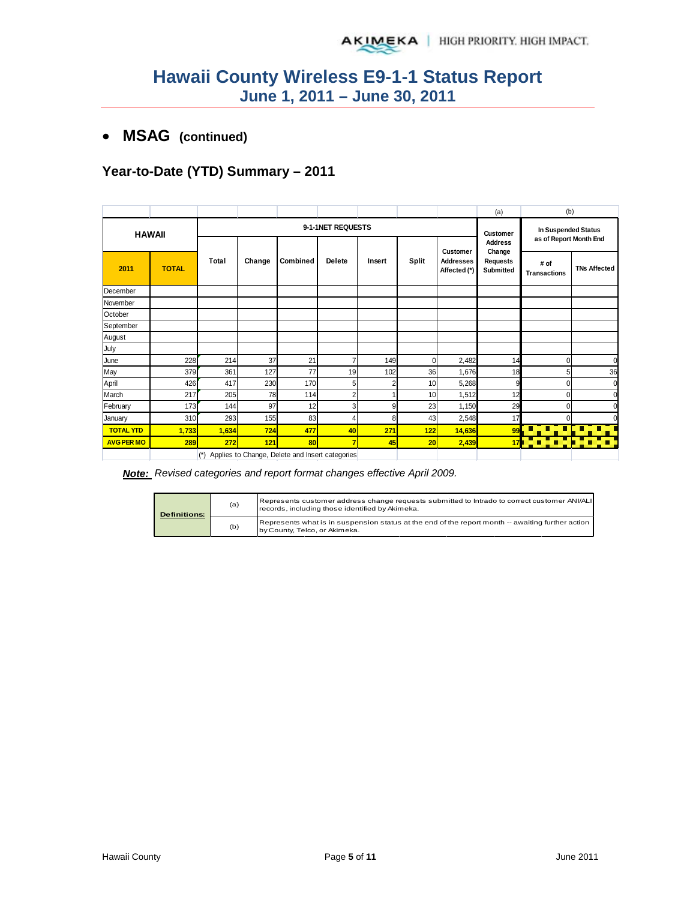## • **MSAG (continued)**

## **Year-to-Date (YTD) Summary – 2011**

|                   |              |                   |        |                                                 |                         |        |              |                                              | (a)                                           | (b)                                           |                     |
|-------------------|--------------|-------------------|--------|-------------------------------------------------|-------------------------|--------|--------------|----------------------------------------------|-----------------------------------------------|-----------------------------------------------|---------------------|
| <b>HAWAII</b>     |              | 9-1-1NET REQUESTS |        |                                                 |                         |        |              |                                              |                                               | In Suspended Status<br>as of Report Month End |                     |
| 2011              | <b>TOTAL</b> | Total             | Change | Combined                                        | Delete                  | Insert | <b>Split</b> | Customer<br><b>Addresses</b><br>Affected (*) | Change<br><b>Requests</b><br><b>Submitted</b> | # of<br><b>Transactions</b>                   | <b>TNs Affected</b> |
| December          |              |                   |        |                                                 |                         |        |              |                                              |                                               |                                               |                     |
| November          |              |                   |        |                                                 |                         |        |              |                                              |                                               |                                               |                     |
| October           |              |                   |        |                                                 |                         |        |              |                                              |                                               |                                               |                     |
| September         |              |                   |        |                                                 |                         |        |              |                                              |                                               |                                               |                     |
| August            |              |                   |        |                                                 |                         |        |              |                                              |                                               |                                               |                     |
| July              |              |                   |        |                                                 |                         |        |              |                                              |                                               |                                               |                     |
| June              | 228          | 214               | 37     | 21                                              | 7                       | 149    | 0            | 2,482                                        | 14                                            | 0                                             | $\mathbf 0$         |
| May               | 379          | 361               | 127    | 77                                              | 19                      | 102    | 36           | 1,676                                        | 18                                            | 5                                             | 36                  |
| April             | 426          | 417               | 230    | 170                                             | 5 <sup>1</sup>          | 2      | 10           | 5,268                                        | 9                                             | 0                                             | $\mathbf 0$         |
| March             | 217          | 205               | 78     | 114                                             | $\overline{2}$          |        | 10           | 1,512                                        | 12                                            | 0                                             | $\mathbf 0$         |
| February          | 173          | 144               | 97     | 12                                              | $\overline{\mathbf{3}}$ | 9      | 23           | 1,150                                        | 29                                            | n                                             | $\Omega$            |
| January           | 310          | 293               | 155    | 83                                              | 4                       | 8      | 43           | 2,548                                        | 17                                            | 0                                             | $\Omega$            |
| <b>TOTAL YTD</b>  | 1,733        | 1,634             | 724    | 477                                             | 40                      | 271    | 122          | 14,636                                       | 99                                            | п<br>٩<br>п                                   | T, I<br>57          |
| <b>AVG PER MO</b> | 289          | 272               | 121    | 80                                              | $\overline{7}$          | 45     | 20           | 2,439                                        | 17 <sub>1</sub>                               | π                                             |                     |
|                   |              | $(*)$             |        | Applies to Change, Delete and Insert categories |                         |        |              |                                              |                                               |                                               |                     |

*Note: Revised categories and report format changes effective April 2009.*

| <b>Definitions:</b> | (a) | Represents customer address change requests submitted to Intrado to correct customer ANI/ALI<br>records, including those identified by Akimeka. |
|---------------------|-----|-------------------------------------------------------------------------------------------------------------------------------------------------|
|                     | (b) | Represents what is in suspension status at the end of the report month -- awaiting further action<br>by County, Telco, or Akimeka.              |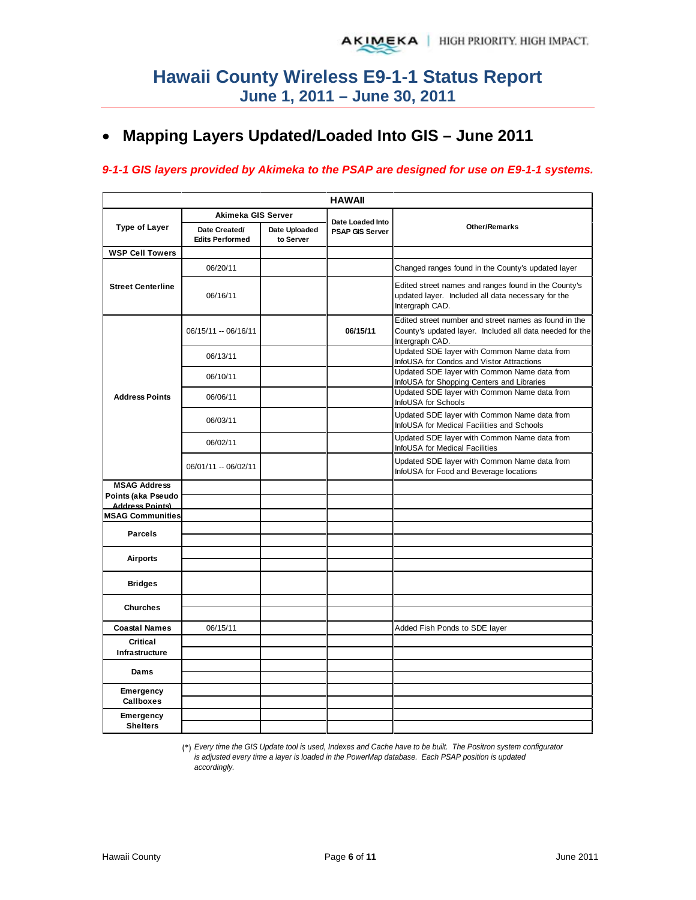# • **Mapping Layers Updated/Loaded Into GIS – June 2011**

## *9-1-1 GIS layers provided by Akimeka to the PSAP are designed for use on E9-1-1 systems.*

|                                              |                                         |                            | <b>HAWAII</b>          |                                                                                                                                      |
|----------------------------------------------|-----------------------------------------|----------------------------|------------------------|--------------------------------------------------------------------------------------------------------------------------------------|
|                                              | Akimeka GIS Server                      |                            | Date Loaded Into       |                                                                                                                                      |
| <b>Type of Layer</b>                         | Date Created/<br><b>Edits Performed</b> | Date Uploaded<br>to Server | <b>PSAP GIS Server</b> | <b>Other/Remarks</b>                                                                                                                 |
| <b>WSP Cell Towers</b>                       |                                         |                            |                        |                                                                                                                                      |
|                                              | 06/20/11                                |                            |                        | Changed ranges found in the County's updated layer                                                                                   |
| <b>Street Centerline</b>                     | 06/16/11                                |                            |                        | Edited street names and ranges found in the County's<br>updated layer. Included all data necessary for the<br>Intergraph CAD.        |
|                                              | 06/15/11 -- 06/16/11                    |                            | 06/15/11               | Edited street number and street names as found in the<br>County's updated layer. Included all data needed for the<br>Intergraph CAD. |
|                                              | 06/13/11                                |                            |                        | Updated SDE layer with Common Name data from<br>InfoUSA for Condos and Vistor Attractions                                            |
|                                              | 06/10/11                                |                            |                        | Updated SDE layer with Common Name data from<br>InfoUSA for Shopping Centers and Libraries                                           |
| <b>Address Points</b>                        | 06/06/11                                |                            |                        | Updated SDE layer with Common Name data from<br>InfoUSA for Schools                                                                  |
|                                              | 06/03/11                                |                            |                        | Updated SDE layer with Common Name data from<br>InfoUSA for Medical Facilities and Schools                                           |
|                                              | 06/02/11                                |                            |                        | Updated SDE layer with Common Name data from<br>InfoUSA for Medical Facilities                                                       |
|                                              | 06/01/11 -- 06/02/11                    |                            |                        | Updated SDE layer with Common Name data from<br>InfoUSA for Food and Beverage locations                                              |
| <b>MSAG Address</b>                          |                                         |                            |                        |                                                                                                                                      |
| Points (aka Pseudo<br><b>Address Points)</b> |                                         |                            |                        |                                                                                                                                      |
| <b>MSAG Communities</b>                      |                                         |                            |                        |                                                                                                                                      |
| <b>Parcels</b>                               |                                         |                            |                        |                                                                                                                                      |
| <b>Airports</b>                              |                                         |                            |                        |                                                                                                                                      |
|                                              |                                         |                            |                        |                                                                                                                                      |
| <b>Bridges</b>                               |                                         |                            |                        |                                                                                                                                      |
| <b>Churches</b>                              |                                         |                            |                        |                                                                                                                                      |
| <b>Coastal Names</b>                         | 06/15/11                                |                            |                        | Added Fish Ponds to SDE layer                                                                                                        |
| Critical                                     |                                         |                            |                        |                                                                                                                                      |
| Infrastructure                               |                                         |                            |                        |                                                                                                                                      |
| Dams                                         |                                         |                            |                        |                                                                                                                                      |
| <b>Emergency</b><br><b>Callboxes</b>         |                                         |                            |                        |                                                                                                                                      |
| Emergency<br><b>Shelters</b>                 |                                         |                            |                        |                                                                                                                                      |

(\*) *Every time the GIS Update tool is used, Indexes and Cache have to be built. The Positron system configurator is adjusted every time a layer is loaded in the PowerMap database. Each PSAP position is updated accordingly.*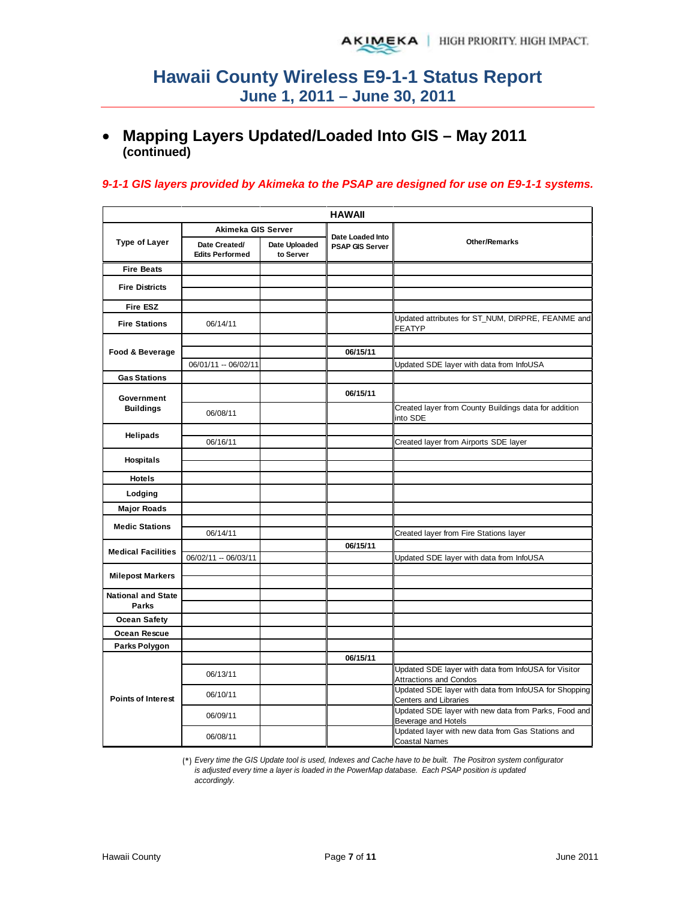## • **Mapping Layers Updated/Loaded Into GIS – May 2011 (continued)**

### *9-1-1 GIS layers provided by Akimeka to the PSAP are designed for use on E9-1-1 systems.*

|                           |                                         |                            | <b>HAWAII</b>                              |                                                                                       |
|---------------------------|-----------------------------------------|----------------------------|--------------------------------------------|---------------------------------------------------------------------------------------|
|                           | Akimeka GIS Server                      |                            |                                            |                                                                                       |
| <b>Type of Layer</b>      | Date Created/<br><b>Edits Performed</b> | Date Uploaded<br>to Server | Date Loaded Into<br><b>PSAP GIS Server</b> | <b>Other/Remarks</b>                                                                  |
| <b>Fire Beats</b>         |                                         |                            |                                            |                                                                                       |
| <b>Fire Districts</b>     |                                         |                            |                                            |                                                                                       |
| <b>Fire ESZ</b>           |                                         |                            |                                            |                                                                                       |
| <b>Fire Stations</b>      | 06/14/11                                |                            |                                            | Updated attributes for ST_NUM, DIRPRE, FEANME and<br>FEATYP                           |
|                           |                                         |                            |                                            |                                                                                       |
| Food & Beverage           |                                         |                            | 06/15/11                                   |                                                                                       |
|                           | 06/01/11 -- 06/02/11                    |                            |                                            | Updated SDE layer with data from InfoUSA                                              |
| <b>Gas Stations</b>       |                                         |                            |                                            |                                                                                       |
| Government                |                                         |                            | 06/15/11                                   |                                                                                       |
| <b>Buildings</b>          | 06/08/11                                |                            |                                            | Created layer from County Buildings data for addition<br>into SDE                     |
| <b>Helipads</b>           |                                         |                            |                                            |                                                                                       |
|                           | 06/16/11                                |                            |                                            | Created layer from Airports SDE layer                                                 |
| Hospitals                 |                                         |                            |                                            |                                                                                       |
|                           |                                         |                            |                                            |                                                                                       |
| <b>Hotels</b>             |                                         |                            |                                            |                                                                                       |
| Lodging                   |                                         |                            |                                            |                                                                                       |
| <b>Major Roads</b>        |                                         |                            |                                            |                                                                                       |
| <b>Medic Stations</b>     |                                         |                            |                                            |                                                                                       |
|                           | 06/14/11                                |                            |                                            | Created layer from Fire Stations layer                                                |
| <b>Medical Facilities</b> |                                         |                            | 06/15/11                                   |                                                                                       |
|                           | 06/02/11 -- 06/03/11                    |                            |                                            | Updated SDE layer with data from InfoUSA                                              |
| <b>Milepost Markers</b>   |                                         |                            |                                            |                                                                                       |
| <b>National and State</b> |                                         |                            |                                            |                                                                                       |
| <b>Parks</b>              |                                         |                            |                                            |                                                                                       |
| <b>Ocean Safety</b>       |                                         |                            |                                            |                                                                                       |
| Ocean Rescue              |                                         |                            |                                            |                                                                                       |
| Parks Polygon             |                                         |                            |                                            |                                                                                       |
|                           |                                         |                            | 06/15/11                                   |                                                                                       |
|                           | 06/13/11                                |                            |                                            | Updated SDE layer with data from InfoUSA for Visitor<br><b>Attractions and Condos</b> |
| <b>Points of Interest</b> | 06/10/11                                |                            |                                            | Updated SDE layer with data from InfoUSA for Shopping<br>Centers and Libraries        |
|                           | 06/09/11                                |                            |                                            | Updated SDE layer with new data from Parks, Food and<br>Beverage and Hotels           |
|                           | 06/08/11                                |                            |                                            | Updated layer with new data from Gas Stations and<br><b>Coastal Names</b>             |

(\*) *Every time the GIS Update tool is used, Indexes and Cache have to be built. The Positron system configurator is adjusted every time a layer is loaded in the PowerMap database. Each PSAP position is updated accordingly.*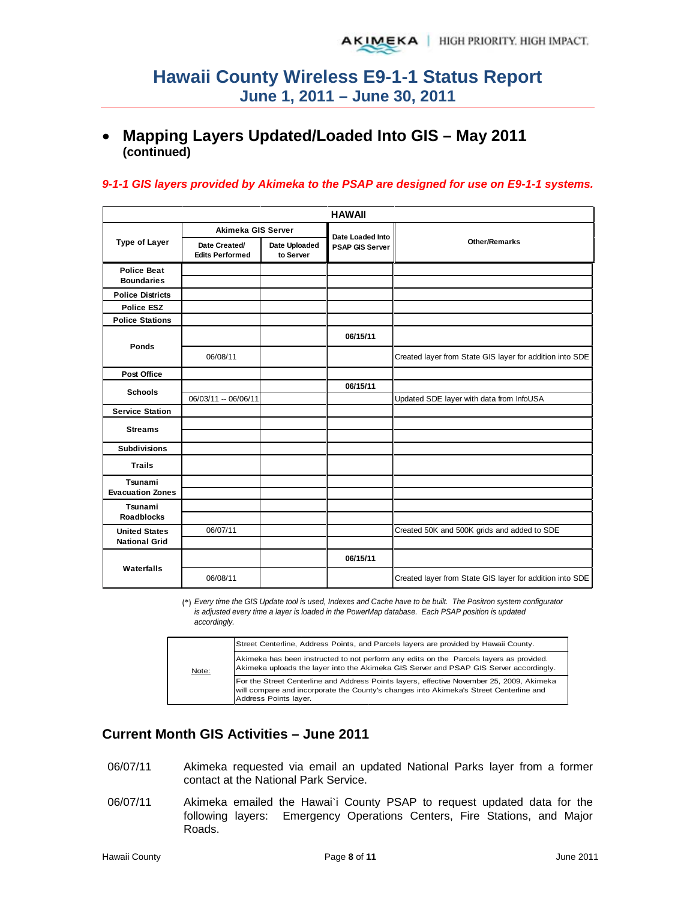## • **Mapping Layers Updated/Loaded Into GIS – May 2011 (continued)**

### *9-1-1 GIS layers provided by Akimeka to the PSAP are designed for use on E9-1-1 systems.*

|                                              |                                         |                            | <b>HAWAII</b>          |                                                          |
|----------------------------------------------|-----------------------------------------|----------------------------|------------------------|----------------------------------------------------------|
|                                              | Akimeka GIS Server                      |                            | Date Loaded Into       |                                                          |
| <b>Type of Layer</b>                         | Date Created/<br><b>Edits Performed</b> | Date Uploaded<br>to Server | <b>PSAP GIS Server</b> | <b>Other/Remarks</b>                                     |
| <b>Police Beat</b><br><b>Boundaries</b>      |                                         |                            |                        |                                                          |
| <b>Police Districts</b>                      |                                         |                            |                        |                                                          |
| <b>Police ESZ</b>                            |                                         |                            |                        |                                                          |
| <b>Police Stations</b>                       |                                         |                            |                        |                                                          |
| Ponds                                        |                                         |                            | 06/15/11               |                                                          |
|                                              | 06/08/11                                |                            |                        | Created layer from State GIS layer for addition into SDE |
| <b>Post Office</b>                           |                                         |                            |                        |                                                          |
| <b>Schools</b>                               |                                         |                            | 06/15/11               |                                                          |
|                                              | 06/03/11 -- 06/06/11                    |                            |                        | Updated SDE layer with data from InfoUSA                 |
| <b>Service Station</b>                       |                                         |                            |                        |                                                          |
| <b>Streams</b>                               |                                         |                            |                        |                                                          |
| <b>Subdivisions</b>                          |                                         |                            |                        |                                                          |
| <b>Trails</b>                                |                                         |                            |                        |                                                          |
| Tsunami<br><b>Evacuation Zones</b>           |                                         |                            |                        |                                                          |
| Tsunami<br><b>Roadblocks</b>                 |                                         |                            |                        |                                                          |
| <b>United States</b><br><b>National Grid</b> | 06/07/11                                |                            |                        | Created 50K and 500K grids and added to SDE              |
|                                              |                                         |                            | 06/15/11               |                                                          |
| Waterfalls                                   | 06/08/11                                |                            |                        | Created layer from State GIS layer for addition into SDE |

(\*) *Every time the GIS Update tool is used, Indexes and Cache have to be built. The Positron system configurator is adjusted every time a layer is loaded in the PowerMap database. Each PSAP position is updated accordingly.*

|       | Street Centerline, Address Points, and Parcels layers are provided by Hawaii County.                                                                                                                         |
|-------|--------------------------------------------------------------------------------------------------------------------------------------------------------------------------------------------------------------|
| Note: | Akimeka has been instructed to not perform any edits on the Parcels layers as provided.<br>Akimeka uploads the layer into the Akimeka GIS Server and PSAP GIS Server accordingly.                            |
|       | For the Street Centerline and Address Points layers, effective November 25, 2009, Akimeka<br>will compare and incorporate the County's changes into Akimeka's Street Centerline and<br>Address Points layer. |

## **Current Month GIS Activities – June 2011**

- 06/07/11 Akimeka requested via email an updated National Parks layer from a former contact at the National Park Service.
- 06/07/11 Akimeka emailed the Hawai`i County PSAP to request updated data for the following layers: Emergency Operations Centers, Fire Stations, and Major Roads.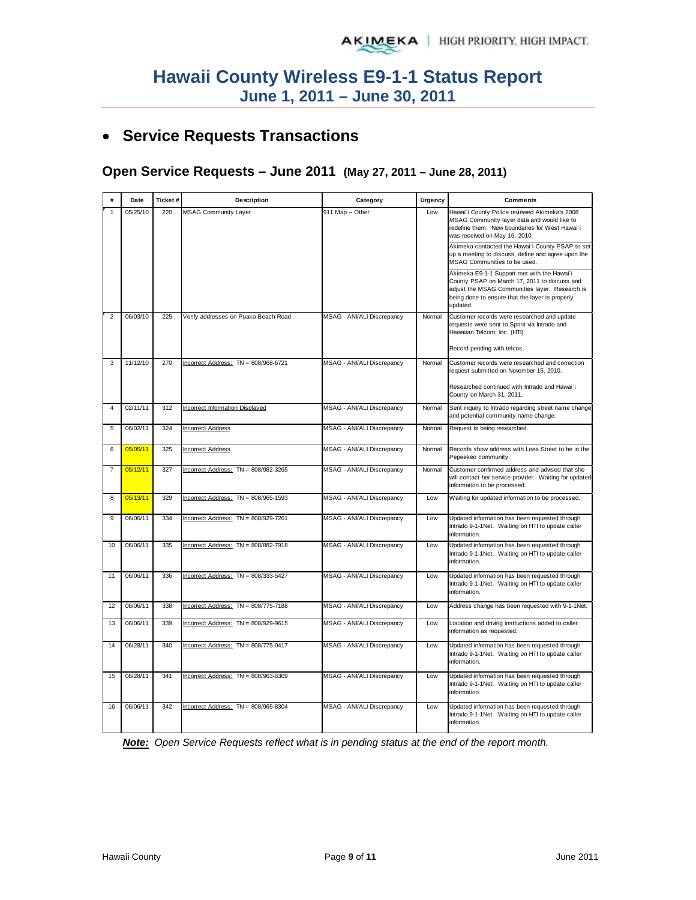# • **Service Requests Transactions**

## **Open Service Requests – June 2011 (May 27, 2011 – June 28, 2011)**

| #              | Date     | Ticket# | Description                            | Category                          | Urgency | <b>Comments</b>                                                                                                                                                                                                                                                                           |
|----------------|----------|---------|----------------------------------------|-----------------------------------|---------|-------------------------------------------------------------------------------------------------------------------------------------------------------------------------------------------------------------------------------------------------------------------------------------------|
| 1              | 05/25/10 | 220     | <b>MSAG Community Layer</b>            | 911 Map -- Other                  | Low     | Hawai'i County Police reviewed Akimeka's 2008<br>MSAG Community layer data and would like to<br>redefine them. New boundaries for West Hawai'i<br>was received on May 16, 2010.<br>Akimeka contacted the Hawai'i County PSAP to set<br>up a meeting to discuss, define and agree upon the |
|                |          |         |                                        |                                   |         | MSAG Communities to be used.                                                                                                                                                                                                                                                              |
|                |          |         |                                        |                                   |         | Akimeka E9-1-1 Support met with the Hawai'i<br>County PSAP on March 17, 2011 to discuss and<br>adjust the MSAG Communities layer. Research is<br>being done to ensure that the layer is properly<br>updated.                                                                              |
| $\overline{2}$ | 06/03/10 | 225     | Verify addresses on Puako Beach Road   | MSAG - ANI/ALI Discrepancy        | Normal  | Customer records were researched and update<br>requests were sent to Sprint via Intrado and<br>Hawaiian Telcom, Inc. (HTI).                                                                                                                                                               |
|                |          |         |                                        |                                   |         | Record pending with telcos.                                                                                                                                                                                                                                                               |
| 3              | 11/12/10 | 270     | Incorrect Address: TN = 808/968-6721   | MSAG - ANI/ALI Discrepancy        | Normal  | Customer records were researched and correction<br>request submitted on November 15, 2010.                                                                                                                                                                                                |
|                |          |         |                                        |                                   |         | Researched continued with Intrado and Hawai'i<br>County on March 31, 2011.                                                                                                                                                                                                                |
| $\overline{4}$ | 02/11/11 | 312     | <b>Incorrect Information Displayed</b> | MSAG - ANI/ALI Discrepancy        | Normal  | Sent inquiry to Intrado regarding street name change<br>and potential community name change.                                                                                                                                                                                              |
| 5              | 06/02/11 | 324     | <b>Incorrect Address</b>               | MSAG - ANI/ALI Discrepancy        | Normal  | Request is being researched.                                                                                                                                                                                                                                                              |
| 6              | 05/05/11 | 325     | <b>Incorrect Address</b>               | MSAG - ANI/ALI Discrepancy        | Normal  | Records show address with Loea Street to be in the<br>Pepeekeo community.                                                                                                                                                                                                                 |
| $\overline{7}$ | 05/12/11 | 327     | Incorrect Address: $TN = 808/982-3265$ | MSAG - ANI/ALI Discrepancy        | Normal  | Customer confirmed address and advised that she<br>will contact her service provider. Waiting for updated<br>information to be processed.                                                                                                                                                 |
| 8              | 05/13/11 | 329     | Incorrect Address: $TN = 808/965-1593$ | MSAG - ANI/ALI Discrepancy        | Low     | Waiting for updated information to be processed.                                                                                                                                                                                                                                          |
| 9              | 06/06/11 | 334     | Incorrect Address: TN = 808/929-7261   | MSAG - ANI/ALI Discrepancy        | Low     | Updated information has been requested through<br>Intrado 9-1-1Net. Waiting on HTI to update caller<br>information.                                                                                                                                                                       |
| 10             | 06/06/11 | 335     | Incorrect Address: TN = 808/882-7918   | MSAG - ANI/ALI Discrepancy        | Low     | Updated information has been requested through<br>Intrado 9-1-1Net. Waiting on HTI to update caller<br>information.                                                                                                                                                                       |
| 11             | 06/06/11 | 336     | Incorrect Address: TN = 808/333-5427   | MSAG - ANI/ALI Discrepancy        | Low     | Updated information has been requested through<br>Intrado 9-1-1Net. Waiting on HTI to update caller<br>information.                                                                                                                                                                       |
| 12             | 06/06/11 | 338     | Incorrect Address: TN = 808/775-7188   | MSAG - ANI/ALI Discrepancy        | Low     | Address change has been requested with 9-1-1Net.                                                                                                                                                                                                                                          |
| 13             | 06/06/11 | 339     | Incorrect Address: $TN = 808/929-9615$ | MSAG - ANI/ALI Discrepancy        | Low     | Location and driving instructions added to caller<br>information as requested.                                                                                                                                                                                                            |
| 14             | 06/28/11 | 340     | Incorrect Address: TN = 808/775-0417   | MSAG - ANI/ALI Discrepancy        | Low     | Updated information has been requested through<br>Intrado 9-1-1Net. Waiting on HTI to update caller<br>information.                                                                                                                                                                       |
| 15             | 06/28/11 | 341     | Incorrect Address: TN = 808/963-6309   | MSAG - ANI/ALI Discrepancy        | Low     | Updated information has been requested through<br>Intrado 9-1-1Net. Waiting on HTI to update caller<br>information.                                                                                                                                                                       |
| 16             | 06/06/11 | 342     | Incorrect Address: TN = 808/965-8304   | <b>MSAG - ANI/ALI Discrepancy</b> | Low     | Updated information has been requested through<br>Intrado 9-1-1Net. Waiting on HTI to update caller<br>information.                                                                                                                                                                       |

*Note: Open Service Requests reflect what is in pending status at the end of the report month.*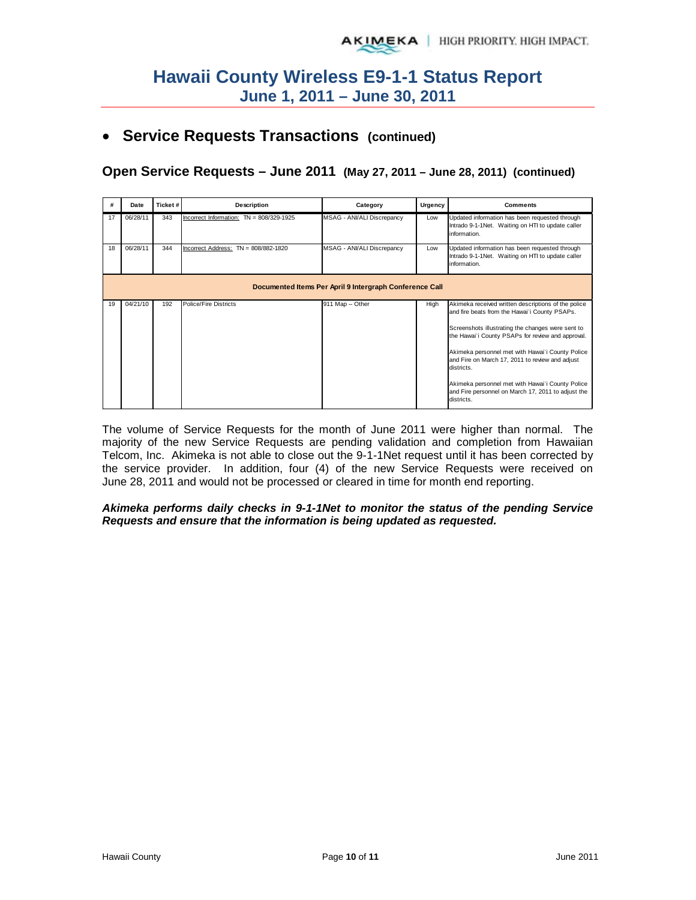## • **Service Requests Transactions (continued)**

**Open Service Requests – June 2011 (May 27, 2011 – June 28, 2011) (continued)**

| #  | Date     | Ticket# | Description                                | Category                                                | Urgency | <b>Comments</b>                                                                                                                                                                                                                                                                                                                                                                                                                                             |
|----|----------|---------|--------------------------------------------|---------------------------------------------------------|---------|-------------------------------------------------------------------------------------------------------------------------------------------------------------------------------------------------------------------------------------------------------------------------------------------------------------------------------------------------------------------------------------------------------------------------------------------------------------|
| 17 | 06/28/11 | 343     | Incorrect Information: $TN = 808/329-1925$ | MSAG - ANI/ALI Discrepancy                              | Low     | Updated information has been requested through<br>Intrado 9-1-1 Net. Waiting on HTI to update caller<br>information.                                                                                                                                                                                                                                                                                                                                        |
| 18 | 06/28/11 | 344     | Incorrect Address: TN = 808/882-1820       | MSAG - ANI/ALI Discrepancy                              | Low     | Updated information has been requested through<br>Intrado 9-1-1Net. Waiting on HTI to update caller<br>information.                                                                                                                                                                                                                                                                                                                                         |
|    |          |         |                                            | Documented Items Per April 9 Intergraph Conference Call |         |                                                                                                                                                                                                                                                                                                                                                                                                                                                             |
| 19 | 04/21/10 | 192     | Police/Fire Districts                      | 911 Map -- Other                                        | High    | Akimeka received written descriptions of the police<br>and fire beats from the Hawai'i County PSAPs.<br>Screenshots illustrating the changes were sent to<br>the Hawai'i County PSAPs for review and approval.<br>Akimeka personnel met with Hawai'i County Police<br>and Fire on March 17, 2011 to review and adjust<br>districts.<br>Akimeka personnel met with Hawai'i County Police<br>and Fire personnel on March 17, 2011 to adjust the<br>districts. |

The volume of Service Requests for the month of June 2011 were higher than normal. The majority of the new Service Requests are pending validation and completion from Hawaiian Telcom, Inc. Akimeka is not able to close out the 9-1-1Net request until it has been corrected by the service provider. In addition, four (4) of the new Service Requests were received on June 28, 2011 and would not be processed or cleared in time for month end reporting.

### *Akimeka performs daily checks in 9-1-1Net to monitor the status of the pending Service Requests and ensure that the information is being updated as requested.*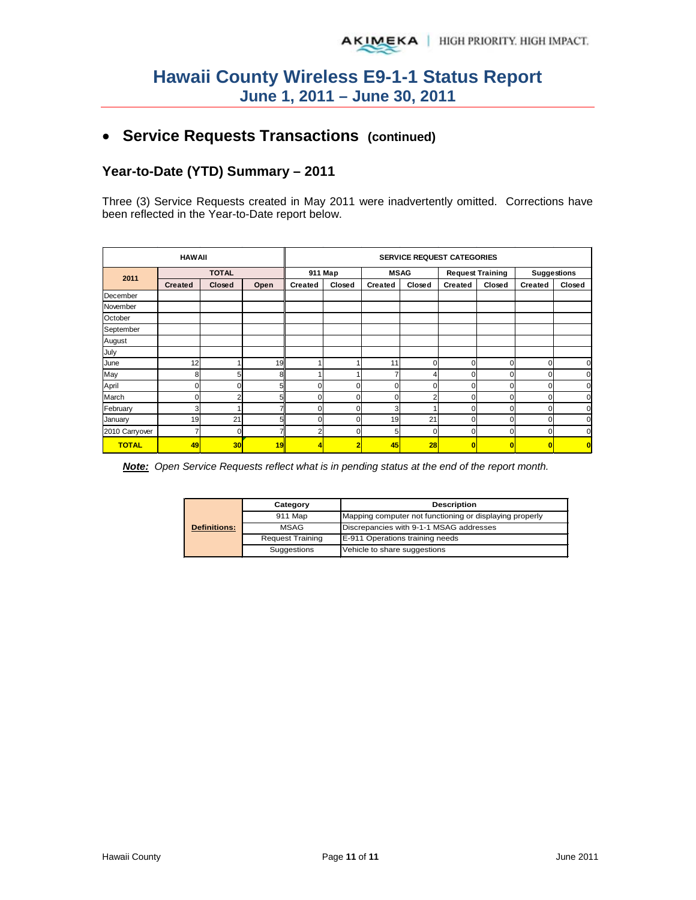# • **Service Requests Transactions (continued)**

## **Year-to-Date (YTD) Summary – 2011**

Three (3) Service Requests created in May 2011 were inadvertently omitted. Corrections have been reflected in the Year-to-Date report below.

|                | <b>SERVICE REQUEST CATEGORIES</b> |              |      |                |          |             |          |                         |                |                    |        |
|----------------|-----------------------------------|--------------|------|----------------|----------|-------------|----------|-------------------------|----------------|--------------------|--------|
|                |                                   | <b>TOTAL</b> |      | 911 Map        |          | <b>MSAG</b> |          | <b>Request Training</b> |                | <b>Suggestions</b> |        |
| 2011           | <b>Created</b>                    | Closed       | Open | <b>Created</b> | Closed   | Created     | Closed   | <b>Created</b>          | Closed         | <b>Created</b>     | Closed |
| December       |                                   |              |      |                |          |             |          |                         |                |                    |        |
| November       |                                   |              |      |                |          |             |          |                         |                |                    |        |
| October        |                                   |              |      |                |          |             |          |                         |                |                    |        |
| September      |                                   |              |      |                |          |             |          |                         |                |                    |        |
| August         |                                   |              |      |                |          |             |          |                         |                |                    |        |
| July           |                                   |              |      |                |          |             |          |                         |                |                    |        |
| June           | 12                                |              | 19   |                |          | 11          | $\Omega$ | 0                       | 0              | $\Omega$           | 0      |
| May            | 8                                 | 5            | 8    |                |          |             |          | $\Omega$                | 0              | $\Omega$           |        |
| April          | 0                                 | n            | 5    |                | O        | U           | ſ        | $\Omega$                | 0              | $\Omega$           | C      |
| March          | 0                                 | 2            | 5    |                | O        | n           |          | 0                       | 0              |                    |        |
| February       | 3                                 |              |      |                | $\Omega$ | 3           |          | $\Omega$                | $\overline{0}$ | 0                  |        |
| January        | 19                                | 21           | 5    |                | O        | 19          | 21       | $\Omega$                | 0              | 0                  |        |
| 2010 Carryover | 7                                 | 0            |      |                |          | 5           | ſ        | $\Omega$                | 0              | 0                  |        |
| <b>TOTAL</b>   | 49                                | 30           | 19   |                |          | 45          | 28       | $\overline{0}$          | Ō              | $\bf{0}$           |        |

*Note: Open Service Requests reflect what is in pending status at the end of the report month.*

|                     | Category                | <b>Description</b>                                      |  |  |  |
|---------------------|-------------------------|---------------------------------------------------------|--|--|--|
|                     | 911 Map                 | Mapping computer not functioning or displaying properly |  |  |  |
| <b>Definitions:</b> | <b>MSAG</b>             | Discrepancies with 9-1-1 MSAG addresses                 |  |  |  |
|                     | <b>Request Training</b> | E-911 Operations training needs                         |  |  |  |
|                     | Suggestions             | Vehicle to share suggestions                            |  |  |  |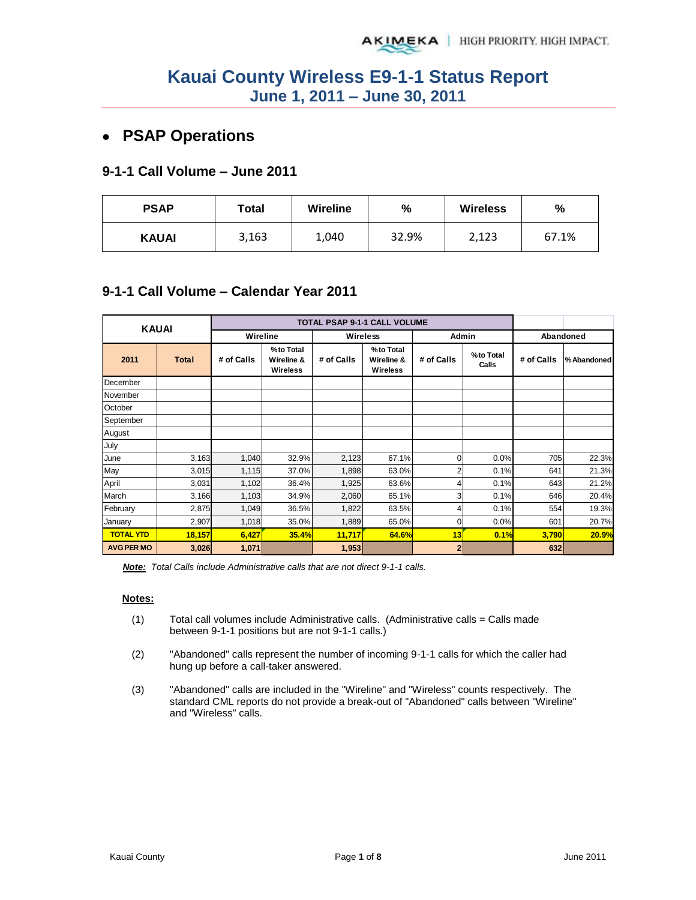# **PSAP Operations**

## **9-1-1 Call Volume – June 2011**

| <b>PSAP</b>  | Total | <b>Wireline</b> | %     | <b>Wireless</b> | %     |  |
|--------------|-------|-----------------|-------|-----------------|-------|--|
| <b>KAUAI</b> | 3,163 | 1,040           | 32.9% | 2,123           | 67.1% |  |

## **9-1-1 Call Volume – Calendar Year 2011**

| <b>KAUAI</b>      |              |            |                                            |            | TOTAL PSAP 9-1-1 CALL VOLUME               |                |                    |            |            |
|-------------------|--------------|------------|--------------------------------------------|------------|--------------------------------------------|----------------|--------------------|------------|------------|
|                   |              |            | Wireline                                   |            | <b>Wireless</b>                            |                | Admin              | Abandoned  |            |
| 2011              | <b>Total</b> | # of Calls | %to Total<br>Wireline &<br><b>Wireless</b> | # of Calls | %to Total<br>Wireline &<br><b>Wireless</b> | # of Calls     | %to Total<br>Calls | # of Calls | %Abandoned |
| December          |              |            |                                            |            |                                            |                |                    |            |            |
| November          |              |            |                                            |            |                                            |                |                    |            |            |
| October           |              |            |                                            |            |                                            |                |                    |            |            |
| September         |              |            |                                            |            |                                            |                |                    |            |            |
| August            |              |            |                                            |            |                                            |                |                    |            |            |
| July              |              |            |                                            |            |                                            |                |                    |            |            |
| June              | 3,163        | 1,040      | 32.9%                                      | 2,123      | 67.1%                                      | $\overline{0}$ | 0.0%               | 705        | 22.3%      |
| May               | 3,015        | 1,115      | 37.0%                                      | 1,898      | 63.0%                                      | 2              | 0.1%               | 641        | 21.3%      |
| April             | 3,031        | 1,102      | 36.4%                                      | 1,925      | 63.6%                                      | 4              | 0.1%               | 643        | 21.2%      |
| March             | 3,166        | 1,103      | 34.9%                                      | 2,060      | 65.1%                                      | 3              | 0.1%               | 646        | 20.4%      |
| February          | 2,875        | 1,049      | 36.5%                                      | 1,822      | 63.5%                                      | $\overline{4}$ | 0.1%               | 554        | 19.3%      |
| January           | 2,907        | 1,018      | 35.0%                                      | 1,889      | 65.0%                                      | $\Omega$       | 0.0%               | 601        | 20.7%      |
| <b>TOTAL YTD</b>  | 18,157       | 6,427      | 35.4%                                      | 11,717     | 64.6%                                      | 13             | 0.1%               | 3,790      | 20.9%      |
| <b>AVG PER MO</b> | 3,026        | 1,071      |                                            | 1,953      |                                            | $\mathbf{2}$   |                    | 632        |            |

*Note: Total Calls include Administrative calls that are not direct 9-1-1 calls.* 

### **Notes:**

- $(1)$  Total call volumes include Administrative calls. (Administrative calls = Calls made between 9-1-1 positions but are not 9-1-1 calls.)
- (2) "Abandoned" calls represent the number of incoming 9-1-1 calls for which the caller had hung up before a call-taker answered.
- (3) "Abandoned" calls are included in the "Wireline" and "Wireless" counts respectively. The standard CML reports do not provide a break-out of "Abandoned" calls between "Wireline" and "Wireless" calls.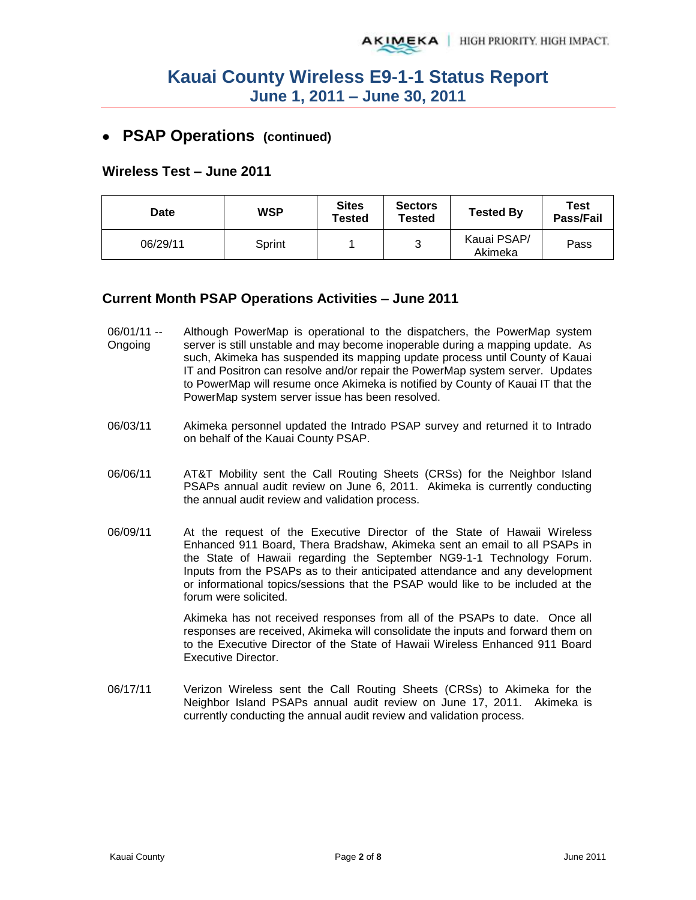## **PSAP Operations (continued)**

### **Wireless Test – June 2011**

| Date     | <b>WSP</b> | <b>Sites</b><br>Tested | <b>Sectors</b><br><b>Tested</b> | <b>Tested By</b>       | Test<br>Pass/Fail |
|----------|------------|------------------------|---------------------------------|------------------------|-------------------|
| 06/29/11 | Sprint     |                        | 3                               | Kauai PSAP/<br>Akimeka | Pass              |

### **Current Month PSAP Operations Activities – June 2011**

- 06/01/11 -- Ongoing Although PowerMap is operational to the dispatchers, the PowerMap system server is still unstable and may become inoperable during a mapping update. As such, Akimeka has suspended its mapping update process until County of Kauai IT and Positron can resolve and/or repair the PowerMap system server. Updates to PowerMap will resume once Akimeka is notified by County of Kauai IT that the PowerMap system server issue has been resolved.
- 06/03/11 Akimeka personnel updated the Intrado PSAP survey and returned it to Intrado on behalf of the Kauai County PSAP.
- 06/06/11 AT&T Mobility sent the Call Routing Sheets (CRSs) for the Neighbor Island PSAPs annual audit review on June 6, 2011. Akimeka is currently conducting the annual audit review and validation process.
- 06/09/11 At the request of the Executive Director of the State of Hawaii Wireless Enhanced 911 Board, Thera Bradshaw, Akimeka sent an email to all PSAPs in the State of Hawaii regarding the September NG9-1-1 Technology Forum. Inputs from the PSAPs as to their anticipated attendance and any development or informational topics/sessions that the PSAP would like to be included at the forum were solicited.

Akimeka has not received responses from all of the PSAPs to date. Once all responses are received, Akimeka will consolidate the inputs and forward them on to the Executive Director of the State of Hawaii Wireless Enhanced 911 Board Executive Director.

06/17/11 Verizon Wireless sent the Call Routing Sheets (CRSs) to Akimeka for the Neighbor Island PSAPs annual audit review on June 17, 2011. Akimeka is currently conducting the annual audit review and validation process.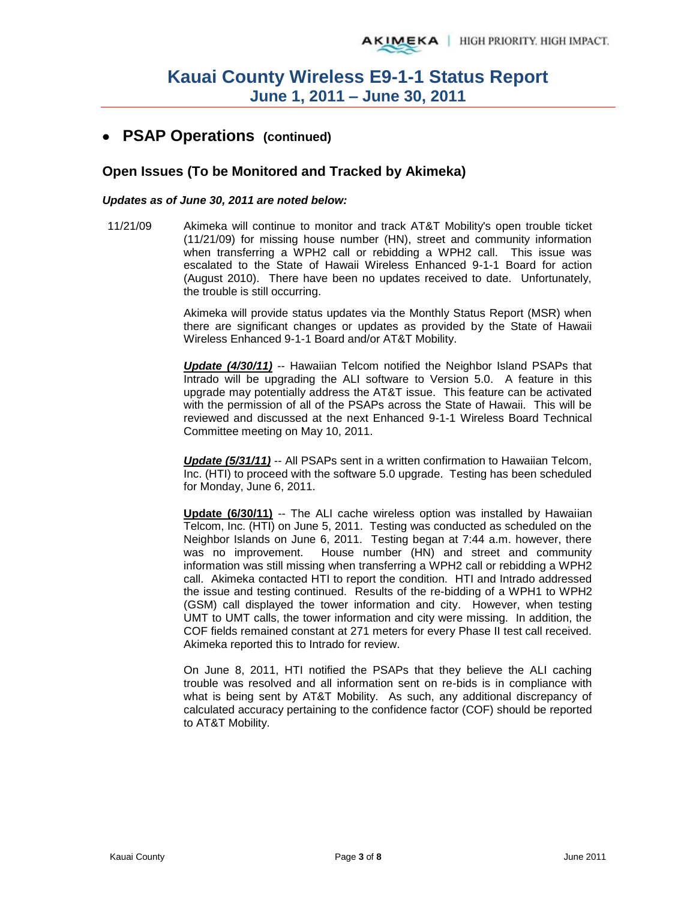## **PSAP Operations (continued)**

### **Open Issues (To be Monitored and Tracked by Akimeka)**

### *Updates as of June 30, 2011 are noted below:*

11/21/09 Akimeka will continue to monitor and track AT&T Mobility's open trouble ticket (11/21/09) for missing house number (HN), street and community information when transferring a WPH2 call or rebidding a WPH2 call. This issue was escalated to the State of Hawaii Wireless Enhanced 9-1-1 Board for action (August 2010). There have been no updates received to date. Unfortunately, the trouble is still occurring.

> Akimeka will provide status updates via the Monthly Status Report (MSR) when there are significant changes or updates as provided by the State of Hawaii Wireless Enhanced 9-1-1 Board and/or AT&T Mobility.

> *Update (4/30/11)* -- Hawaiian Telcom notified the Neighbor Island PSAPs that Intrado will be upgrading the ALI software to Version 5.0. A feature in this upgrade may potentially address the AT&T issue. This feature can be activated with the permission of all of the PSAPs across the State of Hawaii. This will be reviewed and discussed at the next Enhanced 9-1-1 Wireless Board Technical Committee meeting on May 10, 2011.

> **Update (5/31/11)** -- All PSAPs sent in a written confirmation to Hawaiian Telcom, Inc. (HTI) to proceed with the software 5.0 upgrade. Testing has been scheduled for Monday, June 6, 2011.

> **Update (6/30/11)** -- The ALI cache wireless option was installed by Hawaiian Telcom, Inc. (HTI) on June 5, 2011. Testing was conducted as scheduled on the Neighbor Islands on June 6, 2011. Testing began at 7:44 a.m. however, there was no improvement. House number (HN) and street and community information was still missing when transferring a WPH2 call or rebidding a WPH2 call. Akimeka contacted HTI to report the condition. HTI and Intrado addressed the issue and testing continued. Results of the re-bidding of a WPH1 to WPH2 (GSM) call displayed the tower information and city. However, when testing UMT to UMT calls, the tower information and city were missing. In addition, the COF fields remained constant at 271 meters for every Phase II test call received. Akimeka reported this to Intrado for review.

> On June 8, 2011, HTI notified the PSAPs that they believe the ALI caching trouble was resolved and all information sent on re-bids is in compliance with what is being sent by AT&T Mobility. As such, any additional discrepancy of calculated accuracy pertaining to the confidence factor (COF) should be reported to AT&T Mobility.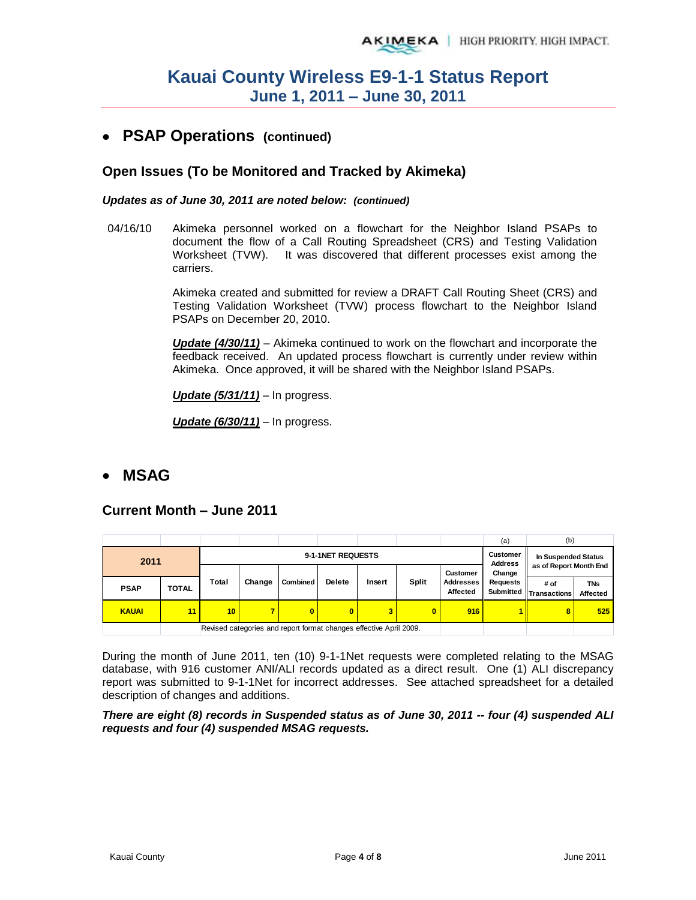## **PSAP Operations (continued)**

## **Open Issues (To be Monitored and Tracked by Akimeka)**

### *Updates as of June 30, 2011 are noted below: (continued)*

04/16/10 Akimeka personnel worked on a flowchart for the Neighbor Island PSAPs to document the flow of a Call Routing Spreadsheet (CRS) and Testing Validation Worksheet (TVW). It was discovered that different processes exist among the carriers.

> Akimeka created and submitted for review a DRAFT Call Routing Sheet (CRS) and Testing Validation Worksheet (TVW) process flowchart to the Neighbor Island PSAPs on December 20, 2010.

> *Update (4/30/11)* – Akimeka continued to work on the flowchart and incorporate the feedback received. An updated process flowchart is currently under review within Akimeka. Once approved, it will be shared with the Neighbor Island PSAPs.

*Update (5/31/11)* – In progress.

*Update (6/30/11)* – In progress.

## **MSAG**

### **Current Month – June 2011**

|              |              |       |        |                                                                    |                            |                     |              |                       | (a)                                 | (b)                         |                        |
|--------------|--------------|-------|--------|--------------------------------------------------------------------|----------------------------|---------------------|--------------|-----------------------|-------------------------------------|-----------------------------|------------------------|
| 2011         |              |       |        | 9-1-1NET REQUESTS                                                  | Customer<br><b>Address</b> | In Suspended Status |              |                       |                                     |                             |                        |
|              |              |       |        |                                                                    |                            |                     |              | <b>Customer</b>       | as of Report Month End<br>Change    |                             |                        |
| <b>PSAP</b>  | <b>TOTAL</b> | Total | Change | Combined                                                           | <b>Delete</b>              | Insert              | <b>Split</b> | Addresses<br>Affected | <b>Requests</b><br><b>Submitted</b> | # of<br><b>Transactions</b> | <b>TNs</b><br>Affected |
| <b>KAUAI</b> | 11           | 10    |        | $\bf{0}$                                                           | $\bf{0}$                   | 3                   | O            | 916                   |                                     | 8                           | 525                    |
|              |              |       |        | Revised categories and report format changes effective April 2009. |                            |                     |              |                       |                                     |                             |                        |

During the month of June 2011, ten (10) 9-1-1Net requests were completed relating to the MSAG database, with 916 customer ANI/ALI records updated as a direct result. One (1) ALI discrepancy report was submitted to 9-1-1Net for incorrect addresses. See attached spreadsheet for a detailed description of changes and additions.

### *There are eight (8) records in Suspended status as of June 30, 2011 -- four (4) suspended ALI requests and four (4) suspended MSAG requests.*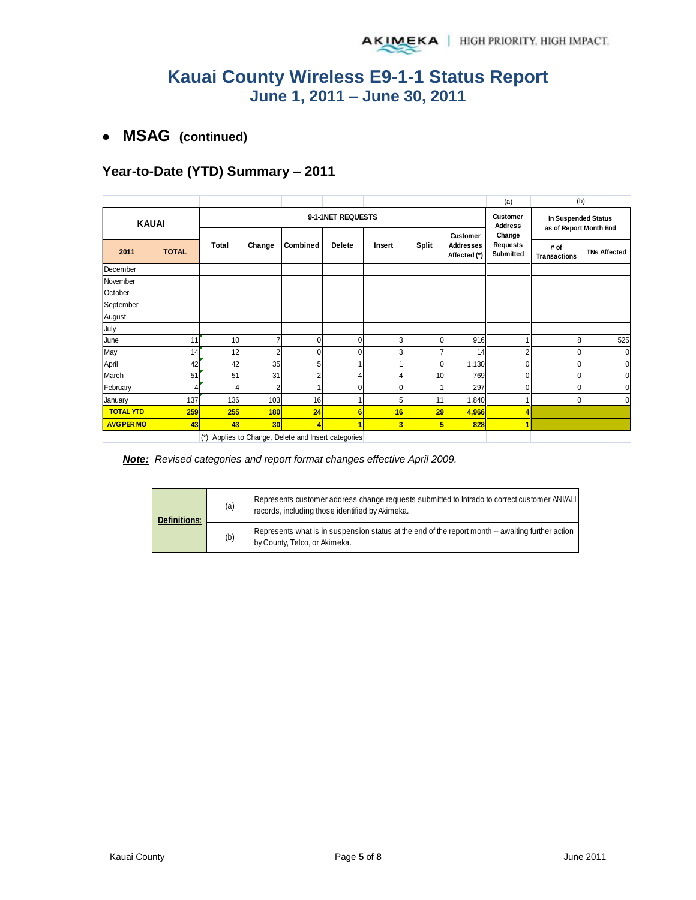## **MSAG (continued)**

## **Year-to-Date (YTD) Summary – 2011**

|                   |              |                                      |                |                                                     |   |             |              |                                  | (a)                             | (b)                                           |                     |
|-------------------|--------------|--------------------------------------|----------------|-----------------------------------------------------|---|-------------|--------------|----------------------------------|---------------------------------|-----------------------------------------------|---------------------|
| <b>KAUAI</b>      |              | 9-1-1NET REQUESTS<br><b>Customer</b> |                |                                                     |   |             |              |                                  |                                 | In Suspended Status<br>as of Report Month End |                     |
| 2011              | <b>TOTAL</b> | Total                                | Change         | Combined<br>Delete                                  |   | Insert      | <b>Split</b> | <b>Addresses</b><br>Affected (*) | Change<br>Requests<br>Submitted | # of<br><b>Transactions</b>                   | <b>TNs Affected</b> |
| December          |              |                                      |                |                                                     |   |             |              |                                  |                                 |                                               |                     |
| November          |              |                                      |                |                                                     |   |             |              |                                  |                                 |                                               |                     |
| October           |              |                                      |                |                                                     |   |             |              |                                  |                                 |                                               |                     |
| September         |              |                                      |                |                                                     |   |             |              |                                  |                                 |                                               |                     |
| August            |              |                                      |                |                                                     |   |             |              |                                  |                                 |                                               |                     |
| July              |              |                                      |                |                                                     |   |             |              |                                  |                                 |                                               |                     |
| June              | 11           | 10                                   |                | $\mathbf{0}$                                        | 0 | 3           | 0            | 916                              |                                 | 8                                             | 525                 |
| May               | 14           | 12                                   | 2              | $\mathbf 0$                                         | ۵ | 3           |              | 14                               |                                 |                                               | $\mathbf{0}$        |
| April             | 42           | 42                                   | 35             | 5                                                   |   |             | 0            | 1,130                            | 0                               |                                               | $\mathbf 0$         |
| March             | 51           | 51                                   | 31             | $\overline{2}$                                      |   | 4           | 10           | 769                              | $\Omega$                        |                                               | $\mathbf{0}$        |
| February          |              | 4                                    | $\overline{2}$ |                                                     | 0 | $\mathbf 0$ |              | 297                              | 0                               | 0                                             | $\mathbf 0$         |
| January           | 137          | 136                                  | 103            | 16                                                  |   | 5           | 11           | 1,840                            |                                 | U                                             | $\Omega$            |
| <b>TOTAL YTD</b>  | 259          | 255                                  | <b>180</b>     | 24                                                  | 6 | 16          | 29           | 4,966                            |                                 |                                               |                     |
| <b>AVG PER MO</b> | 43           | 43                                   | 30             | 4                                                   |   | 3           | 5            | 828                              |                                 |                                               |                     |
|                   |              |                                      |                | (*) Applies to Change, Delete and Insert categories |   |             |              |                                  |                                 |                                               |                     |

*Note: Revised categories and report format changes effective April 2009.* 

| <b>Definitions:</b> | (a) | Represents customer address change requests submitted to Intrado to correct customer ANI/ALI<br>records, including those identified by Akimeka. |
|---------------------|-----|-------------------------------------------------------------------------------------------------------------------------------------------------|
|                     | (b) | Represents what is in suspension status at the end of the report month -- awaiting further action<br>by County, Telco, or Akimeka.              |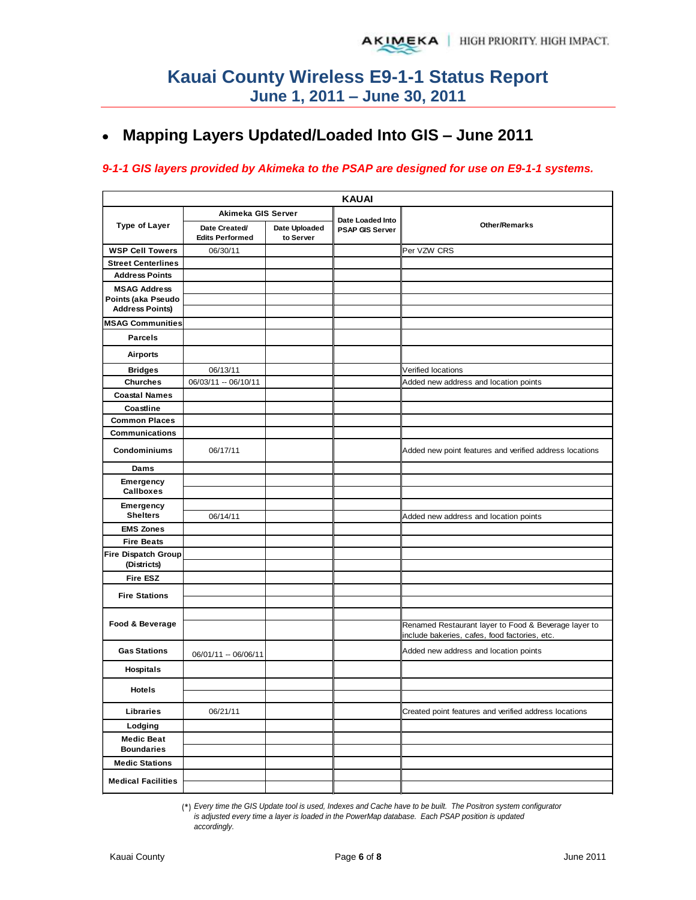#### **Mapping Layers Updated/Loaded Into GIS – June 2011**  $\bullet$

### *9-1-1 GIS layers provided by Akimeka to the PSAP are designed for use on E9-1-1 systems.*

| <b>KAUAI</b>                           |                                         |                            |                                            |                                                                                                       |  |  |  |  |  |  |  |
|----------------------------------------|-----------------------------------------|----------------------------|--------------------------------------------|-------------------------------------------------------------------------------------------------------|--|--|--|--|--|--|--|
|                                        | Akimeka GIS Server                      |                            |                                            |                                                                                                       |  |  |  |  |  |  |  |
| <b>Type of Layer</b>                   | Date Created/<br><b>Edits Performed</b> | Date Uploaded<br>to Server | Date Loaded Into<br><b>PSAP GIS Server</b> | <b>Other/Remarks</b>                                                                                  |  |  |  |  |  |  |  |
| <b>WSP Cell Towers</b>                 | 06/30/11                                |                            |                                            | Per VZW CRS                                                                                           |  |  |  |  |  |  |  |
| <b>Street Centerlines</b>              |                                         |                            |                                            |                                                                                                       |  |  |  |  |  |  |  |
| <b>Address Points</b>                  |                                         |                            |                                            |                                                                                                       |  |  |  |  |  |  |  |
| <b>MSAG Address</b>                    |                                         |                            |                                            |                                                                                                       |  |  |  |  |  |  |  |
| Points (aka Pseudo                     |                                         |                            |                                            |                                                                                                       |  |  |  |  |  |  |  |
| <b>Address Points)</b>                 |                                         |                            |                                            |                                                                                                       |  |  |  |  |  |  |  |
| <b>MSAG Communities</b>                |                                         |                            |                                            |                                                                                                       |  |  |  |  |  |  |  |
| <b>Parcels</b>                         |                                         |                            |                                            |                                                                                                       |  |  |  |  |  |  |  |
| <b>Airports</b>                        |                                         |                            |                                            |                                                                                                       |  |  |  |  |  |  |  |
| <b>Bridges</b>                         | 06/13/11                                |                            |                                            | Verified locations                                                                                    |  |  |  |  |  |  |  |
| <b>Churches</b>                        | 06/03/11 -- 06/10/11                    |                            |                                            | Added new address and location points                                                                 |  |  |  |  |  |  |  |
| <b>Coastal Names</b>                   |                                         |                            |                                            |                                                                                                       |  |  |  |  |  |  |  |
| Coastline                              |                                         |                            |                                            |                                                                                                       |  |  |  |  |  |  |  |
| <b>Common Places</b>                   |                                         |                            |                                            |                                                                                                       |  |  |  |  |  |  |  |
| <b>Communications</b>                  |                                         |                            |                                            |                                                                                                       |  |  |  |  |  |  |  |
| <b>Condominiums</b>                    | 06/17/11                                |                            |                                            | Added new point features and verified address locations                                               |  |  |  |  |  |  |  |
| Dams                                   |                                         |                            |                                            |                                                                                                       |  |  |  |  |  |  |  |
| Emergency<br><b>Callboxes</b>          |                                         |                            |                                            |                                                                                                       |  |  |  |  |  |  |  |
| Emergency                              |                                         |                            |                                            |                                                                                                       |  |  |  |  |  |  |  |
| <b>Shelters</b>                        | 06/14/11                                |                            |                                            | Added new address and location points                                                                 |  |  |  |  |  |  |  |
| <b>EMS Zones</b>                       |                                         |                            |                                            |                                                                                                       |  |  |  |  |  |  |  |
| <b>Fire Beats</b>                      |                                         |                            |                                            |                                                                                                       |  |  |  |  |  |  |  |
| <b>Fire Dispatch Group</b>             |                                         |                            |                                            |                                                                                                       |  |  |  |  |  |  |  |
| (Districts)                            |                                         |                            |                                            |                                                                                                       |  |  |  |  |  |  |  |
| <b>Fire ESZ</b>                        |                                         |                            |                                            |                                                                                                       |  |  |  |  |  |  |  |
|                                        |                                         |                            |                                            |                                                                                                       |  |  |  |  |  |  |  |
| <b>Fire Stations</b>                   |                                         |                            |                                            |                                                                                                       |  |  |  |  |  |  |  |
|                                        |                                         |                            |                                            |                                                                                                       |  |  |  |  |  |  |  |
| Food & Beverage                        |                                         |                            |                                            | Renamed Restaurant layer to Food & Beverage layer to<br>include bakeries, cafes, food factories, etc. |  |  |  |  |  |  |  |
| <b>Gas Stations</b>                    | 06/01/11 -- 06/06/11                    |                            |                                            | Added new address and location points                                                                 |  |  |  |  |  |  |  |
| <b>Hospitals</b>                       |                                         |                            |                                            |                                                                                                       |  |  |  |  |  |  |  |
| <b>Hotels</b>                          |                                         |                            |                                            |                                                                                                       |  |  |  |  |  |  |  |
| Libraries                              | 06/21/11                                |                            |                                            | Created point features and verified address locations                                                 |  |  |  |  |  |  |  |
| Lodging                                |                                         |                            |                                            |                                                                                                       |  |  |  |  |  |  |  |
| <b>Medic Beat</b><br><b>Boundaries</b> |                                         |                            |                                            |                                                                                                       |  |  |  |  |  |  |  |
| <b>Medic Stations</b>                  |                                         |                            |                                            |                                                                                                       |  |  |  |  |  |  |  |
| <b>Medical Facilities</b>              |                                         |                            |                                            |                                                                                                       |  |  |  |  |  |  |  |

(\*) *Every time the GIS Update tool is used, Indexes and Cache have to be built. The Positron system configurator is adjusted every time a layer is loaded in the PowerMap database. Each PSAP position is updated accordingly.*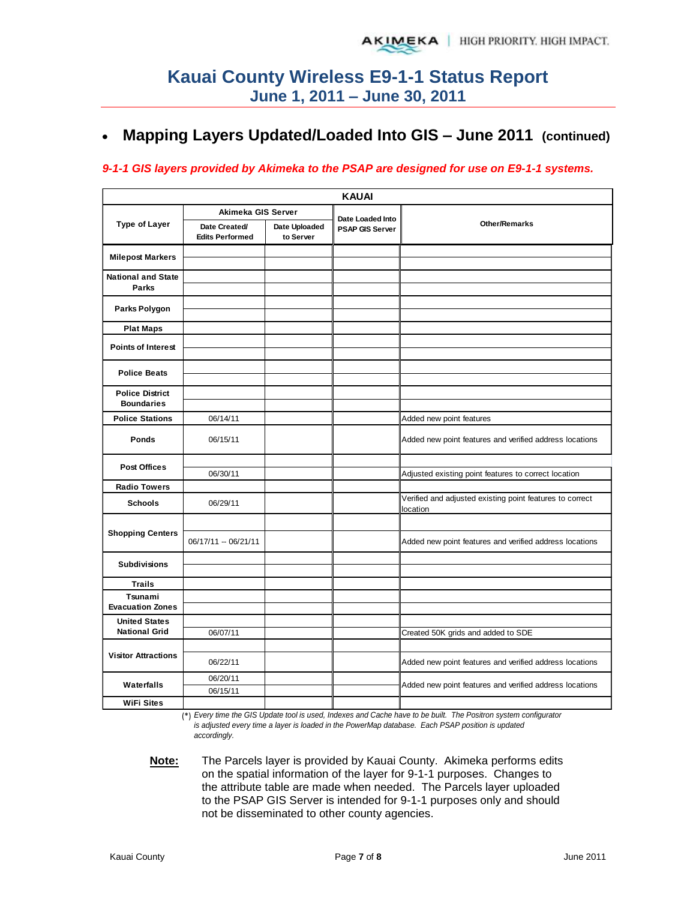#### **Mapping Layers Updated/Loaded Into GIS – June 2011 (continued)**   $\bullet$

### *9-1-1 GIS layers provided by Akimeka to the PSAP are designed for use on E9-1-1 systems.*

|                                             |                                         |                            | <b>KAUAI</b>           |                                                                      |
|---------------------------------------------|-----------------------------------------|----------------------------|------------------------|----------------------------------------------------------------------|
|                                             | Akimeka GIS Server                      |                            | Date Loaded Into       |                                                                      |
| <b>Type of Layer</b>                        | Date Created/<br><b>Edits Performed</b> | Date Uploaded<br>to Server | <b>PSAP GIS Server</b> | <b>Other/Remarks</b>                                                 |
| <b>Milepost Markers</b>                     |                                         |                            |                        |                                                                      |
| <b>National and State</b><br><b>Parks</b>   |                                         |                            |                        |                                                                      |
| Parks Polygon                               |                                         |                            |                        |                                                                      |
| <b>Plat Maps</b>                            |                                         |                            |                        |                                                                      |
| <b>Points of Interest</b>                   |                                         |                            |                        |                                                                      |
| <b>Police Beats</b>                         |                                         |                            |                        |                                                                      |
| <b>Police District</b><br><b>Boundaries</b> |                                         |                            |                        |                                                                      |
| <b>Police Stations</b>                      | 06/14/11                                |                            |                        | Added new point features                                             |
| Ponds                                       | 06/15/11                                |                            |                        | Added new point features and verified address locations              |
| <b>Post Offices</b>                         | 06/30/11                                |                            |                        | Adjusted existing point features to correct location                 |
| <b>Radio Towers</b>                         |                                         |                            |                        |                                                                      |
| <b>Schools</b>                              | 06/29/11                                |                            |                        | Verified and adjusted existing point features to correct<br>location |
|                                             |                                         |                            |                        |                                                                      |
| <b>Shopping Centers</b>                     | 06/17/11 -- 06/21/11                    |                            |                        | Added new point features and verified address locations              |
| <b>Subdivisions</b>                         |                                         |                            |                        |                                                                      |
| <b>Trails</b>                               |                                         |                            |                        |                                                                      |
| Tsunami                                     |                                         |                            |                        |                                                                      |
| <b>Evacuation Zones</b>                     |                                         |                            |                        |                                                                      |
| <b>United States</b>                        |                                         |                            |                        |                                                                      |
| <b>National Grid</b>                        | 06/07/11                                |                            |                        | Created 50K grids and added to SDE                                   |
| <b>Visitor Attractions</b>                  | 06/22/11                                |                            |                        | Added new point features and verified address locations              |
|                                             | 06/20/11                                |                            |                        |                                                                      |
| Waterfalls                                  | 06/15/11                                |                            |                        | Added new point features and verified address locations              |
| <b>WiFi Sites</b>                           |                                         |                            |                        |                                                                      |

(\*) *Every time the GIS Update tool is used, Indexes and Cache have to be built. The Positron system configurator is adjusted every time a layer is loaded in the PowerMap database. Each PSAP position is updated accordingly.*

**Note:** The Parcels layer is provided by Kauai County. Akimeka performs edits on the spatial information of the layer for 9-1-1 purposes. Changes to the attribute table are made when needed. The Parcels layer uploaded to the PSAP GIS Server is intended for 9-1-1 purposes only and should not be disseminated to other county agencies.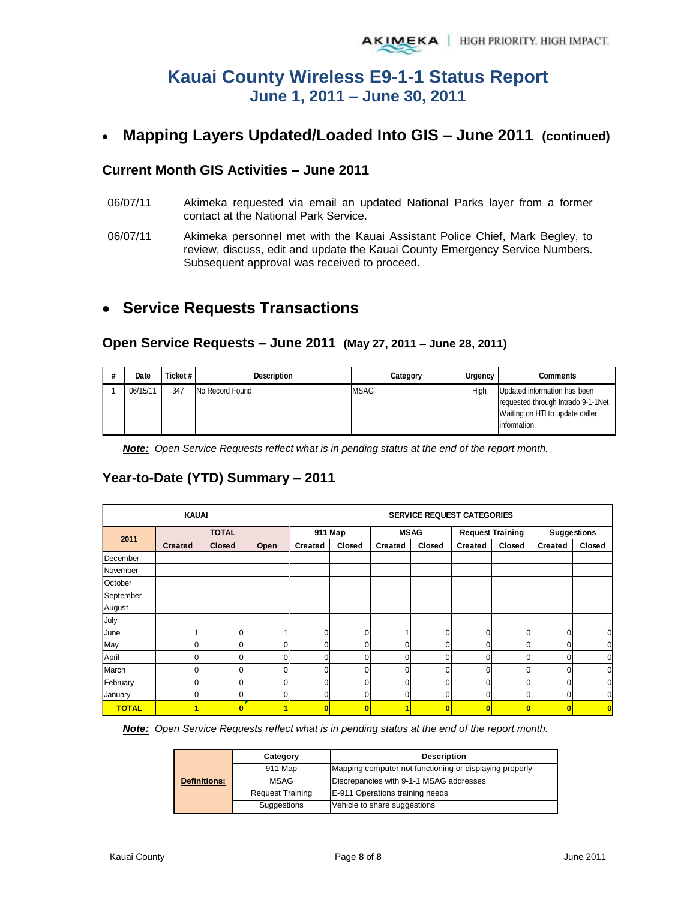# **Mapping Layers Updated/Loaded Into GIS – June 2011 (continued)**

### **Current Month GIS Activities – June 2011**

- 06/07/11 Akimeka requested via email an updated National Parks layer from a former contact at the National Park Service.
- 06/07/11 Akimeka personnel met with the Kauai Assistant Police Chief, Mark Begley, to review, discuss, edit and update the Kauai County Emergency Service Numbers. Subsequent approval was received to proceed.

# **Service Requests Transactions**

### **Open Service Requests – June 2011 (May 27, 2011 – June 28, 2011)**

| Date     | Ticket# | <b>Description</b> | Category    | Urgency | <b>Comments</b>                      |
|----------|---------|--------------------|-------------|---------|--------------------------------------|
| 06/15/11 | 347     | No Record Found    | <b>MSAG</b> | High    | Updated information has been         |
|          |         |                    |             |         | requested through Intrado 9-1-1 Net. |
|          |         |                    |             |         | Waiting on HTI to update caller      |
|          |         |                    |             |         | information.                         |

*Note: Open Service Requests reflect what is in pending status at the end of the report month.*

## **Year-to-Date (YTD) Summary – 2011**

|              | <b>KAUAI</b>   |               |      |                | <b>SERVICE REQUEST CATEGORIES</b> |                |             |                |                         |                |             |  |  |
|--------------|----------------|---------------|------|----------------|-----------------------------------|----------------|-------------|----------------|-------------------------|----------------|-------------|--|--|
|              |                | <b>TOTAL</b>  |      |                | 911 Map                           |                | <b>MSAG</b> |                | <b>Request Training</b> |                | Suggestions |  |  |
| 2011         | <b>Created</b> | <b>Closed</b> | Open | <b>Created</b> | Closed                            | <b>Created</b> | Closed      | <b>Created</b> | Closed                  | <b>Created</b> | Closed      |  |  |
| December     |                |               |      |                |                                   |                |             |                |                         |                |             |  |  |
| November     |                |               |      |                |                                   |                |             |                |                         |                |             |  |  |
| October      |                |               |      |                |                                   |                |             |                |                         |                |             |  |  |
| September    |                |               |      |                |                                   |                |             |                |                         |                |             |  |  |
| August       |                |               |      |                |                                   |                |             |                |                         |                |             |  |  |
| July         |                |               |      |                |                                   |                |             |                |                         |                |             |  |  |
| June         |                | 0             |      | $\Omega$       | $\Omega$                          | ٠              | 0           | 0              | $\mathbf 0$             | 0              | 0           |  |  |
| May          |                |               | 0    | $\Omega$       | 0                                 | 0              | 0           | 0              | $\overline{0}$          | 0              | 0           |  |  |
| April        | U              | 0l            | 0    | $\Omega$       | $\Omega$                          | 0              | 0           | 0              | $\mathbf 0$             | $\Omega$       | 0           |  |  |
| March        |                | $\Omega$      | 0    | $\Omega$       | 0                                 | 0              | 0           | 0              | $\mathbf 0$             | 0              | 0           |  |  |
| February     |                | 0             | 0    | $\Omega$       | $\Omega$                          | 0              | 0           | 0              | 0                       | $\Omega$       | 0           |  |  |
| January      | Ω.             | 0l            | 0    | $\Omega$       | $\Omega$                          | 0              | 0           | 0              | $\mathbf 0$             | $\Omega$       | $\Omega$    |  |  |
| <b>TOTAL</b> |                |               |      |                | 0                                 | 1              | 0           |                | $\bf{0}$                | O              | $\bf{0}$    |  |  |

*Note: Open Service Requests reflect what is in pending status at the end of the report month.* 

|                     | Category                | <b>Description</b>                                      |  |  |  |
|---------------------|-------------------------|---------------------------------------------------------|--|--|--|
|                     | 911 Map                 | Mapping computer not functioning or displaying properly |  |  |  |
| <b>Definitions:</b> | MSAG                    | Discrepancies with 9-1-1 MSAG addresses                 |  |  |  |
|                     | <b>Request Training</b> | E-911 Operations training needs                         |  |  |  |
|                     | Suggestions             | Vehicle to share suggestions                            |  |  |  |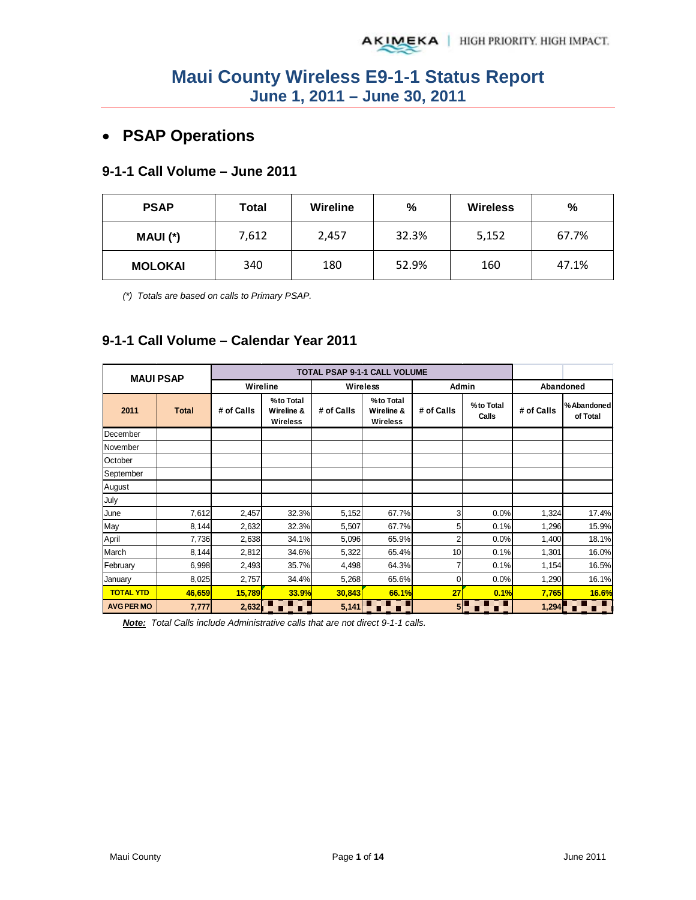# • **PSAP Operations**

## **9-1-1 Call Volume – June 2011**

| <b>PSAP</b>    | Total | <b>Wireline</b> | %     | <b>Wireless</b> | $\frac{0}{0}$ |  |
|----------------|-------|-----------------|-------|-----------------|---------------|--|
| MAUI (*)       | 7,612 | 2,457           | 32.3% | 5,152           | 67.7%         |  |
| <b>MOLOKAI</b> | 340   | 180             | 52.9% | 160             | 47.1%         |  |

*(\*) Totals are based on calls to Primary PSAP.* 

## **9-1-1 Call Volume – Calendar Year 2011**

|                   | <b>MAUI PSAP</b> |            |                                            |            | <b>TOTAL PSAP 9-1-1 CALL VOLUME</b>        |            |                    |            |                         |
|-------------------|------------------|------------|--------------------------------------------|------------|--------------------------------------------|------------|--------------------|------------|-------------------------|
|                   |                  | Wireline   |                                            |            | Wireless                                   |            | Admin              |            | Abandoned               |
| 2011              | <b>Total</b>     | # of Calls | %to Total<br>Wireline &<br><b>Wireless</b> | # of Calls | %to Total<br>Wireline &<br><b>Wireless</b> | # of Calls | %to Total<br>Calls | # of Calls | % Abandoned<br>of Total |
| December          |                  |            |                                            |            |                                            |            |                    |            |                         |
| November          |                  |            |                                            |            |                                            |            |                    |            |                         |
| October           |                  |            |                                            |            |                                            |            |                    |            |                         |
| September         |                  |            |                                            |            |                                            |            |                    |            |                         |
| August            |                  |            |                                            |            |                                            |            |                    |            |                         |
| July              |                  |            |                                            |            |                                            |            |                    |            |                         |
| June              | 7,612            | 2,457      | 32.3%                                      | 5,152      | 67.7%                                      | 3          | 0.0%               | 1,324      | 17.4%                   |
| May               | 8,144            | 2,632      | 32.3%                                      | 5,507      | 67.7%                                      | 5          | 0.1%               | 1,296      | 15.9%                   |
| April             | 7,736            | 2,638      | 34.1%                                      | 5,096      | 65.9%                                      | 2          | 0.0%               | 1,400      | 18.1%                   |
| March             | 8,144            | 2,812      | 34.6%                                      | 5,322      | 65.4%                                      | 10         | 0.1%               | 1,301      | 16.0%                   |
| February          | 6,998            | 2,493      | 35.7%                                      | 4,498      | 64.3%                                      | 7          | 0.1%               | 1,154      | 16.5%                   |
| January           | 8,025            | 2,757      | 34.4%                                      | 5,268      | 65.6%                                      | $\Omega$   | 0.0%               | 1,290      | 16.1%                   |
| <b>TOTAL YTD</b>  | 46,659           | 15,789     | <b>33.9%</b>                               | 30,843     | 66.1%                                      | 27         | 0.1%               | 7,765      | 16.6%                   |
| <b>AVG PER MO</b> | 7,777            | 2,632      | ▔▐                                         | 5,141      | п                                          | 5          | П                  | 1,294      | П                       |

*Note: Total Calls include Administrative calls that are not direct 9-1-1 calls.*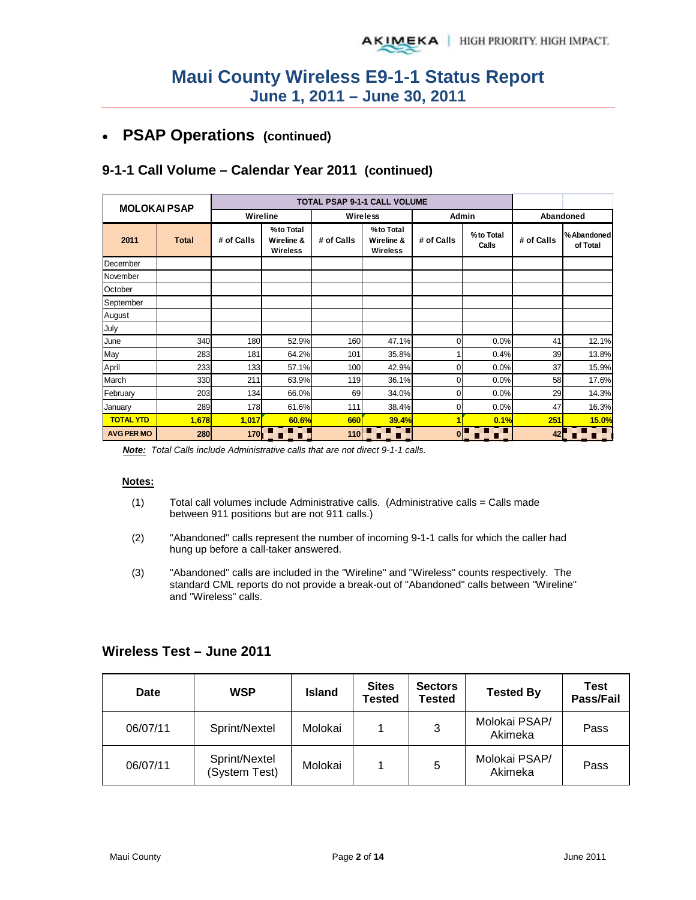# • **PSAP Operations (continued)**

## **9-1-1 Call Volume – Calendar Year 2011 (continued)**

| <b>MOLOKAI PSAP</b> |              |            |                                     |            | <b>TOTAL PSAP 9-1-1 CALL VOLUME</b> |                |                    |            |                         |
|---------------------|--------------|------------|-------------------------------------|------------|-------------------------------------|----------------|--------------------|------------|-------------------------|
|                     |              | Wireline   |                                     |            | <b>Wireless</b>                     | Admin          |                    |            | Abandoned               |
| 2011                | <b>Total</b> | # of Calls | %to Total<br>Wireline &<br>Wireless | # of Calls | %to Total<br>Wireline &<br>Wireless | # of Calls     | %to Total<br>Calls | # of Calls | % Abandoned<br>of Total |
| December            |              |            |                                     |            |                                     |                |                    |            |                         |
| November            |              |            |                                     |            |                                     |                |                    |            |                         |
| October             |              |            |                                     |            |                                     |                |                    |            |                         |
| September           |              |            |                                     |            |                                     |                |                    |            |                         |
| August              |              |            |                                     |            |                                     |                |                    |            |                         |
| July                |              |            |                                     |            |                                     |                |                    |            |                         |
| June                | 340          | 180        | 52.9%                               | 160        | 47.1%                               | $\overline{0}$ | 0.0%               | 41         | 12.1%                   |
| May                 | 283          | 181        | 64.2%                               | 101        | 35.8%                               |                | 0.4%               | 39         | 13.8%                   |
| April               | 233          | 133        | 57.1%                               | 100        | 42.9%                               | $\overline{0}$ | 0.0%               | 37         | 15.9%                   |
| March               | 330          | 211        | 63.9%                               | 119        | 36.1%                               | $\overline{0}$ | 0.0%               | 58         | 17.6%                   |
| February            | 203          | 134        | 66.0%                               | 69         | 34.0%                               | $\overline{0}$ | 0.0%               | 29         | 14.3%                   |
| January             | 289          | 178        | 61.6%                               | 111        | 38.4%                               | 01             | 0.0%               | 47         | 16.3%                   |
| <b>TOTAL YTD</b>    | 1,678        | 1,017      | 60.6%                               | 660        | 39.4%                               | 1              | 0.1%               | 251        | 15.0%                   |
| <b>AVG PER MO</b>   | 280          | 170        | ▋▊▋                                 | 110        | П                                   |                | $0 \Box$<br>o El   | 42         | Œ                       |

*Note: Total Calls include Administrative calls that are not direct 9-1-1 calls.*

### **Notes:**

- $(1)$  Total call volumes include Administrative calls. (Administrative calls = Calls made between 911 positions but are not 911 calls.)
- (2) "Abandoned" calls represent the number of incoming 9-1-1 calls for which the caller had hung up before a call-taker answered.
- (3) "Abandoned" calls are included in the "Wireline" and "Wireless" counts respectively. The standard CML reports do not provide a break-out of "Abandoned" calls between "Wireline" and "Wireless" calls.

| Date     | <b>WSP</b>                     | <b>Island</b> | <b>Sites</b><br>Tested | <b>Sectors</b><br><b>Tested</b> | <b>Tested By</b>         | Test<br>Pass/Fail |
|----------|--------------------------------|---------------|------------------------|---------------------------------|--------------------------|-------------------|
| 06/07/11 | Sprint/Nextel                  | Molokai       |                        | 3                               | Molokai PSAP/<br>Akimeka | Pass              |
| 06/07/11 | Sprint/Nextel<br>(System Test) | Molokai       |                        | 5                               | Molokai PSAP/<br>Akimeka | Pass              |

### **Wireless Test – June 2011**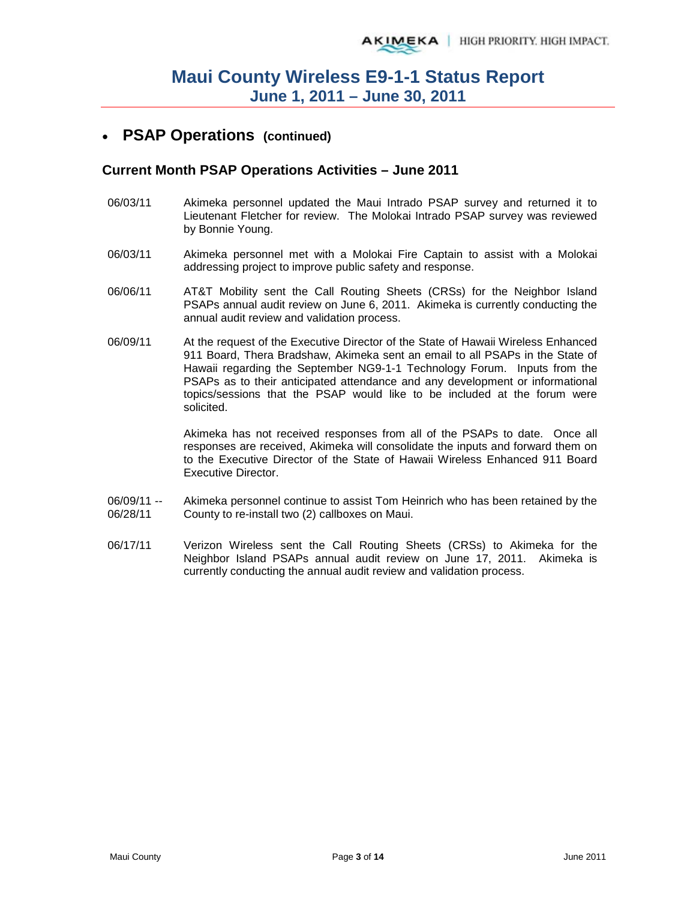## • **PSAP Operations (continued)**

### **Current Month PSAP Operations Activities – June 2011**

- 06/03/11 Akimeka personnel updated the Maui Intrado PSAP survey and returned it to Lieutenant Fletcher for review. The Molokai Intrado PSAP survey was reviewed by Bonnie Young.
- 06/03/11 Akimeka personnel met with a Molokai Fire Captain to assist with a Molokai addressing project to improve public safety and response.
- 06/06/11 AT&T Mobility sent the Call Routing Sheets (CRSs) for the Neighbor Island PSAPs annual audit review on June 6, 2011. Akimeka is currently conducting the annual audit review and validation process.
- 06/09/11 At the request of the Executive Director of the State of Hawaii Wireless Enhanced 911 Board, Thera Bradshaw, Akimeka sent an email to all PSAPs in the State of Hawaii regarding the September NG9-1-1 Technology Forum. Inputs from the PSAPs as to their anticipated attendance and any development or informational topics/sessions that the PSAP would like to be included at the forum were solicited.

Akimeka has not received responses from all of the PSAPs to date. Once all responses are received, Akimeka will consolidate the inputs and forward them on to the Executive Director of the State of Hawaii Wireless Enhanced 911 Board Executive Director.

- 06/09/11 -- 06/28/11 Akimeka personnel continue to assist Tom Heinrich who has been retained by the County to re-install two (2) callboxes on Maui.
- 06/17/11 Verizon Wireless sent the Call Routing Sheets (CRSs) to Akimeka for the Neighbor Island PSAPs annual audit review on June 17, 2011. Akimeka is currently conducting the annual audit review and validation process.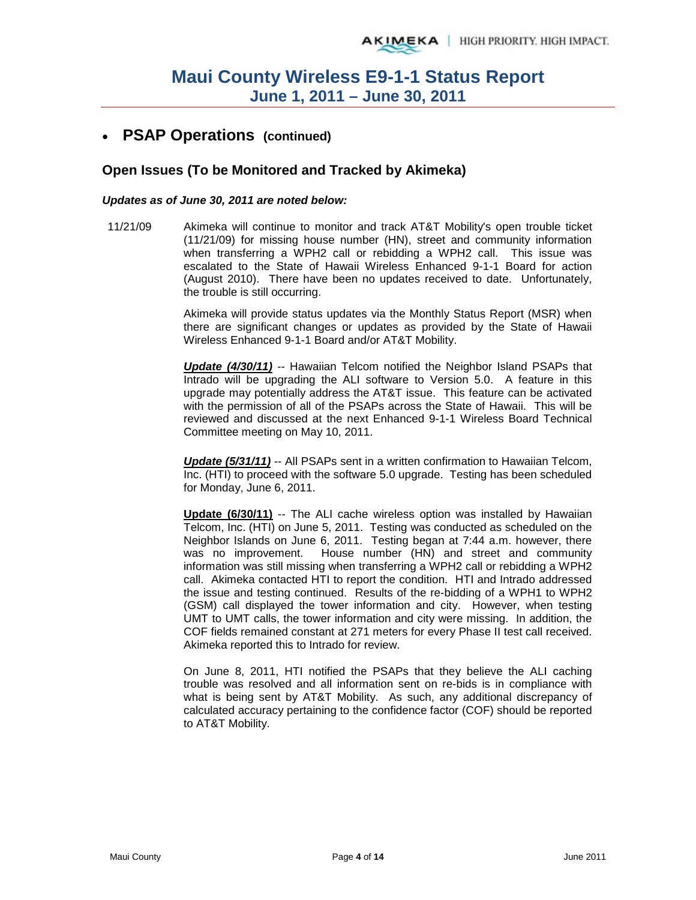## • **PSAP Operations (continued)**

### **Open Issues (To be Monitored and Tracked by Akimeka)**

### *Updates as of June 30, 2011 are noted below:*

11/21/09 Akimeka will continue to monitor and track AT&T Mobility's open trouble ticket (11/21/09) for missing house number (HN), street and community information when transferring a WPH2 call or rebidding a WPH2 call. This issue was escalated to the State of Hawaii Wireless Enhanced 9-1-1 Board for action (August 2010). There have been no updates received to date. Unfortunately, the trouble is still occurring.

> Akimeka will provide status updates via the Monthly Status Report (MSR) when there are significant changes or updates as provided by the State of Hawaii Wireless Enhanced 9-1-1 Board and/or AT&T Mobility.

> *Update (4/30/11)* -- Hawaiian Telcom notified the Neighbor Island PSAPs that Intrado will be upgrading the ALI software to Version 5.0. A feature in this upgrade may potentially address the AT&T issue. This feature can be activated with the permission of all of the PSAPs across the State of Hawaii. This will be reviewed and discussed at the next Enhanced 9-1-1 Wireless Board Technical Committee meeting on May 10, 2011.

> *Update (5/31/11)* -- All PSAPs sent in a written confirmation to Hawaiian Telcom, Inc. (HTI) to proceed with the software 5.0 upgrade. Testing has been scheduled for Monday, June 6, 2011.

> **Update (6/30/11)** -- The ALI cache wireless option was installed by Hawaiian Telcom, Inc. (HTI) on June 5, 2011. Testing was conducted as scheduled on the Neighbor Islands on June 6, 2011. Testing began at 7:44 a.m. however, there was no improvement. House number (HN) and street and community information was still missing when transferring a WPH2 call or rebidding a WPH2 call. Akimeka contacted HTI to report the condition. HTI and Intrado addressed the issue and testing continued. Results of the re-bidding of a WPH1 to WPH2 (GSM) call displayed the tower information and city. However, when testing UMT to UMT calls, the tower information and city were missing. In addition, the COF fields remained constant at 271 meters for every Phase II test call received. Akimeka reported this to Intrado for review.

> On June 8, 2011, HTI notified the PSAPs that they believe the ALI caching trouble was resolved and all information sent on re-bids is in compliance with what is being sent by AT&T Mobility. As such, any additional discrepancy of calculated accuracy pertaining to the confidence factor (COF) should be reported to AT&T Mobility.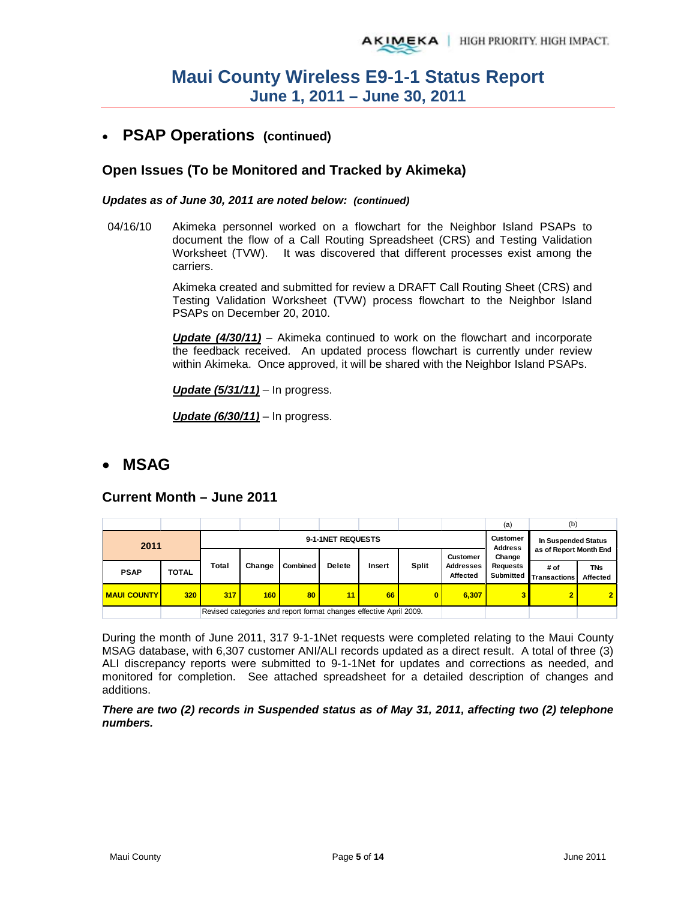## • **PSAP Operations (continued)**

### **Open Issues (To be Monitored and Tracked by Akimeka)**

### *Updates as of June 30, 2011 are noted below: (continued)*

04/16/10 Akimeka personnel worked on a flowchart for the Neighbor Island PSAPs to document the flow of a Call Routing Spreadsheet (CRS) and Testing Validation Worksheet (TVW). It was discovered that different processes exist among the carriers.

> Akimeka created and submitted for review a DRAFT Call Routing Sheet (CRS) and Testing Validation Worksheet (TVW) process flowchart to the Neighbor Island PSAPs on December 20, 2010.

> *Update (4/30/11)* – Akimeka continued to work on the flowchart and incorporate the feedback received. An updated process flowchart is currently under review within Akimeka. Once approved, it will be shared with the Neighbor Island PSAPs.

*Update (5/31/11)* – In progress.

*Update (6/30/11)* – In progress.

## • **MSAG**

### **Current Month – June 2011**

|                    |              |       |                           |                                                                    |                                   |                                               |              |                       | (a)                          | (b)                         |                        |
|--------------------|--------------|-------|---------------------------|--------------------------------------------------------------------|-----------------------------------|-----------------------------------------------|--------------|-----------------------|------------------------------|-----------------------------|------------------------|
| 2011               |              |       |                           | 9-1-1NET REQUESTS                                                  | <b>Customer</b><br><b>Address</b> | In Suspended Status<br>as of Report Month End |              |                       |                              |                             |                        |
|                    |              |       | Change<br><b>Customer</b> |                                                                    |                                   |                                               |              |                       |                              |                             |                        |
| <b>PSAP</b>        | <b>TOTAL</b> | Total | Change                    | <b>Combined</b>                                                    | <b>Delete</b>                     | Insert                                        | <b>Split</b> | Addresses<br>Affected | <b>Requests</b><br>Submitted | # of<br><b>Transactions</b> | <b>TNs</b><br>Affected |
| <b>MAUI COUNTY</b> | 320          | 317   | 160                       | 80                                                                 | 11                                | 66                                            | 0            | 6.307                 | 3                            |                             | $\overline{2}$         |
|                    |              |       |                           | Revised categories and report format changes effective April 2009. |                                   |                                               |              |                       |                              |                             |                        |

During the month of June 2011, 317 9-1-1Net requests were completed relating to the Maui County MSAG database, with 6,307 customer ANI/ALI records updated as a direct result. A total of three (3) ALI discrepancy reports were submitted to 9-1-1Net for updates and corrections as needed, and monitored for completion. See attached spreadsheet for a detailed description of changes and additions.

### *There are two (2) records in Suspended status as of May 31, 2011, affecting two (2) telephone numbers.*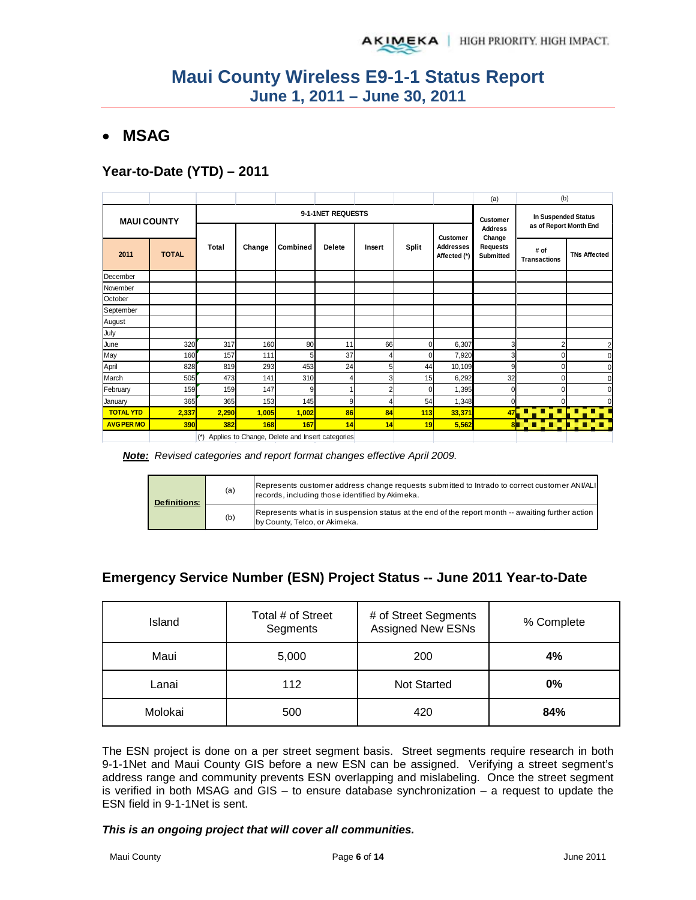## • **MSAG**

## **Year-to-Date (YTD) – 2011**

|                    |              |       |        |                                                 |               |                 |                     |                                  | (a)                          | (b)                         |                     |
|--------------------|--------------|-------|--------|-------------------------------------------------|---------------|-----------------|---------------------|----------------------------------|------------------------------|-----------------------------|---------------------|
| <b>MAUI COUNTY</b> |              |       |        | 9-1-1NET REQUESTS                               |               | <b>Customer</b> | In Suspended Status |                                  |                              |                             |                     |
|                    |              |       |        |                                                 |               |                 |                     | <b>Customer</b>                  | <b>Address</b><br>Change     | as of Report Month End      |                     |
| 2011               | <b>TOTAL</b> | Total | Change | Combined                                        | <b>Delete</b> | Insert          | <b>Split</b>        | <b>Addresses</b><br>Affected (*) | <b>Requests</b><br>Submitted | # of<br><b>Transactions</b> | <b>TNs Affected</b> |
| December           |              |       |        |                                                 |               |                 |                     |                                  |                              |                             |                     |
| November           |              |       |        |                                                 |               |                 |                     |                                  |                              |                             |                     |
| October            |              |       |        |                                                 |               |                 |                     |                                  |                              |                             |                     |
| September          |              |       |        |                                                 |               |                 |                     |                                  |                              |                             |                     |
| August             |              |       |        |                                                 |               |                 |                     |                                  |                              |                             |                     |
| July               |              |       |        |                                                 |               |                 |                     |                                  |                              |                             |                     |
| June               | 320          | 317   | 160    | 80                                              | 11            | 66              |                     | 6,307                            | 3                            |                             | $\overline{2}$      |
| May                | 160          | 157   | 111    | 5                                               | 37            | 4               |                     | 7,920                            | 3                            |                             |                     |
| April              | 828          | 819   | 293    | 453                                             | 24            | 5 <sup>1</sup>  | 44                  | 10,109                           | 9                            |                             |                     |
| March              | 505          | 473   | 141    | 310                                             | 4             | $\overline{3}$  | 15                  | 6,292                            | 32                           | 0                           |                     |
| February           | 159          | 159   | 147    | 9                                               |               | 2               |                     | 1,395                            |                              |                             |                     |
| January            | 365          | 365   | 153    | 145                                             | 9             | 4               | 54                  | 1,348                            | ∩                            |                             |                     |
| <b>TOTAL YTD</b>   | 2,337        | 2,290 | 1,005  | 1,002                                           | 86            | 84              | 113                 | 33,371                           | 47                           |                             |                     |
| <b>AVG PER MO</b>  | 390          | 382   | 168    | 167                                             | 14            | 14              | 19                  | 5,562                            | 81                           | π<br>Ō.                     | o g                 |
|                    |              | $(*)$ |        | Applies to Change, Delete and Insert categories |               |                 |                     |                                  |                              |                             |                     |

*Note: Revised categories and report format changes effective April 2009.*

| <b>Definitions:</b> | (a) | Represents customer address change requests submitted to Intrado to correct customer ANI/ALI<br>records, including those identified by Akimeka. |
|---------------------|-----|-------------------------------------------------------------------------------------------------------------------------------------------------|
|                     | (b) | Represents what is in suspension status at the end of the report month -- awaiting further action<br>by County, Telco, or Akimeka.              |

## **Emergency Service Number (ESN) Project Status -- June 2011 Year-to-Date**

| Island  | Total # of Street<br>Segments | # of Street Segments<br><b>Assigned New ESNs</b> | % Complete |
|---------|-------------------------------|--------------------------------------------------|------------|
| Maui    | 5,000                         | 200                                              | 4%         |
| Lanai   | 112                           | <b>Not Started</b>                               | 0%         |
| Molokai | 500                           | 420                                              | 84%        |

The ESN project is done on a per street segment basis. Street segments require research in both 9-1-1Net and Maui County GIS before a new ESN can be assigned. Verifying a street segment's address range and community prevents ESN overlapping and mislabeling. Once the street segment is verified in both MSAG and GIS – to ensure database synchronization – a request to update the ESN field in 9-1-1Net is sent.

*This is an ongoing project that will cover all communities.*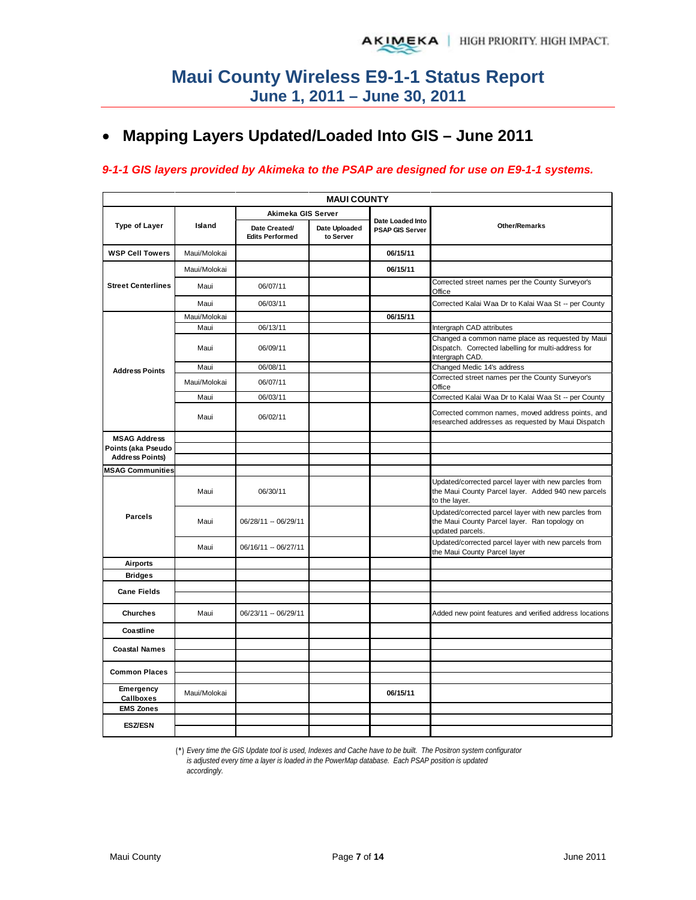# • **Mapping Layers Updated/Loaded Into GIS – June 2011**

### *9-1-1 GIS layers provided by Akimeka to the PSAP are designed for use on E9-1-1 systems.*

| <b>MAUI COUNTY</b>                           |              |                                         |                            |                                            |                                                                                                                              |  |  |  |  |  |  |
|----------------------------------------------|--------------|-----------------------------------------|----------------------------|--------------------------------------------|------------------------------------------------------------------------------------------------------------------------------|--|--|--|--|--|--|
|                                              |              | Akimeka GIS Server                      |                            |                                            |                                                                                                                              |  |  |  |  |  |  |
| Type of Layer                                | Island       | Date Created/<br><b>Edits Performed</b> | Date Uploaded<br>to Server | Date Loaded Into<br><b>PSAP GIS Server</b> | <b>Other/Remarks</b>                                                                                                         |  |  |  |  |  |  |
| <b>WSP Cell Towers</b>                       | Maui/Molokai |                                         |                            | 06/15/11                                   |                                                                                                                              |  |  |  |  |  |  |
|                                              | Maui/Molokai |                                         |                            | 06/15/11                                   |                                                                                                                              |  |  |  |  |  |  |
| <b>Street Centerlines</b>                    | Maui         | 06/07/11                                |                            |                                            | Corrected street names per the County Surveyor's<br>Office                                                                   |  |  |  |  |  |  |
|                                              | Maui         | 06/03/11                                |                            |                                            | Corrected Kalai Waa Dr to Kalai Waa St -- per County                                                                         |  |  |  |  |  |  |
|                                              | Maui/Molokai |                                         |                            | 06/15/11                                   |                                                                                                                              |  |  |  |  |  |  |
|                                              | Maui         | 06/13/11                                |                            |                                            | Intergraph CAD attributes                                                                                                    |  |  |  |  |  |  |
|                                              | Maui         | 06/09/11                                |                            |                                            | Changed a common name place as requested by Maui<br>Dispatch. Corrected labelling for multi-address for<br>Intergraph CAD.   |  |  |  |  |  |  |
| <b>Address Points</b>                        | Maui         | 06/08/11                                |                            |                                            | Changed Medic 14's address                                                                                                   |  |  |  |  |  |  |
|                                              | Maui/Molokai | 06/07/11                                |                            |                                            | Corrected street names per the County Surveyor's<br>Office                                                                   |  |  |  |  |  |  |
|                                              | Maui         | 06/03/11                                |                            |                                            | Corrected Kalai Waa Dr to Kalai Waa St -- per County                                                                         |  |  |  |  |  |  |
|                                              | Maui         | 06/02/11                                |                            |                                            | Corrected common names, moved address points, and<br>researched addresses as requested by Maui Dispatch                      |  |  |  |  |  |  |
| <b>MSAG Address</b>                          |              |                                         |                            |                                            |                                                                                                                              |  |  |  |  |  |  |
| Points (aka Pseudo<br><b>Address Points)</b> |              |                                         |                            |                                            |                                                                                                                              |  |  |  |  |  |  |
| <b>MSAG Communities</b>                      |              |                                         |                            |                                            |                                                                                                                              |  |  |  |  |  |  |
|                                              | Maui         | 06/30/11                                |                            |                                            | Updated/corrected parcel layer with new parcles from<br>the Maui County Parcel layer. Added 940 new parcels<br>to the layer. |  |  |  |  |  |  |
| <b>Parcels</b>                               | Maui         | 06/28/11 -- 06/29/11                    |                            |                                            | Updated/corrected parcel layer with new parcles from<br>the Maui County Parcel layer. Ran topology on<br>updated parcels.    |  |  |  |  |  |  |
|                                              | Maui         | 06/16/11 -- 06/27/11                    |                            |                                            | Updated/corrected parcel layer with new parcels from<br>the Maui County Parcel layer                                         |  |  |  |  |  |  |
| <b>Airports</b>                              |              |                                         |                            |                                            |                                                                                                                              |  |  |  |  |  |  |
| <b>Bridges</b>                               |              |                                         |                            |                                            |                                                                                                                              |  |  |  |  |  |  |
| <b>Cane Fields</b>                           |              |                                         |                            |                                            |                                                                                                                              |  |  |  |  |  |  |
| <b>Churches</b>                              | Maui         | 06/23/11 -- 06/29/11                    |                            |                                            | Added new point features and verified address locations                                                                      |  |  |  |  |  |  |
| Coastline                                    |              |                                         |                            |                                            |                                                                                                                              |  |  |  |  |  |  |
| <b>Coastal Names</b>                         |              |                                         |                            |                                            |                                                                                                                              |  |  |  |  |  |  |
|                                              |              |                                         |                            |                                            |                                                                                                                              |  |  |  |  |  |  |
| <b>Common Places</b>                         |              |                                         |                            |                                            |                                                                                                                              |  |  |  |  |  |  |
| Emergency<br>Callboxes                       | Maui/Molokai |                                         |                            | 06/15/11                                   |                                                                                                                              |  |  |  |  |  |  |
| <b>EMS Zones</b>                             |              |                                         |                            |                                            |                                                                                                                              |  |  |  |  |  |  |
| <b>ESZ/ESN</b>                               |              |                                         |                            |                                            |                                                                                                                              |  |  |  |  |  |  |

(\*) *Every time the GIS Update tool is used, Indexes and Cache have to be built. The Positron system configurator is adjusted every time a layer is loaded in the PowerMap database. Each PSAP position is updated accordingly.*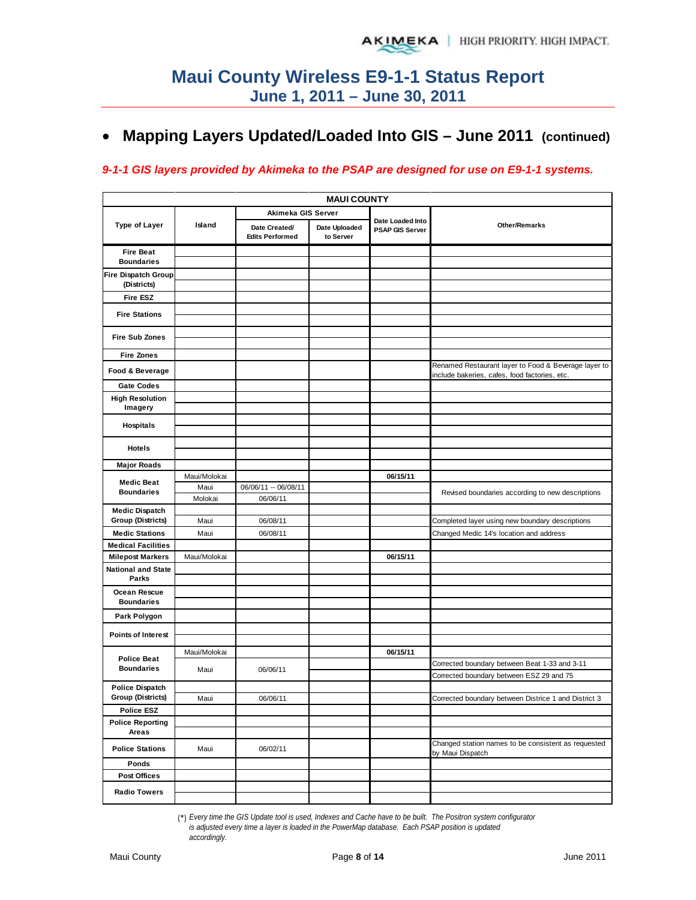# • **Mapping Layers Updated/Loaded Into GIS – June 2011 (continued)**

### *9-1-1 GIS layers provided by Akimeka to the PSAP are designed for use on E9-1-1 systems.*

|                                    | <b>MAUI COUNTY</b> |                                         |                            |                                            |                                                                                                       |  |  |  |  |  |  |  |
|------------------------------------|--------------------|-----------------------------------------|----------------------------|--------------------------------------------|-------------------------------------------------------------------------------------------------------|--|--|--|--|--|--|--|
|                                    |                    | Akimeka GIS Server                      |                            |                                            |                                                                                                       |  |  |  |  |  |  |  |
| <b>Type of Layer</b>               | Island             | Date Created/<br><b>Edits Performed</b> | Date Uploaded<br>to Server | Date Loaded Into<br><b>PSAP GIS Server</b> | <b>Other/Remarks</b>                                                                                  |  |  |  |  |  |  |  |
| <b>Fire Beat</b>                   |                    |                                         |                            |                                            |                                                                                                       |  |  |  |  |  |  |  |
| <b>Boundaries</b>                  |                    |                                         |                            |                                            |                                                                                                       |  |  |  |  |  |  |  |
| Fire Dispatch Group<br>(Districts) |                    |                                         |                            |                                            |                                                                                                       |  |  |  |  |  |  |  |
| Fire ESZ                           |                    |                                         |                            |                                            |                                                                                                       |  |  |  |  |  |  |  |
|                                    |                    |                                         |                            |                                            |                                                                                                       |  |  |  |  |  |  |  |
| <b>Fire Stations</b>               |                    |                                         |                            |                                            |                                                                                                       |  |  |  |  |  |  |  |
| <b>Fire Sub Zones</b>              |                    |                                         |                            |                                            |                                                                                                       |  |  |  |  |  |  |  |
|                                    |                    |                                         |                            |                                            |                                                                                                       |  |  |  |  |  |  |  |
| <b>Fire Zones</b>                  |                    |                                         |                            |                                            |                                                                                                       |  |  |  |  |  |  |  |
| Food & Beverage                    |                    |                                         |                            |                                            | Renamed Restaurant layer to Food & Beverage layer to<br>include bakeries, cafes, food factories, etc. |  |  |  |  |  |  |  |
| <b>Gate Codes</b>                  |                    |                                         |                            |                                            |                                                                                                       |  |  |  |  |  |  |  |
| <b>High Resolution</b>             |                    |                                         |                            |                                            |                                                                                                       |  |  |  |  |  |  |  |
| Imagery                            |                    |                                         |                            |                                            |                                                                                                       |  |  |  |  |  |  |  |
| <b>Hospitals</b>                   |                    |                                         |                            |                                            |                                                                                                       |  |  |  |  |  |  |  |
|                                    |                    |                                         |                            |                                            |                                                                                                       |  |  |  |  |  |  |  |
| Hotels                             |                    |                                         |                            |                                            |                                                                                                       |  |  |  |  |  |  |  |
| <b>Major Roads</b>                 |                    |                                         |                            |                                            |                                                                                                       |  |  |  |  |  |  |  |
|                                    | Maui/Molokai       |                                         |                            | 06/15/11                                   |                                                                                                       |  |  |  |  |  |  |  |
| <b>Medic Beat</b>                  | Maui               | 06/06/11 -- 06/08/11                    |                            |                                            |                                                                                                       |  |  |  |  |  |  |  |
| <b>Boundaries</b>                  | Molokai            | 06/06/11                                |                            |                                            | Revised boundaries according to new descriptions                                                      |  |  |  |  |  |  |  |
| <b>Medic Dispatch</b>              |                    |                                         |                            |                                            |                                                                                                       |  |  |  |  |  |  |  |
| <b>Group (Districts)</b>           | Maui               | 06/08/11                                |                            |                                            | Completed layer using new boundary descriptions                                                       |  |  |  |  |  |  |  |
| <b>Medic Stations</b>              | Maui               | 06/08/11                                |                            |                                            | Changed Medic 14's location and address                                                               |  |  |  |  |  |  |  |
| <b>Medical Facilities</b>          |                    |                                         |                            |                                            |                                                                                                       |  |  |  |  |  |  |  |
| <b>Milepost Markers</b>            | Maui/Molokai       |                                         |                            | 06/15/11                                   |                                                                                                       |  |  |  |  |  |  |  |
| <b>National and State</b><br>Parks |                    |                                         |                            |                                            |                                                                                                       |  |  |  |  |  |  |  |
| Ocean Rescue                       |                    |                                         |                            |                                            |                                                                                                       |  |  |  |  |  |  |  |
| <b>Boundaries</b>                  |                    |                                         |                            |                                            |                                                                                                       |  |  |  |  |  |  |  |
| Park Polygon                       |                    |                                         |                            |                                            |                                                                                                       |  |  |  |  |  |  |  |
| <b>Points of Interest</b>          |                    |                                         |                            |                                            |                                                                                                       |  |  |  |  |  |  |  |
|                                    | Maui/Molokai       |                                         |                            | 06/15/11                                   |                                                                                                       |  |  |  |  |  |  |  |
| <b>Police Beat</b>                 |                    |                                         |                            |                                            | Corrected boundary between Beat 1-33 and 3-11                                                         |  |  |  |  |  |  |  |
| <b>Boundaries</b>                  | Maui               | 06/06/11                                |                            |                                            | Corrected boundary between ESZ 29 and 75                                                              |  |  |  |  |  |  |  |
| <b>Police Dispatch</b>             |                    |                                         |                            |                                            |                                                                                                       |  |  |  |  |  |  |  |
| Group (Districts)                  | Maui               | 06/06/11                                |                            |                                            | Corrected boundary between Districe 1 and District 3                                                  |  |  |  |  |  |  |  |
| <b>Police ESZ</b>                  |                    |                                         |                            |                                            |                                                                                                       |  |  |  |  |  |  |  |
| <b>Police Reporting</b><br>Areas   |                    |                                         |                            |                                            |                                                                                                       |  |  |  |  |  |  |  |
| <b>Police Stations</b>             | Maui               | 06/02/11                                |                            |                                            | Changed station names to be consistent as requested<br>by Maui Dispatch                               |  |  |  |  |  |  |  |
| Ponds                              |                    |                                         |                            |                                            |                                                                                                       |  |  |  |  |  |  |  |
| <b>Post Offices</b>                |                    |                                         |                            |                                            |                                                                                                       |  |  |  |  |  |  |  |
|                                    |                    |                                         |                            |                                            |                                                                                                       |  |  |  |  |  |  |  |
| <b>Radio Towers</b>                |                    |                                         |                            |                                            |                                                                                                       |  |  |  |  |  |  |  |

(\*) *Every time the GIS Update tool is used, Indexes and Cache have to be built. The Positron system configurator is adjusted every time a layer is loaded in the PowerMap database. Each PSAP position is updated accordingly.*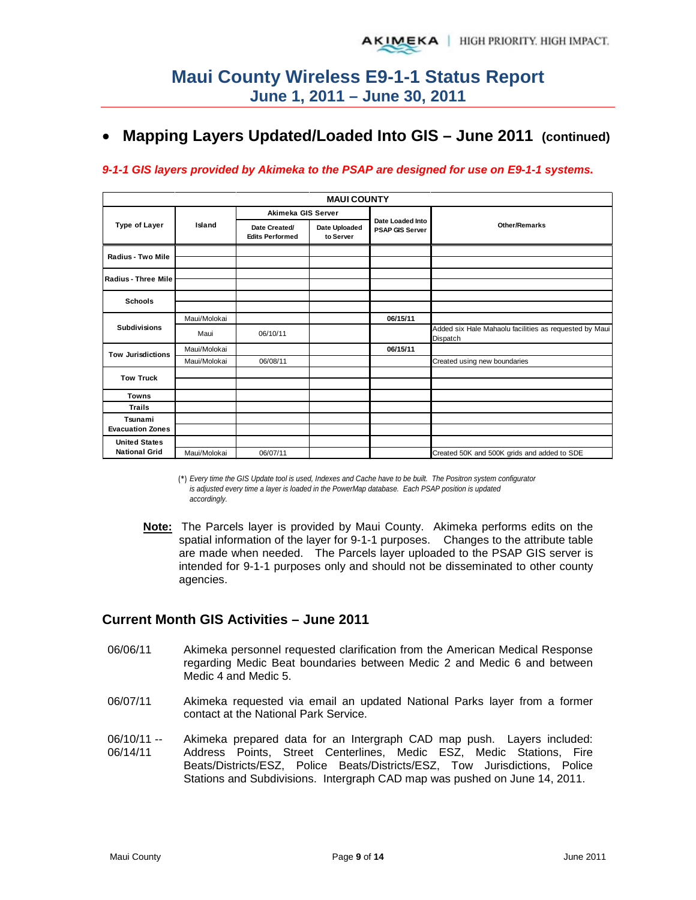# • **Mapping Layers Updated/Loaded Into GIS – June 2011 (continued)**

### *9-1-1 GIS layers provided by Akimeka to the PSAP are designed for use on E9-1-1 systems.*

|                                    |              |                                         | <b>MAUI COUNTY</b>         |                                            |                                                                    |  |  |  |
|------------------------------------|--------------|-----------------------------------------|----------------------------|--------------------------------------------|--------------------------------------------------------------------|--|--|--|
|                                    |              | Akimeka GIS Server                      |                            |                                            |                                                                    |  |  |  |
| <b>Type of Layer</b>               | Island       | Date Created/<br><b>Edits Performed</b> | Date Uploaded<br>to Server | Date Loaded Into<br><b>PSAP GIS Server</b> | <b>Other/Remarks</b>                                               |  |  |  |
| Radius - Two Mile                  |              |                                         |                            |                                            |                                                                    |  |  |  |
| <b>Radius - Three Mile</b>         |              |                                         |                            |                                            |                                                                    |  |  |  |
| <b>Schools</b>                     |              |                                         |                            |                                            |                                                                    |  |  |  |
|                                    | Maui/Molokai |                                         |                            | 06/15/11                                   |                                                                    |  |  |  |
| <b>Subdivisions</b>                | Maui         | 06/10/11                                |                            |                                            | Added six Hale Mahaolu facilities as requested by Maui<br>Dispatch |  |  |  |
| <b>Tow Jurisdictions</b>           | Maui/Molokai |                                         |                            | 06/15/11                                   |                                                                    |  |  |  |
|                                    | Maui/Molokai | 06/08/11                                |                            |                                            | Created using new boundaries                                       |  |  |  |
| <b>Tow Truck</b>                   |              |                                         |                            |                                            |                                                                    |  |  |  |
|                                    |              |                                         |                            |                                            |                                                                    |  |  |  |
| <b>Towns</b>                       |              |                                         |                            |                                            |                                                                    |  |  |  |
| <b>Trails</b>                      |              |                                         |                            |                                            |                                                                    |  |  |  |
| Tsunami<br><b>Evacuation Zones</b> |              |                                         |                            |                                            |                                                                    |  |  |  |
| <b>United States</b>               |              |                                         |                            |                                            |                                                                    |  |  |  |
| <b>National Grid</b>               | Maui/Molokai | 06/07/11                                |                            |                                            | Created 50K and 500K grids and added to SDE                        |  |  |  |

(\*) *Every time the GIS Update tool is used, Indexes and Cache have to be built. The Positron system configurator is adjusted every time a layer is loaded in the PowerMap database. Each PSAP position is updated accordingly.*

**Note:** The Parcels layer is provided by Maui County. Akimeka performs edits on the spatial information of the layer for 9-1-1 purposes. Changes to the attribute table are made when needed. The Parcels layer uploaded to the PSAP GIS server is intended for 9-1-1 purposes only and should not be disseminated to other county agencies.

### **Current Month GIS Activities – June 2011**

- 06/06/11 Akimeka personnel requested clarification from the American Medical Response regarding Medic Beat boundaries between Medic 2 and Medic 6 and between Medic 4 and Medic 5.
- 06/07/11 Akimeka requested via email an updated National Parks layer from a former contact at the National Park Service.
- 06/10/11 -- 06/14/11 Akimeka prepared data for an Intergraph CAD map push. Layers included: Address Points, Street Centerlines, Medic ESZ, Medic Stations, Fire Beats/Districts/ESZ, Police Beats/Districts/ESZ, Tow Jurisdictions, Police Stations and Subdivisions. Intergraph CAD map was pushed on June 14, 2011.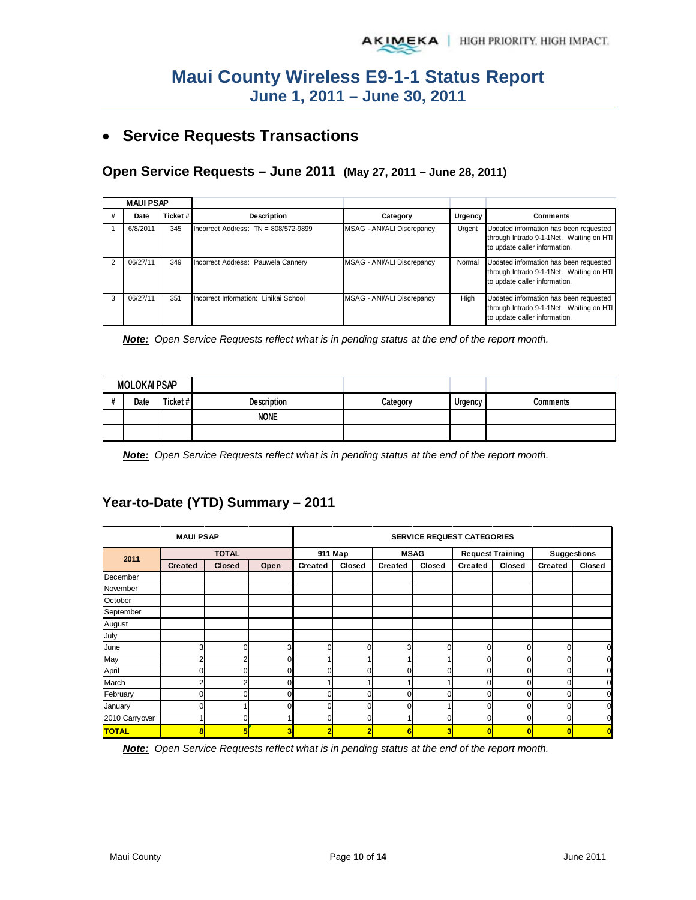# • **Service Requests Transactions**

## **Open Service Requests – June 2011 (May 27, 2011 – June 28, 2011)**

|   | <b>MAUI PSAP</b> |         |                                        |                            |         |                                                                                                                     |  |  |
|---|------------------|---------|----------------------------------------|----------------------------|---------|---------------------------------------------------------------------------------------------------------------------|--|--|
|   | Date             | Ticket# | Description                            | Category                   | Urgency | <b>Comments</b>                                                                                                     |  |  |
|   | 6/8/2011         | 345     | Incorrect Address: $TN = 808/572-9899$ | MSAG - ANI/ALI Discrepancy | Urgent  | Updated information has been requested<br>through Intrado 9-1-1Net. Waiting on HTI<br>to update caller information. |  |  |
|   | 06/27/11         | 349     | Incorrect Address: Pauwela Cannery     | MSAG - ANI/ALI Discrepancy | Normal  | Updated information has been requested<br>through Intrado 9-1-1Net. Waiting on HTI<br>to update caller information. |  |  |
| 3 | 06/27/11         | 351     | Incorrect Information: Lihikai School  | MSAG - ANI/ALI Discrepancy | High    | Updated information has been requested<br>through Intrado 9-1-1Net. Waiting on HTI<br>to update caller information. |  |  |

*Note: Open Service Requests reflect what is in pending status at the end of the report month.* 

| <b>MOLOKAI PSAP</b> |      |         |                    |          |                |          |
|---------------------|------|---------|--------------------|----------|----------------|----------|
|                     | Date | Ticket# | <b>Description</b> | Category | <b>Urgency</b> | Comments |
|                     |      |         | <b>NONE</b>        |          |                |          |
|                     |      |         |                    |          |                |          |

*Note: Open Service Requests reflect what is in pending status at the end of the report month.*

## **Year-to-Date (YTD) Summary – 2011**

|                | <b>MAUI PSAP</b> |              |      | <b>SERVICE REQUEST CATEGORIES</b> |          |                |              |                         |              |                    |                |  |
|----------------|------------------|--------------|------|-----------------------------------|----------|----------------|--------------|-------------------------|--------------|--------------------|----------------|--|
|                |                  | <b>TOTAL</b> |      |                                   | 911 Map  |                | <b>MSAG</b>  | <b>Request Training</b> |              | <b>Suggestions</b> |                |  |
| 2011           | <b>Created</b>   | Closed       | Open | <b>Created</b>                    | Closed   | <b>Created</b> | Closed       | <b>Created</b>          | Closed       | Created            | Closed         |  |
| December       |                  |              |      |                                   |          |                |              |                         |              |                    |                |  |
| November       |                  |              |      |                                   |          |                |              |                         |              |                    |                |  |
| October        |                  |              |      |                                   |          |                |              |                         |              |                    |                |  |
| September      |                  |              |      |                                   |          |                |              |                         |              |                    |                |  |
| August         |                  |              |      |                                   |          |                |              |                         |              |                    |                |  |
| July           |                  |              |      |                                   |          |                |              |                         |              |                    |                |  |
| June           | 3                | n            | 3    |                                   | $\Omega$ | 3              | <sup>n</sup> | $\Omega$                | 0            |                    | $\mathbf 0$    |  |
| May            | 2                |              |      |                                   |          |                |              |                         | 0            |                    | $\mathbf 0$    |  |
| April          | 0                |              |      |                                   |          |                |              | $\Omega$                | 0            |                    | $\mathbf 0$    |  |
| March          | 2                |              |      |                                   |          |                |              | $\Omega$                | 0            |                    | $\mathbf 0$    |  |
| February       | 0                |              |      |                                   | O        | 0              |              | $\Omega$                | $\mathbf{0}$ |                    | $\mathbf 0$    |  |
| January        | 0                |              |      |                                   | O        |                |              |                         | 0            |                    | $\overline{0}$ |  |
| 2010 Carryover |                  | ი            |      | $\Omega$                          | $\Omega$ |                |              | $\Omega$                | 0            |                    | $\mathbf 0$    |  |
| <b>TOTAL</b>   | 8                | 5            | 3    |                                   |          | 6              |              |                         | $\bf{0}$     |                    | $\overline{0}$ |  |

*Note: Open Service Requests reflect what is in pending status at the end of the report month.*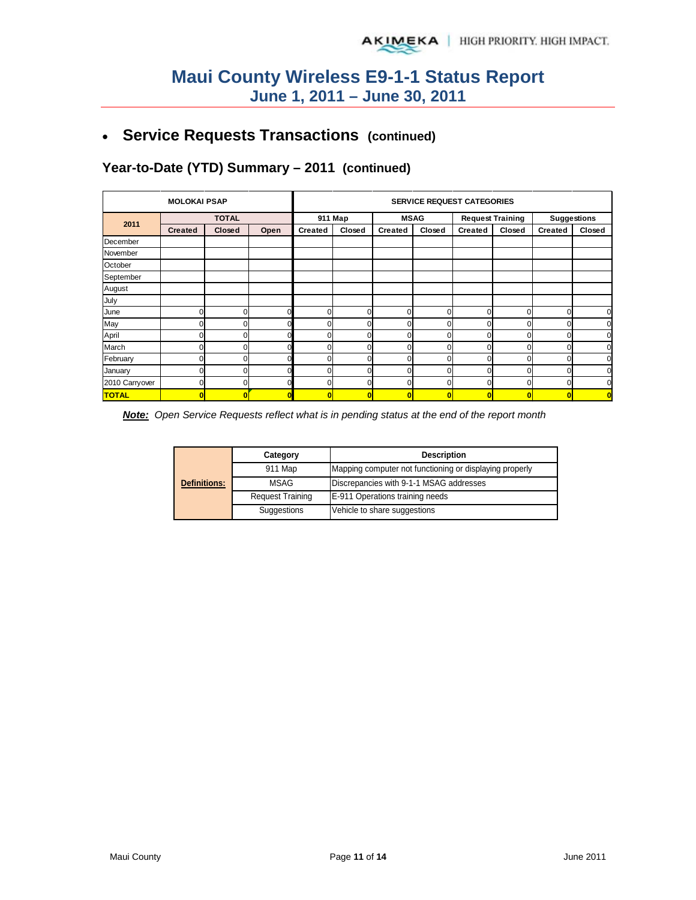# • **Service Requests Transactions (continued)**

# **Year-to-Date (YTD) Summary – 2011 (continued)**

|                | <b>MOLOKAI PSAP</b> |              |      |                | <b>SERVICE REQUEST CATEGORIES</b> |                |        |                         |              |                    |                |  |  |
|----------------|---------------------|--------------|------|----------------|-----------------------------------|----------------|--------|-------------------------|--------------|--------------------|----------------|--|--|
| 2011           |                     | <b>TOTAL</b> |      | 911 Map        |                                   | <b>MSAG</b>    |        | <b>Request Training</b> |              | <b>Suggestions</b> |                |  |  |
|                | <b>Created</b>      | Closed       | Open | <b>Created</b> | Closed                            | <b>Created</b> | Closed | <b>Created</b>          | Closed       | <b>Created</b>     | Closed         |  |  |
| December       |                     |              |      |                |                                   |                |        |                         |              |                    |                |  |  |
| November       |                     |              |      |                |                                   |                |        |                         |              |                    |                |  |  |
| October        |                     |              |      |                |                                   |                |        |                         |              |                    |                |  |  |
| September      |                     |              |      |                |                                   |                |        |                         |              |                    |                |  |  |
| August         |                     |              |      |                |                                   |                |        |                         |              |                    |                |  |  |
| July           |                     |              |      |                |                                   |                |        |                         |              |                    |                |  |  |
| June           | 0                   | U            |      |                | U                                 |                | U      | $\Omega$                | 0            | $\Omega$           | $\mathbf 0$    |  |  |
| May            |                     |              |      |                |                                   |                |        | ſ                       |              |                    | $\mathbf 0$    |  |  |
| April          | 0                   |              |      |                | o                                 |                |        | 0                       | $\mathbf{0}$ |                    | $\mathbf 0$    |  |  |
| March          | 0                   | ი            |      |                | 0                                 |                |        | 0                       | 0            |                    | $\mathbf 0$    |  |  |
| February       | 0                   | ი            |      |                | 0                                 |                |        | 0                       | 0            |                    | $\mathbf 0$    |  |  |
| January        | 0                   | ი            |      |                | 0                                 |                | ი      | 0                       | 0            |                    | $\mathbf 0$    |  |  |
| 2010 Carryover | 0                   | n            |      |                | 0                                 | n              | ŋ      | $\Omega$                | $\Omega$     |                    | $\mathbf 0$    |  |  |
| <b>TOTAL</b>   | $\overline{0}$      |              |      | O              |                                   |                | O      | 0                       | $\bf{0}$     |                    | $\overline{0}$ |  |  |

*Note: Open Service Requests reflect what is in pending status at the end of the report month*

|                     | Category                                                           | <b>Description</b>              |  |  |
|---------------------|--------------------------------------------------------------------|---------------------------------|--|--|
|                     | 911 Map<br>Mapping computer not functioning or displaying properly |                                 |  |  |
| <b>Definitions:</b> | Discrepancies with 9-1-1 MSAG addresses<br><b>MSAG</b>             |                                 |  |  |
|                     | <b>Request Training</b>                                            | E-911 Operations training needs |  |  |
|                     | Suggestions                                                        | Vehicle to share suggestions    |  |  |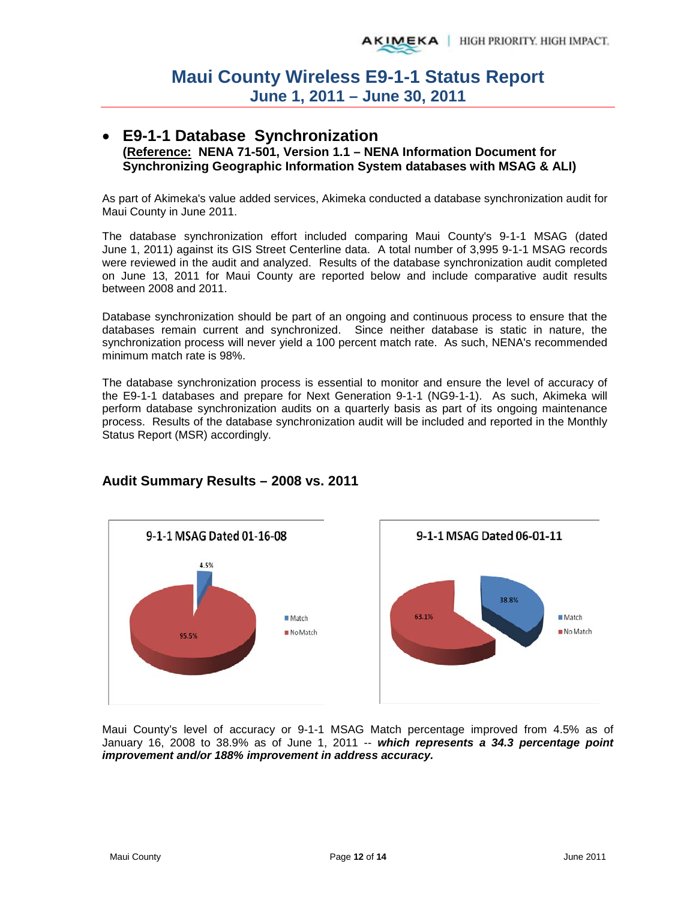### • **E9-1-1 Database Synchronization (Reference: NENA 71-501, Version 1.1 – NENA Information Document for Synchronizing Geographic Information System databases with MSAG & ALI)**

As part of Akimeka's value added services, Akimeka conducted a database synchronization audit for Maui County in June 2011.

The database synchronization effort included comparing Maui County's 9-1-1 MSAG (dated June 1, 2011) against its GIS Street Centerline data. A total number of 3,995 9-1-1 MSAG records were reviewed in the audit and analyzed. Results of the database synchronization audit completed on June 13, 2011 for Maui County are reported below and include comparative audit results between 2008 and 2011.

Database synchronization should be part of an ongoing and continuous process to ensure that the databases remain current and synchronized. Since neither database is static in nature, the synchronization process will never yield a 100 percent match rate. As such, NENA's recommended minimum match rate is 98%.

The database synchronization process is essential to monitor and ensure the level of accuracy of the E9-1-1 databases and prepare for Next Generation 9-1-1 (NG9-1-1). As such, Akimeka will perform database synchronization audits on a quarterly basis as part of its ongoing maintenance process. Results of the database synchronization audit will be included and reported in the Monthly Status Report (MSR) accordingly.



## **Audit Summary Results – 2008 vs. 2011**

Maui County's level of accuracy or 9-1-1 MSAG Match percentage improved from 4.5% as of January 16, 2008 to 38.9% as of June 1, 2011 -- *which represents a 34.3 percentage point improvement and/or 188% improvement in address accuracy.*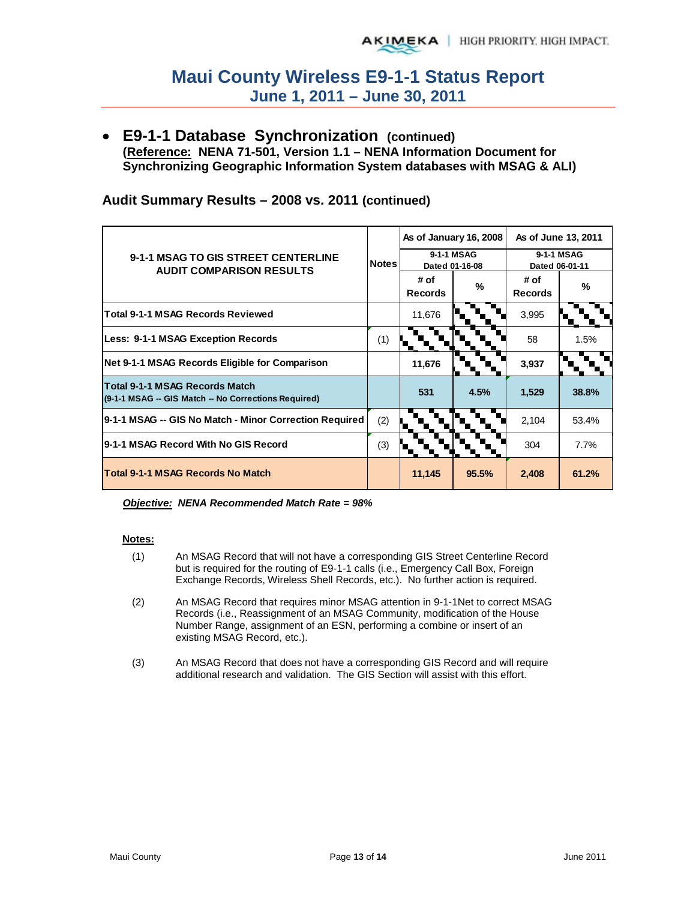• **E9-1-1 Database Synchronization (continued) (Reference: NENA 71-501, Version 1.1 – NENA Information Document for Synchronizing Geographic Information System databases with MSAG & ALI)**

|                                                                                               | Notes |                              | As of January 16, 2008 | As of June 13, 2011          |       |
|-----------------------------------------------------------------------------------------------|-------|------------------------------|------------------------|------------------------------|-------|
| 9-1-1 MSAG TO GIS STREET CENTERLINE<br><b>AUDIT COMPARISON RESULTS</b>                        |       | 9-1-1 MSAG<br>Dated 01-16-08 |                        | 9-1-1 MSAG<br>Dated 06-01-11 |       |
|                                                                                               |       | # of<br><b>Records</b>       | %                      | # of<br><b>Records</b>       | %     |
| <b>Total 9-1-1 MSAG Records Reviewed</b>                                                      |       | 11,676                       |                        | 3,995                        |       |
| Less: 9-1-1 MSAG Exception Records                                                            | (1)   |                              |                        | 58                           | 1.5%  |
| Net 9-1-1 MSAG Records Eligible for Comparison                                                |       | 11,676                       |                        | 3,937                        |       |
| <b>Total 9-1-1 MSAG Records Match</b><br>(9-1-1 MSAG -- GIS Match -- No Corrections Required) |       | 531                          | 4.5%                   | 1,529                        | 38.8% |
| 9-1-1 MSAG -- GIS No Match - Minor Correction Required                                        | (2)   |                              |                        | 2,104                        | 53.4% |
| 9-1-1 MSAG Record With No GIS Record                                                          | (3)   |                              |                        | 304                          | 7.7%  |
| <b>Total 9-1-1 MSAG Records No Match</b>                                                      |       | 11,145                       | 95.5%                  | 2,408                        | 61.2% |

## **Audit Summary Results – 2008 vs. 2011 (continued)**

### *Objective: NENA Recommended Match Rate = 98%*

### **Notes:**

- (1) An MSAG Record that will not have a corresponding GIS Street Centerline Record but is required for the routing of E9-1-1 calls (i.e., Emergency Call Box, Foreign Exchange Records, Wireless Shell Records, etc.). No further action is required.
- (2) An MSAG Record that requires minor MSAG attention in 9-1-1Net to correct MSAG Records (i.e., Reassignment of an MSAG Community, modification of the House Number Range, assignment of an ESN, performing a combine or insert of an existing MSAG Record, etc.).
- (3) An MSAG Record that does not have a corresponding GIS Record and will require additional research and validation. The GIS Section will assist with this effort.